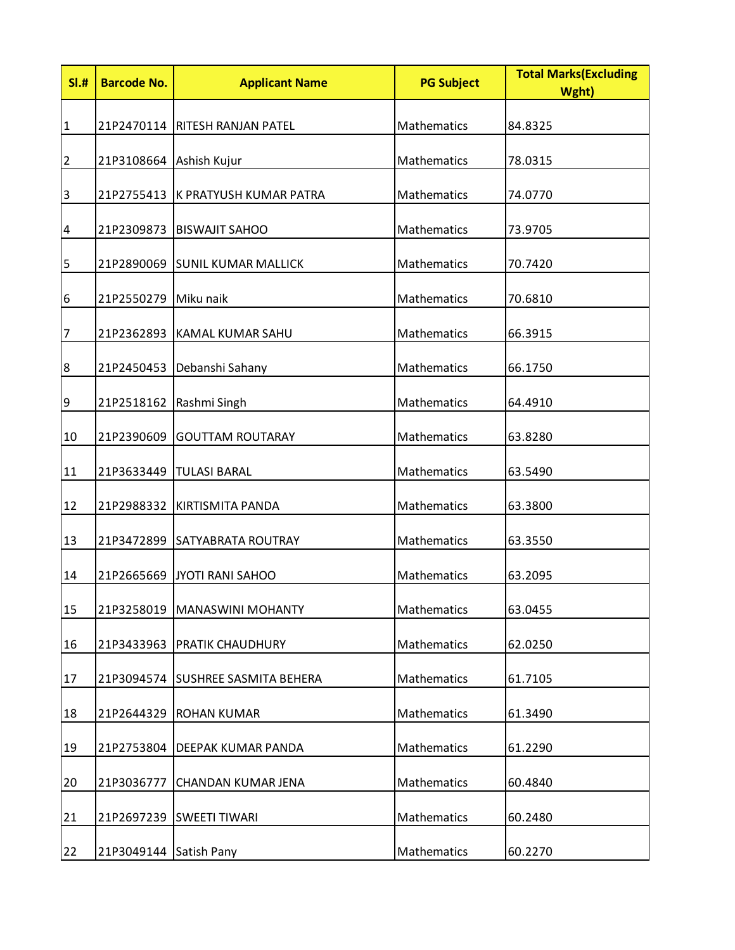| SI.#             | <b>Barcode No.</b>      | <b>Applicant Name</b>             | <b>PG Subject</b> | <b>Total Marks(Excluding</b><br>Wght) |
|------------------|-------------------------|-----------------------------------|-------------------|---------------------------------------|
| $\mathbf{1}$     |                         | 21P2470114 RITESH RANJAN PATEL    | Mathematics       | 84.8325                               |
| $\overline{2}$   | 21P3108664 Ashish Kujur |                                   | Mathematics       | 78.0315                               |
| $\overline{3}$   | 21P2755413              | <b>K PRATYUSH KUMAR PATRA</b>     | Mathematics       | 74.0770                               |
| $\overline{a}$   |                         | 21P2309873   BISWAJIT SAHOO       | Mathematics       | 73.9705                               |
| 5                |                         | 21P2890069 SUNIL KUMAR MALLICK    | Mathematics       | 70.7420                               |
| 6                | 21P2550279 Miku naik    |                                   | Mathematics       | 70.6810                               |
| 7                |                         | 21P2362893 KAMAL KUMAR SAHU       | Mathematics       | 66.3915                               |
| $\boldsymbol{8}$ |                         | 21P2450453 Debanshi Sahany        | Mathematics       | 66.1750                               |
| $\overline{9}$   |                         | 21P2518162   Rashmi Singh         | Mathematics       | 64.4910                               |
| 10               | 21P2390609              | <b>GOUTTAM ROUTARAY</b>           | Mathematics       | 63.8280                               |
| 11               |                         | 21P3633449  TULASI BARAL          | Mathematics       | 63.5490                               |
| 12               |                         | 21P2988332   KIRTISMITA PANDA     | Mathematics       | 63.3800                               |
| 13               |                         | 21P3472899 SATYABRATA ROUTRAY     | Mathematics       | 63.3550                               |
| 14               | 21P2665669              | JYOTI RANI SAHOO                  | Mathematics       | 63.2095                               |
| 15               |                         | 21P3258019   MANASWINI MOHANTY    | Mathematics       | 63.0455                               |
| 16               | 21P3433963              | <b>PRATIK CHAUDHURY</b>           | Mathematics       | 62.0250                               |
| 17               |                         | 21P3094574 SUSHREE SASMITA BEHERA | Mathematics       | 61.7105                               |
| 18               | 21P2644329              | <b>ROHAN KUMAR</b>                | Mathematics       | 61.3490                               |
| 19               |                         | 21P2753804 DEEPAK KUMAR PANDA     | Mathematics       | 61.2290                               |
| 20               | 21P3036777              | <b>CHANDAN KUMAR JENA</b>         | Mathematics       | 60.4840                               |
| 21               | 21P2697239              | <b>SWEETI TIWARI</b>              | Mathematics       | 60.2480                               |
| 22               | 21P3049144              | Satish Pany                       | Mathematics       | 60.2270                               |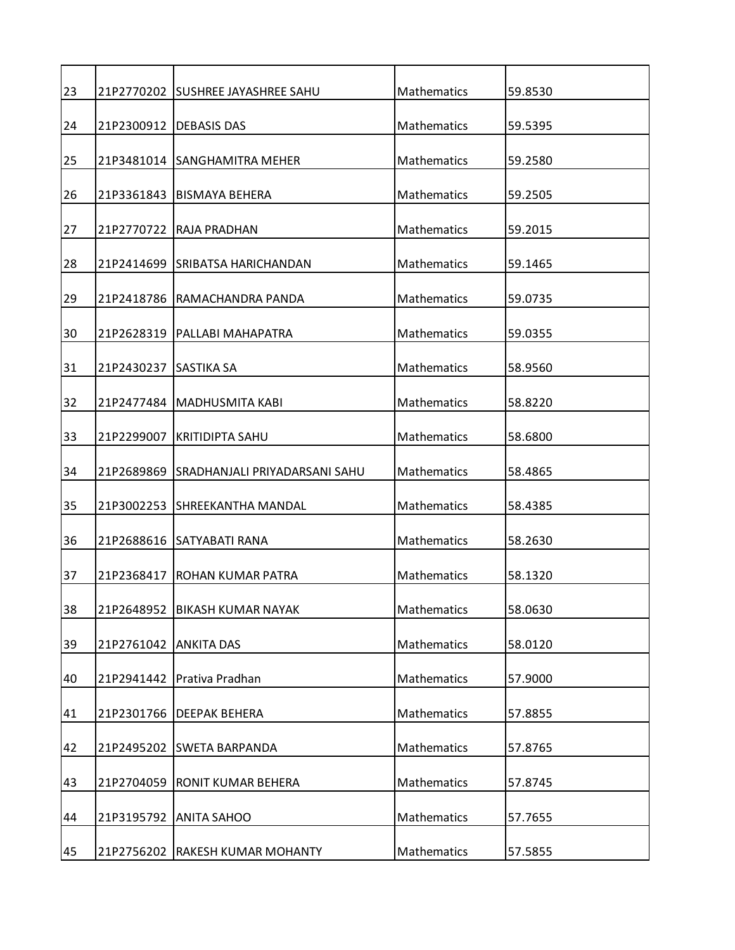| 23 |                       | 21P2770202 SUSHREE JAYASHREE SAHU        | Mathematics        | 59.8530 |
|----|-----------------------|------------------------------------------|--------------------|---------|
| 24 |                       | 21P2300912   DEBASIS DAS                 | <b>Mathematics</b> | 59.5395 |
| 25 |                       | 21P3481014 SANGHAMITRA MEHER             | Mathematics        | 59.2580 |
| 26 |                       | 21P3361843   BISMAYA BEHERA              | Mathematics        | 59.2505 |
| 27 |                       | 21P2770722 RAJA PRADHAN                  | Mathematics        | 59.2015 |
| 28 |                       | 21P2414699 SRIBATSA HARICHANDAN          | Mathematics        | 59.1465 |
| 29 |                       | 21P2418786 RAMACHANDRA PANDA             | Mathematics        | 59.0735 |
| 30 |                       | 21P2628319   PALLABI MAHAPATRA           | Mathematics        | 59.0355 |
| 31 | 21P2430237 SASTIKA SA |                                          | <b>Mathematics</b> | 58.9560 |
| 32 |                       | 21P2477484 MADHUSMITA KABI               | <b>Mathematics</b> | 58.8220 |
| 33 | 21P2299007            | <b>KRITIDIPTA SAHU</b>                   | <b>Mathematics</b> | 58.6800 |
|    |                       |                                          |                    |         |
| 34 |                       | 21P2689869 SRADHANJALI PRIYADARSANI SAHU | Mathematics        | 58.4865 |
| 35 |                       | 21P3002253 ISHREEKANTHA MANDAL           | Mathematics        | 58.4385 |
| 36 |                       | 21P2688616 SATYABATI RANA                | Mathematics        | 58.2630 |
| 37 | 21P2368417            | <b>ROHAN KUMAR PATRA</b>                 | <b>Mathematics</b> | 58.1320 |
| 38 | 21P2648952            | <b>BIKASH KUMAR NAYAK</b>                | Mathematics        | 58.0630 |
| 39 | 21P2761042 ANKITA DAS |                                          | Mathematics        | 58.0120 |
| 40 | 21P2941442            | Prativa Pradhan                          | Mathematics        | 57.9000 |
| 41 |                       | 21P2301766   DEEPAK BEHERA               | Mathematics        | 57.8855 |
| 42 |                       | 21P2495202 SWETA BARPANDA                | Mathematics        | 57.8765 |
| 43 | 21P2704059            | <b>RONIT KUMAR BEHERA</b>                | Mathematics        | 57.8745 |
| 44 |                       | 21P3195792 ANITA SAHOO                   | Mathematics        | 57.7655 |
| 45 |                       | 21P2756202 RAKESH KUMAR MOHANTY          | Mathematics        | 57.5855 |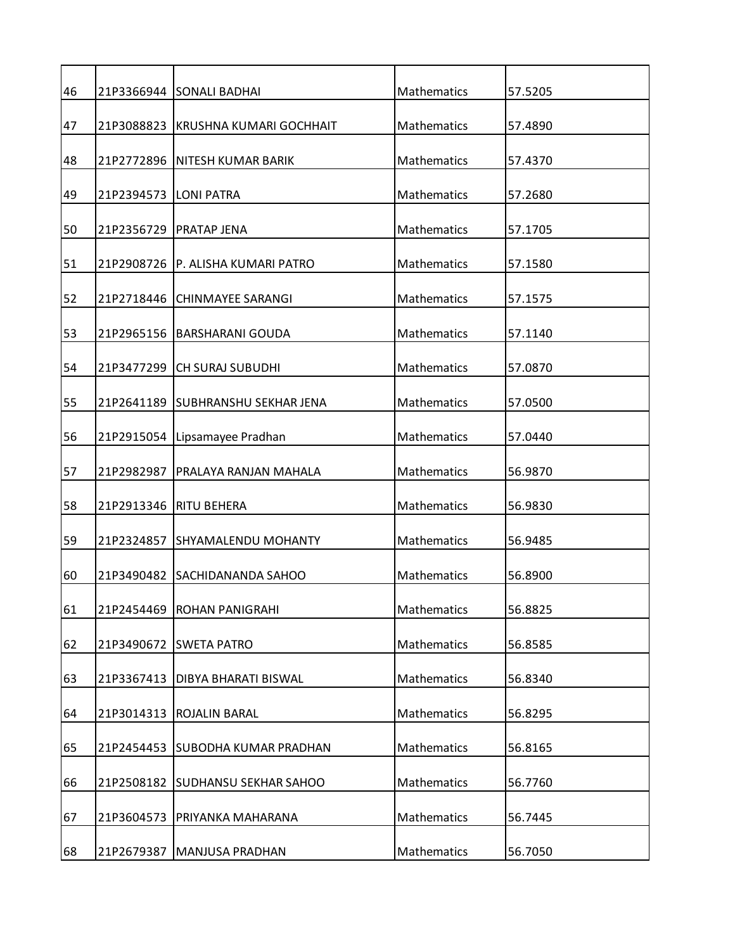| 46 |            | 21P3366944 SONALI BADHAI          | Mathematics        | 57.5205 |
|----|------------|-----------------------------------|--------------------|---------|
| 47 | 21P3088823 | KRUSHNA KUMARI GOCHHAIT           | Mathematics        | 57.4890 |
| 48 |            | 21P2772896   NITESH KUMAR BARIK   | Mathematics        | 57.4370 |
| 49 | 21P2394573 | <b>LONI PATRA</b>                 | <b>Mathematics</b> | 57.2680 |
| 50 | 21P2356729 | <b>PRATAP JENA</b>                | Mathematics        | 57.1705 |
| 51 |            | 21P2908726 P. ALISHA KUMARI PATRO | Mathematics        | 57.1580 |
| 52 | 21P2718446 | <b>CHINMAYEE SARANGI</b>          | Mathematics        | 57.1575 |
| 53 |            | 21P2965156   BARSHARANI GOUDA     | Mathematics        | 57.1140 |
|    |            |                                   |                    |         |
| 54 | 21P3477299 | <b>CH SURAJ SUBUDHI</b>           | Mathematics        | 57.0870 |
| 55 |            | 21P2641189 SUBHRANSHU SEKHAR JENA | Mathematics        | 57.0500 |
| 56 | 21P2915054 | Lipsamayee Pradhan                | Mathematics        | 57.0440 |
| 57 | 21P2982987 | PRALAYA RANJAN MAHALA             | Mathematics        | 56.9870 |
| 58 |            | 21P2913346   RITU BEHERA          | Mathematics        | 56.9830 |
| 59 | 21P2324857 | ISHYAMALENDU MOHANTY              | Mathematics        | 56.9485 |
| 60 | 21P3490482 | <b>ISACHIDANANDA SAHOO</b>        | <b>Mathematics</b> | 56.8900 |
| 61 | 21P2454469 | <b>ROHAN PANIGRAHI</b>            | Mathematics        | 56.8825 |
| 62 | 21P3490672 | <b>SWETA PATRO</b>                | Mathematics        | 56.8585 |
| 63 | 21P3367413 | <b>DIBYA BHARATI BISWAL</b>       | Mathematics        | 56.8340 |
| 64 | 21P3014313 | ROJALIN BARAL                     | <b>Mathematics</b> | 56.8295 |
| 65 | 21P2454453 | <b>SUBODHA KUMAR PRADHAN</b>      | Mathematics        | 56.8165 |
| 66 | 21P2508182 | <b>SUDHANSU SEKHAR SAHOO</b>      | Mathematics        | 56.7760 |
| 67 | 21P3604573 | PRIYANKA MAHARANA                 | Mathematics        | 56.7445 |
| 68 | 21P2679387 | MANJUSA PRADHAN                   | Mathematics        | 56.7050 |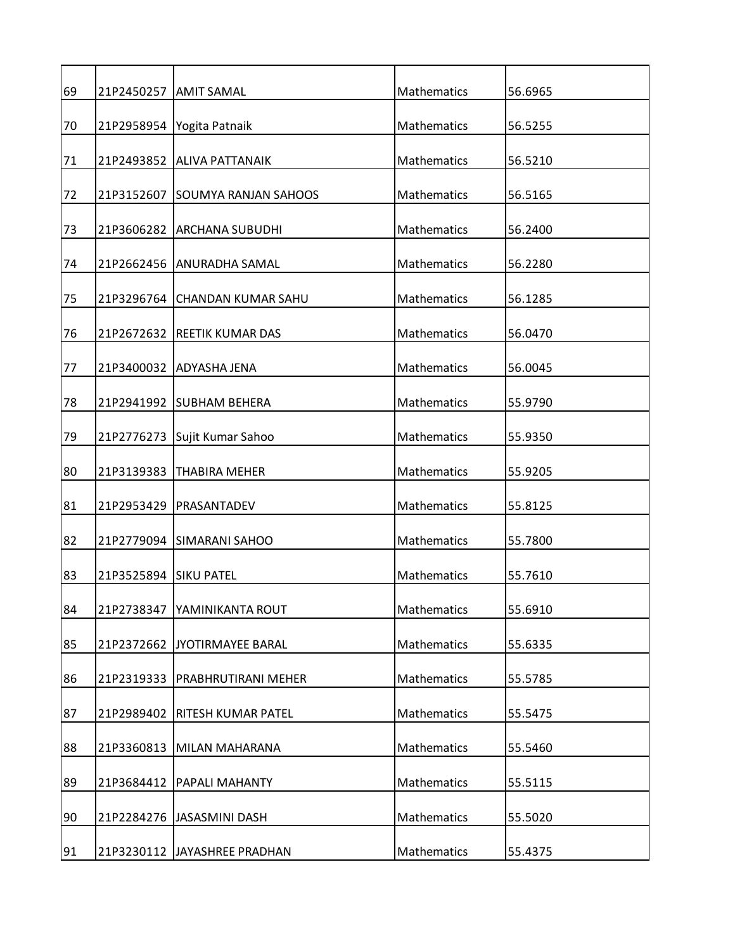| 69 |                       | 21P2450257   AMIT SAMAL         | Mathematics        | 56.6965 |
|----|-----------------------|---------------------------------|--------------------|---------|
| 70 |                       | 21P2958954 Yogita Patnaik       | Mathematics        | 56.5255 |
| 71 |                       | 21P2493852 ALIVA PATTANAIK      | Mathematics        | 56.5210 |
| 72 |                       | 21P3152607 SOUMYA RANJAN SAHOOS | Mathematics        | 56.5165 |
| 73 |                       | 21P3606282 ARCHANA SUBUDHI      | Mathematics        | 56.2400 |
| 74 |                       | 21P2662456 ANURADHA SAMAL       | Mathematics        | 56.2280 |
| 75 |                       | 21P3296764 CHANDAN KUMAR SAHU   | Mathematics        | 56.1285 |
| 76 |                       | 21P2672632 REETIK KUMAR DAS     | Mathematics        | 56.0470 |
| 77 |                       | 21P3400032 ADYASHA JENA         | Mathematics        | 56.0045 |
| 78 |                       | 21P2941992 SUBHAM BEHERA        | Mathematics        | 55.9790 |
| 79 |                       | 21P2776273 Sujit Kumar Sahoo    | Mathematics        | 55.9350 |
| 80 | 21P3139383            | <b>THABIRA MEHER</b>            | Mathematics        | 55.9205 |
|    |                       |                                 |                    |         |
| 81 |                       | 21P2953429   PRASANTADEV        | Mathematics        | 55.8125 |
| 82 |                       | 21P2779094 SIMARANI SAHOO       | Mathematics        | 55.7800 |
| 83 | 21P3525894 SIKU PATEL |                                 | Mathematics        | 55.7610 |
| 84 | 21P2738347            | YAMINIKANTA ROUT                | Mathematics        | 55.6910 |
| 85 |                       | 21P2372662 JYOTIRMAYEE BARAL    | Mathematics        | 55.6335 |
| 86 | 21P2319333            | <b>PRABHRUTIRANI MEHER</b>      | <b>Mathematics</b> | 55.5785 |
| 87 | 21P2989402            | RITESH KUMAR PATEL              | Mathematics        | 55.5475 |
| 88 | 21P3360813            | MILAN MAHARANA                  | Mathematics        | 55.5460 |
| 89 | 21P3684412            | PAPALI MAHANTY                  | Mathematics        | 55.5115 |
| 90 |                       | 21P2284276 JASASMINI DASH       | Mathematics        | 55.5020 |
| 91 |                       | 21P3230112 JAYASHREE PRADHAN    | Mathematics        | 55.4375 |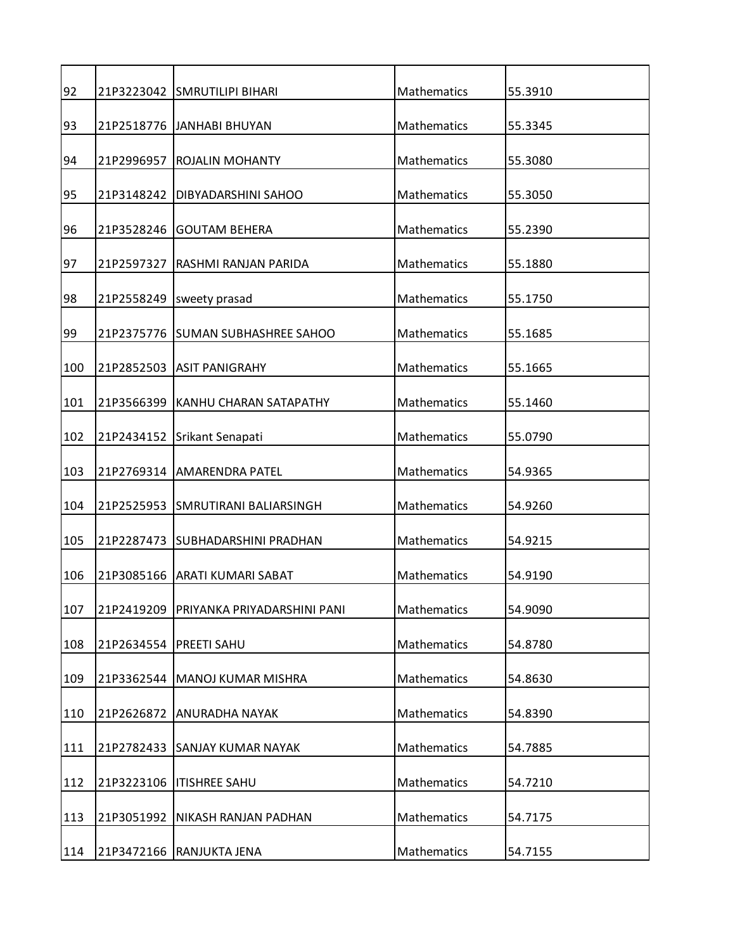| 92  |            | 21P3223042 SMRUTILIPI BIHARI           | Mathematics | 55.3910 |
|-----|------------|----------------------------------------|-------------|---------|
| 93  |            | 21P2518776 JANHABI BHUYAN              | Mathematics | 55.3345 |
| 94  | 21P2996957 | ROJALIN MOHANTY                        | Mathematics | 55.3080 |
| 95  | 21P3148242 | DIBYADARSHINI SAHOO                    | Mathematics | 55.3050 |
| 96  | 21P3528246 | <b>GOUTAM BEHERA</b>                   | Mathematics | 55.2390 |
| 97  | 21P2597327 | RASHMI RANJAN PARIDA                   | Mathematics | 55.1880 |
| 98  | 21P2558249 | sweety prasad                          | Mathematics | 55.1750 |
| 99  |            | 21P2375776 SUMAN SUBHASHREE SAHOO      | Mathematics | 55.1685 |
| 100 |            | 21P2852503 ASIT PANIGRAHY              | Mathematics | 55.1665 |
| 101 | 21P3566399 | <b>KANHU CHARAN SATAPATHY</b>          | Mathematics | 55.1460 |
| 102 |            | 21P2434152 Srikant Senapati            | Mathematics | 55.0790 |
|     |            |                                        |             |         |
| 103 |            | 21P2769314   AMARENDRA PATEL           | Mathematics | 54.9365 |
| 104 |            | 21P2525953 SMRUTIRANI BALIARSINGH      | Mathematics | 54.9260 |
| 105 |            | 21P2287473 SUBHADARSHINI PRADHAN       | Mathematics | 54.9215 |
| 106 |            | 21P3085166 ARATI KUMARI SABAT          | Mathematics | 54.9190 |
| 107 |            | 21P2419209 PRIYANKA PRIYADARSHINI PANI | Mathematics | 54.9090 |
| 108 |            | 21P2634554   PREETI SAHU               | Mathematics | 54.8780 |
| 109 |            | 21P3362544 MANOJ KUMAR MISHRA          | Mathematics | 54.8630 |
| 110 | 21P2626872 | ANURADHA NAYAK                         | Mathematics | 54.8390 |
| 111 |            | 21P2782433 SANJAY KUMAR NAYAK          | Mathematics | 54.7885 |
| 112 | 21P3223106 | <b>ITISHREE SAHU</b>                   | Mathematics | 54.7210 |
| 113 | 21P3051992 | NIKASH RANJAN PADHAN                   | Mathematics | 54.7175 |
| 114 |            | 21P3472166 RANJUKTA JENA               | Mathematics | 54.7155 |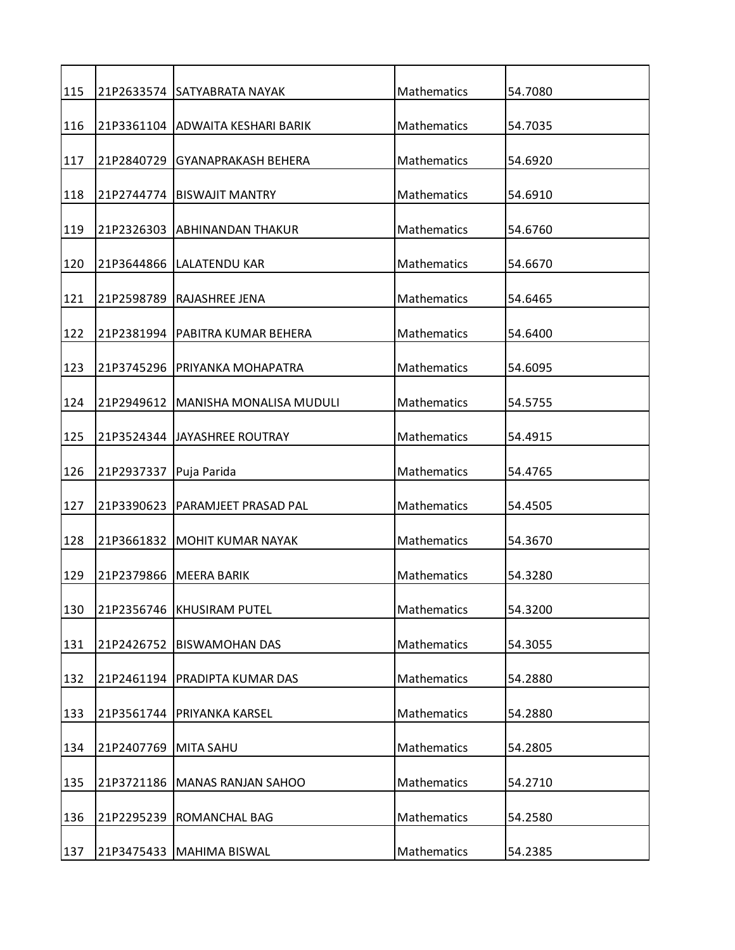| 115 |            | 21P2633574 SATYABRATA NAYAK       | Mathematics        | 54.7080 |
|-----|------------|-----------------------------------|--------------------|---------|
| 116 |            | 21P3361104 ADWAITA KESHARI BARIK  | Mathematics        | 54.7035 |
| 117 |            | 21P2840729 GYANAPRAKASH BEHERA    | Mathematics        | 54.6920 |
| 118 |            | 21P2744774 BISWAJIT MANTRY        | Mathematics        | 54.6910 |
| 119 |            | 21P2326303 ABHINANDAN THAKUR      | Mathematics        | 54.6760 |
| 120 |            | 21P3644866  LALATENDU KAR         | Mathematics        | 54.6670 |
| 121 | 21P2598789 | <b>RAJASHREE JENA</b>             | Mathematics        | 54.6465 |
| 122 |            | 21P2381994   PABITRA KUMAR BEHERA | Mathematics        | 54.6400 |
| 123 | 21P3745296 | PRIYANKA MOHAPATRA                | <b>Mathematics</b> | 54.6095 |
| 124 | 21P2949612 | <b>MANISHA MONALISA MUDULI</b>    | Mathematics        | 54.5755 |
| 125 |            | 21P3524344 JJAYASHREE ROUTRAY     | Mathematics        | 54.4915 |
|     |            |                                   |                    |         |
| 126 | 21P2937337 | Puja Parida                       | Mathematics        | 54.4765 |
| 127 |            | 21P3390623   PARAMJEET PRASAD PAL | Mathematics        | 54.4505 |
| 128 |            | 21P3661832 MOHIT KUMAR NAYAK      | Mathematics        | 54.3670 |
| 129 |            | 21P2379866 MEERA BARIK            | <b>Mathematics</b> | 54.3280 |
| 130 | 21P2356746 | <b>KHUSIRAM PUTEL</b>             | Mathematics        | 54.3200 |
| 131 | 21P2426752 | <b>BISWAMOHAN DAS</b>             | Mathematics        | 54.3055 |
| 132 | 21P2461194 | PRADIPTA KUMAR DAS                | Mathematics        | 54.2880 |
| 133 | 21P3561744 | PRIYANKA KARSEL                   | Mathematics        | 54.2880 |
| 134 | 21P2407769 | <b>MITA SAHU</b>                  | Mathematics        | 54.2805 |
| 135 | 21P3721186 | <b>MANAS RANJAN SAHOO</b>         | Mathematics        | 54.2710 |
| 136 | 21P2295239 | ROMANCHAL BAG                     | Mathematics        | 54.2580 |
|     |            |                                   |                    |         |
| 137 |            | 21P3475433   MAHIMA BISWAL        | Mathematics        | 54.2385 |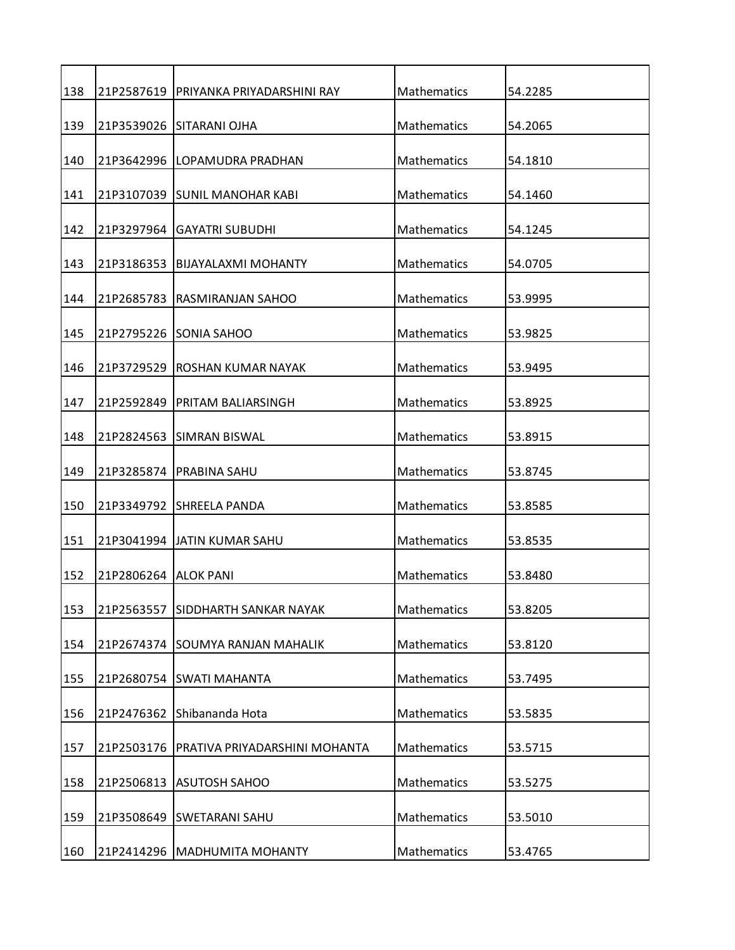| 138 |                      | 21P2587619   PRIYANKA PRIYADARSHINI RAY | Mathematics        | 54.2285 |
|-----|----------------------|-----------------------------------------|--------------------|---------|
| 139 |                      | 21P3539026 SITARANI OJHA                | Mathematics        | 54.2065 |
| 140 |                      | 21P3642996 LOPAMUDRA PRADHAN            | Mathematics        | 54.1810 |
| 141 |                      | 21P3107039 SUNIL MANOHAR KABI           | <b>Mathematics</b> | 54.1460 |
| 142 | 21P3297964           | <b>GAYATRI SUBUDHI</b>                  | Mathematics        | 54.1245 |
| 143 |                      | 21P3186353   BIJAYALAXMI MOHANTY        | Mathematics        | 54.0705 |
| 144 | 21P2685783           | RASMIRANJAN SAHOO                       | Mathematics        | 53.9995 |
| 145 |                      | 21P2795226 SONIA SAHOO                  | Mathematics        | 53.9825 |
| 146 | 21P3729529           | IROSHAN KUMAR NAYAK                     | Mathematics        | 53.9495 |
| 147 | 21P2592849           | PRITAM BALIARSINGH                      | Mathematics        | 53.8925 |
| 148 |                      |                                         | Mathematics        |         |
|     |                      | 21P2824563 SIMRAN BISWAL                |                    | 53.8915 |
| 149 | 21P3285874           | IPRABINA SAHU                           | Mathematics        | 53.8745 |
| 150 |                      | 21P3349792 SHREELA PANDA                | Mathematics        | 53.8585 |
| 151 |                      | 21P3041994 JATIN KUMAR SAHU             | Mathematics        | 53.8535 |
| 152 | 21P2806264 ALOK PANI |                                         | <b>Mathematics</b> | 53.8480 |
| 153 | 21P2563557           | <b>SIDDHARTH SANKAR NAYAK</b>           | Mathematics        | 53.8205 |
| 154 |                      | 21P2674374 SOUMYA RANJAN MAHALIK        | Mathematics        | 53.8120 |
| 155 |                      | 21P2680754 SWATI MAHANTA                | Mathematics        | 53.7495 |
| 156 | 21P2476362           | Shibananda Hota                         | <b>Mathematics</b> | 53.5835 |
| 157 | 21P2503176           | PRATIVA PRIYADARSHINI MOHANTA           | <b>Mathematics</b> | 53.5715 |
| 158 | 21P2506813           | <b>ASUTOSH SAHOO</b>                    | Mathematics        | 53.5275 |
| 159 |                      | 21P3508649 SWETARANI SAHU               | Mathematics        | 53.5010 |
|     |                      |                                         |                    |         |
| 160 |                      | 21P2414296   MADHUMITA MOHANTY          | Mathematics        | 53.4765 |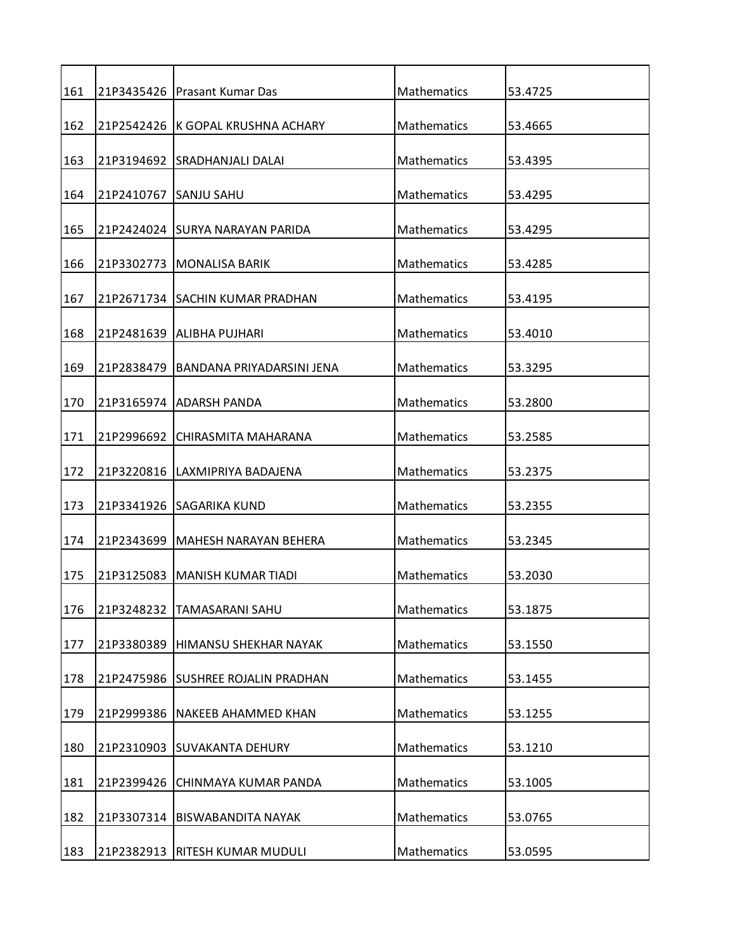| 161 |            | 21P3435426   Prasant Kumar Das     | Mathematics        | 53.4725 |
|-----|------------|------------------------------------|--------------------|---------|
| 162 |            | 21P2542426 K GOPAL KRUSHNA ACHARY  | Mathematics        | 53.4665 |
| 163 |            | 21P3194692 ISRADHANJALI DALAI      | Mathematics        | 53.4395 |
| 164 | 21P2410767 | <b>ISANJU SAHU</b>                 | <b>Mathematics</b> | 53.4295 |
| 165 |            | 21P2424024 SURYA NARAYAN PARIDA    | Mathematics        | 53.4295 |
| 166 |            | 21P3302773   MONALISA BARIK        | Mathematics        | 53.4285 |
| 167 |            | 21P2671734 SACHIN KUMAR PRADHAN    | Mathematics        | 53.4195 |
| 168 |            | 21P2481639   ALIBHA PUJHARI        | Mathematics        | 53.4010 |
| 169 | 21P2838479 | IBANDANA PRIYADARSINI JENA         | Mathematics        | 53.3295 |
| 170 |            | 21P3165974 ADARSH PANDA            | Mathematics        | 53.2800 |
| 171 | 21P2996692 | CHIRASMITA MAHARANA                | Mathematics        | 53.2585 |
|     |            |                                    |                    |         |
| 172 | 21P3220816 | LAXMIPRIYA BADAJENA                | Mathematics        | 53.2375 |
| 173 |            | 21P3341926 SAGARIKA KUND           | Mathematics        | 53.2355 |
| 174 |            | 21P2343699   MAHESH NARAYAN BEHERA | Mathematics        | 53.2345 |
| 175 | 21P3125083 | IMANISH KUMAR TIADI                | <b>Mathematics</b> | 53.2030 |
| 176 | 21P3248232 | <b>TAMASARANI SAHU</b>             | Mathematics        | 53.1875 |
| 177 | 21P3380389 | HIMANSU SHEKHAR NAYAK              | Mathematics        | 53.1550 |
| 178 |            | 21P2475986 SUSHREE ROJALIN PRADHAN | Mathematics        | 53.1455 |
| 179 | 21P2999386 | NAKEEB AHAMMED KHAN                | Mathematics        | 53.1255 |
| 180 |            | 21P2310903 SUVAKANTA DEHURY        | <b>Mathematics</b> | 53.1210 |
| 181 | 21P2399426 | CHINMAYA KUMAR PANDA               | Mathematics        | 53.1005 |
| 182 | 21P3307314 | <b>BISWABANDITA NAYAK</b>          | Mathematics        | 53.0765 |
| 183 | 21P2382913 | RITESH KUMAR MUDULI                | Mathematics        | 53.0595 |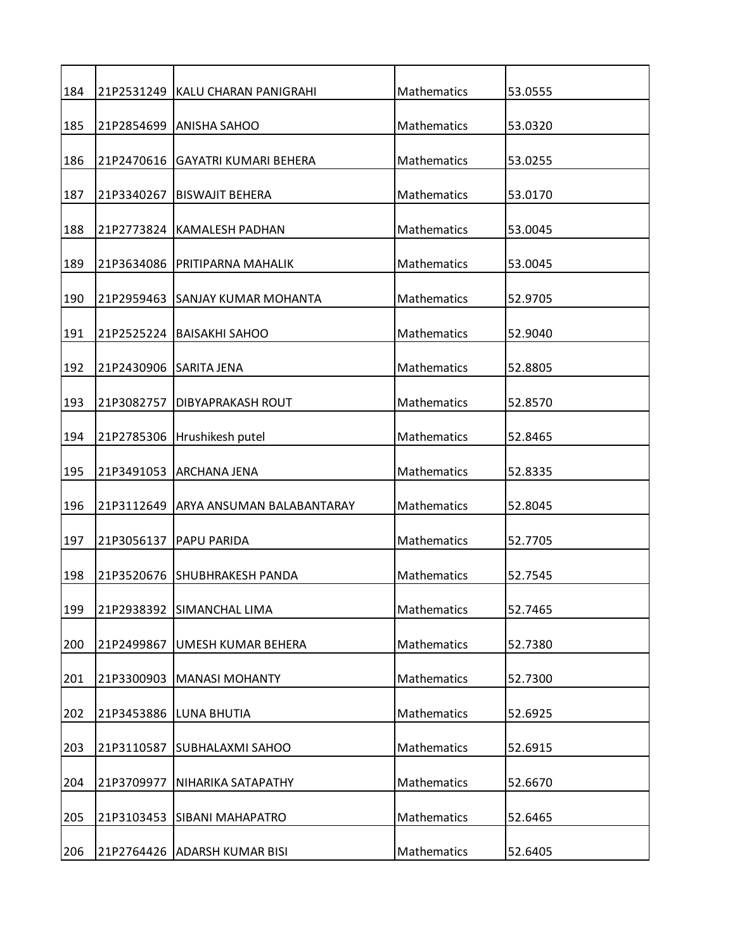| 184 |            | 21P2531249 KALU CHARAN PANIGRAHI     | Mathematics        | 53.0555 |
|-----|------------|--------------------------------------|--------------------|---------|
| 185 |            | 21P2854699 ANISHA SAHOO              | Mathematics        | 53.0320 |
| 186 |            | 21P2470616 GAYATRI KUMARI BEHERA     | Mathematics        | 53.0255 |
| 187 | 21P3340267 | <b>BISWAJIT BEHERA</b>               | <b>Mathematics</b> | 53.0170 |
| 188 | 21P2773824 | KAMALESH PADHAN                      | Mathematics        | 53.0045 |
| 189 |            | 21P3634086   PRITIPARNA MAHALIK      | Mathematics        | 53.0045 |
| 190 |            | 21P2959463 SANJAY KUMAR MOHANTA      | Mathematics        | 52.9705 |
| 191 |            | 21P2525224   BAISAKHI SAHOO          | Mathematics        | 52.9040 |
| 192 | 21P2430906 | <b>SARITA JENA</b>                   | Mathematics        | 52.8805 |
| 193 | 21P3082757 | DIBYAPRAKASH ROUT                    | Mathematics        | 52.8570 |
| 194 | 21P2785306 | Hrushikesh putel                     | Mathematics        | 52.8465 |
|     |            |                                      |                    |         |
| 195 |            | 21P3491053 ARCHANA JENA              | Mathematics        | 52.8335 |
| 196 |            | 21P3112649 ARYA ANSUMAN BALABANTARAY | Mathematics        | 52.8045 |
| 197 | 21P3056137 | <b>PAPU PARIDA</b>                   | Mathematics        | 52.7705 |
| 198 |            | 21P3520676 SHUBHRAKESH PANDA         | Mathematics        | 52.7545 |
| 199 | 21P2938392 | <b>SIMANCHAL LIMA</b>                | Mathematics        | 52.7465 |
| 200 | 21P2499867 | UMESH KUMAR BEHERA                   | Mathematics        | 52.7380 |
| 201 | 21P3300903 | <b>MANASI MOHANTY</b>                | Mathematics        | 52.7300 |
| 202 | 21P3453886 | LUNA BHUTIA                          | Mathematics        | 52.6925 |
| 203 | 21P3110587 | <b>SUBHALAXMI SAHOO</b>              | Mathematics        | 52.6915 |
| 204 | 21P3709977 | NIHARIKA SATAPATHY                   | Mathematics        | 52.6670 |
| 205 | 21P3103453 | <b>SIBANI MAHAPATRO</b>              | Mathematics        | 52.6465 |
| 206 |            | 21P2764426 ADARSH KUMAR BISI         | Mathematics        | 52.6405 |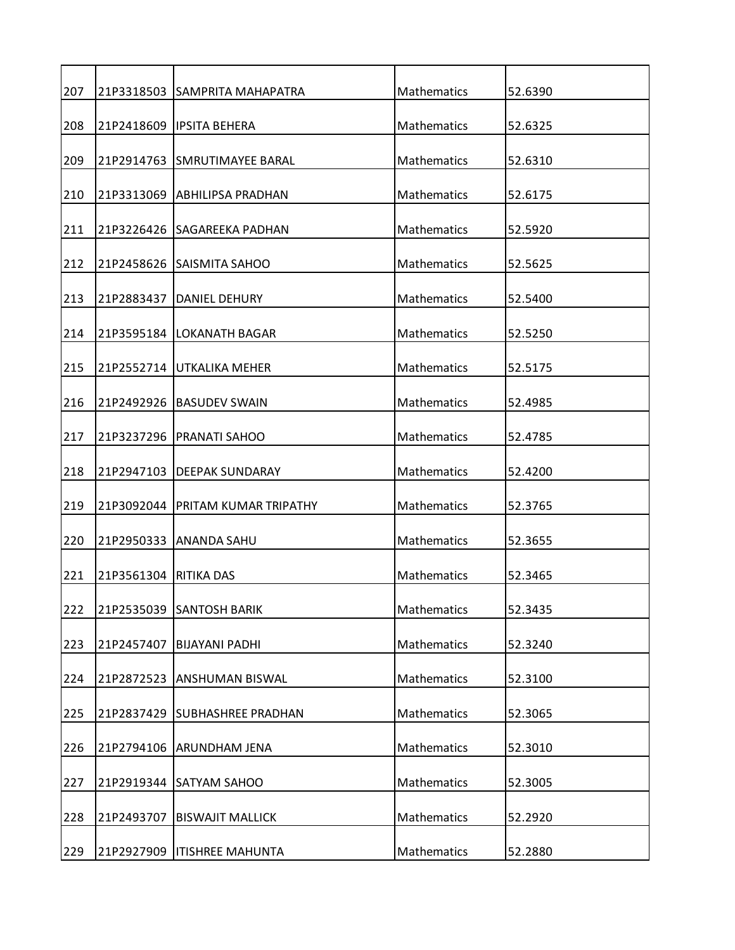| 207 |                       | 21P3318503 SAMPRITA MAHAPATRA      | Mathematics        | 52.6390 |
|-----|-----------------------|------------------------------------|--------------------|---------|
|     |                       |                                    |                    |         |
| 208 |                       | 21P2418609 IPSITA BEHERA           | Mathematics        | 52.6325 |
| 209 |                       | 21P2914763 SMRUTIMAYEE BARAL       | Mathematics        | 52.6310 |
| 210 |                       | 21P3313069 ABHILIPSA PRADHAN       | Mathematics        | 52.6175 |
| 211 |                       | 21P3226426 ISAGAREEKA PADHAN       | Mathematics        | 52.5920 |
| 212 |                       | 21P2458626 SAISMITA SAHOO          | Mathematics        | 52.5625 |
| 213 |                       | 21P2883437   DANIEL DEHURY         | Mathematics        | 52.5400 |
| 214 |                       | 21P3595184   LOKANATH BAGAR        | Mathematics        | 52.5250 |
| 215 | 21P2552714            | UTKALIKA MEHER                     | Mathematics        | 52.5175 |
| 216 | 21P2492926            | <b>BASUDEV SWAIN</b>               | Mathematics        | 52.4985 |
| 217 |                       | 21P3237296   PRANATI SAHOO         | Mathematics        | 52.4785 |
| 218 | 21P2947103            | <b>DEEPAK SUNDARAY</b>             | Mathematics        | 52.4200 |
| 219 |                       | 21P3092044   PRITAM KUMAR TRIPATHY | Mathematics        | 52.3765 |
| 220 |                       | 21P2950333 ANANDA SAHU             | Mathematics        | 52.3655 |
| 221 | 21P3561304 RITIKA DAS |                                    | <b>Mathematics</b> | 52.3465 |
| 222 |                       | 21P2535039 SANTOSH BARIK           | Mathematics        | 52.3435 |
| 223 | 21P2457407            | <b>BIJAYANI PADHI</b>              | Mathematics        | 52.3240 |
| 224 | 21P2872523            | <b>ANSHUMAN BISWAL</b>             | Mathematics        | 52.3100 |
| 225 |                       | 21P2837429 SUBHASHREE PRADHAN      | Mathematics        | 52.3065 |
| 226 | 21P2794106            | <b>ARUNDHAM JENA</b>               | Mathematics        | 52.3010 |
| 227 | 21P2919344            | <b>SATYAM SAHOO</b>                | Mathematics        | 52.3005 |
| 228 | 21P2493707            | <b>BISWAJIT MALLICK</b>            | Mathematics        | 52.2920 |
| 229 |                       | 21P2927909   ITISHREE MAHUNTA      | Mathematics        | 52.2880 |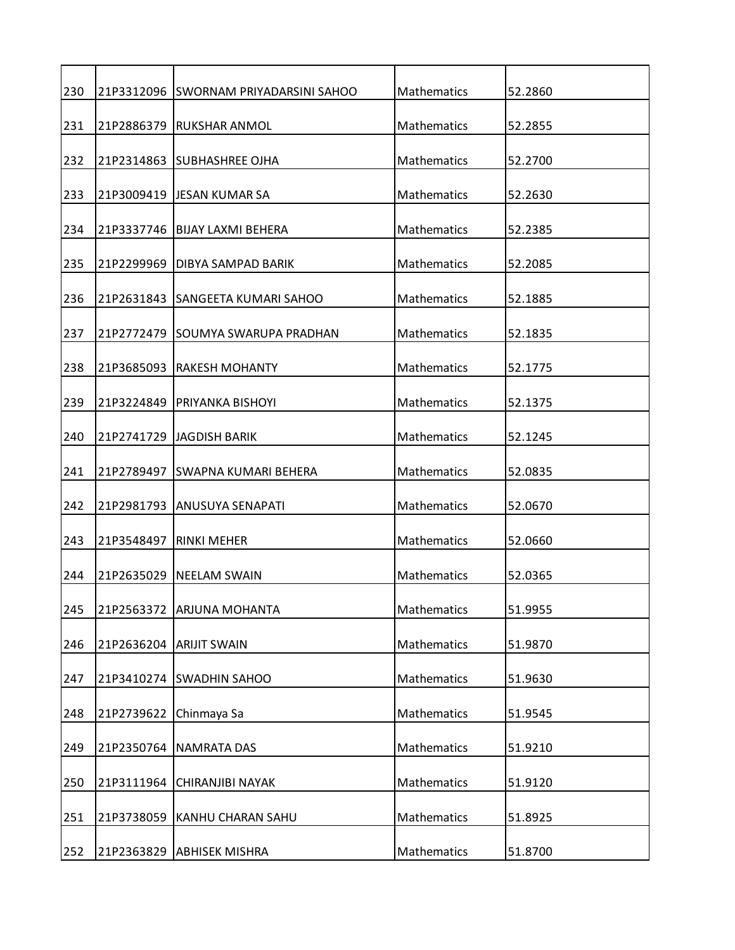| 230        |            | 21P3312096 SWORNAM PRIYADARSINI SAHOO          | Mathematics                | 52.2860            |
|------------|------------|------------------------------------------------|----------------------------|--------------------|
| 231        |            | 21P2886379 RUKSHAR ANMOL                       | Mathematics                | 52.2855            |
| 232        |            | 21P2314863 SUBHASHREE OJHA                     | Mathematics                | 52.2700            |
| 233        |            | 21P3009419 JJESAN KUMAR SA                     | Mathematics                | 52.2630            |
| 234        |            | 21P3337746   BIJAY LAXMI BEHERA                | Mathematics                | 52.2385            |
| 235        | 21P2299969 | DIBYA SAMPAD BARIK                             | Mathematics                | 52.2085            |
| 236        |            | 21P2631843 SANGEETA KUMARI SAHOO               | Mathematics                | 52.1885            |
| 237        |            | 21P2772479 ISOUMYA SWARUPA PRADHAN             | Mathematics                | 52.1835            |
| 238        | 21P3685093 | <b>RAKESH MOHANTY</b>                          | Mathematics                | 52.1775            |
| 239        | 21P3224849 | PRIYANKA BISHOYI                               | Mathematics                | 52.1375            |
| 240        |            | 21P2741729 JAGDISH BARIK                       | Mathematics                | 52.1245            |
| 241        |            | 21P2789497 SWAPNA KUMARI BEHERA                | Mathematics                | 52.0835            |
| 242        |            | 21P2981793 ANUSUYA SENAPATI                    | Mathematics                | 52.0670            |
| 243        | 21P3548497 | <b>RINKI MEHER</b>                             | Mathematics                | 52.0660            |
| 244        |            | 21P2635029 INEELAM SWAIN                       | <b>Mathematics</b>         | 52.0365            |
| 245        | 21P2563372 | <b>ARJUNA MOHANTA</b>                          | Mathematics                | 51.9955            |
| 246        |            | 21P2636204 ARIJIT SWAIN                        | Mathematics                | 51.9870            |
| 247        |            | 21P3410274 SWADHIN SAHOO                       | Mathematics                | 51.9630            |
| 248        | 21P2739622 | Chinmaya Sa                                    | Mathematics                | 51.9545            |
| 249        | 21P2350764 | <b>NAMRATA DAS</b>                             | Mathematics                | 51.9210            |
| 250        | 21P3111964 | CHIRANJIBI NAYAK                               | Mathematics                | 51.9120            |
|            |            |                                                |                            |                    |
| 251<br>252 | 21P3738059 | KANHU CHARAN SAHU<br>21P2363829 ABHISEK MISHRA | Mathematics<br>Mathematics | 51.8925<br>51.8700 |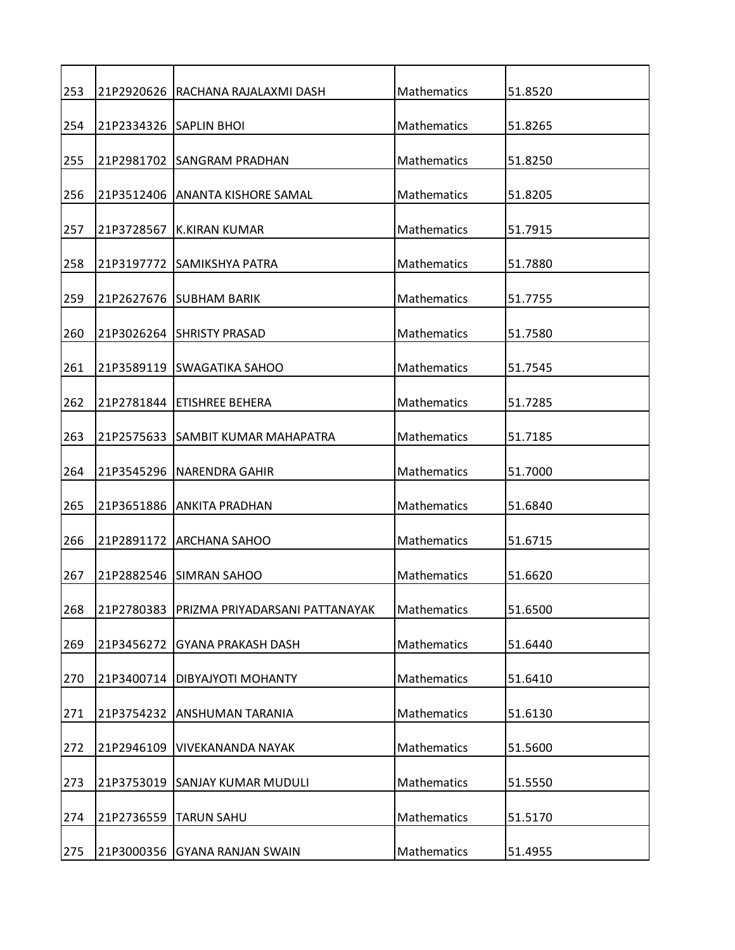| 253 |            | 21P2920626 RACHANA RAJALAXMI DASH | Mathematics        | 51.8520 |
|-----|------------|-----------------------------------|--------------------|---------|
| 254 |            | 21P2334326 SAPLIN BHOI            | Mathematics        | 51.8265 |
| 255 |            | 21P2981702 SANGRAM PRADHAN        | Mathematics        | 51.8250 |
| 256 |            | 21P3512406 ANANTA KISHORE SAMAL   | Mathematics        | 51.8205 |
| 257 | 21P3728567 | <b>K.KIRAN KUMAR</b>              | Mathematics        | 51.7915 |
| 258 |            | 21P3197772 SAMIKSHYA PATRA        | Mathematics        | 51.7880 |
| 259 |            | 21P2627676 SUBHAM BARIK           | Mathematics        | 51.7755 |
| 260 |            | 21P3026264 SHRISTY PRASAD         | Mathematics        | 51.7580 |
| 261 |            | 21P3589119 ISWAGATIKA SAHOO       | Mathematics        | 51.7545 |
| 262 | 21P2781844 | <b>ETISHREE BEHERA</b>            | Mathematics        | 51.7285 |
| 263 |            | 21P2575633 SAMBIT KUMAR MAHAPATRA | Mathematics        | 51.7185 |
| 264 |            | 21P3545296   NARENDRA GAHIR       | Mathematics        | 51.7000 |
| 265 |            | 21P3651886 JANKITA PRADHAN        | Mathematics        | 51.6840 |
| 266 |            | 21P2891172 ARCHANA SAHOO          | Mathematics        | 51.6715 |
| 267 |            | 21P2882546 ISIMRAN SAHOO          | <b>Mathematics</b> | 51.6620 |
| 268 | 21P2780383 | PRIZMA PRIYADARSANI PATTANAYAK    | Mathematics        | 51.6500 |
| 269 | 21P3456272 | <b>GYANA PRAKASH DASH</b>         | Mathematics        | 51.6440 |
| 270 | 21P3400714 | DIBYAJYOTI MOHANTY                | Mathematics        | 51.6410 |
| 271 | 21P3754232 | <b>ANSHUMAN TARANIA</b>           | Mathematics        | 51.6130 |
| 272 | 21P2946109 | <b>VIVEKANANDA NAYAK</b>          | Mathematics        | 51.5600 |
| 273 | 21P3753019 | <b>SANJAY KUMAR MUDULI</b>        | Mathematics        | 51.5550 |
| 274 | 21P2736559 | <b>TARUN SAHU</b>                 | Mathematics        | 51.5170 |
| 275 |            | 21P3000356 GYANA RANJAN SWAIN     | Mathematics        | 51.4955 |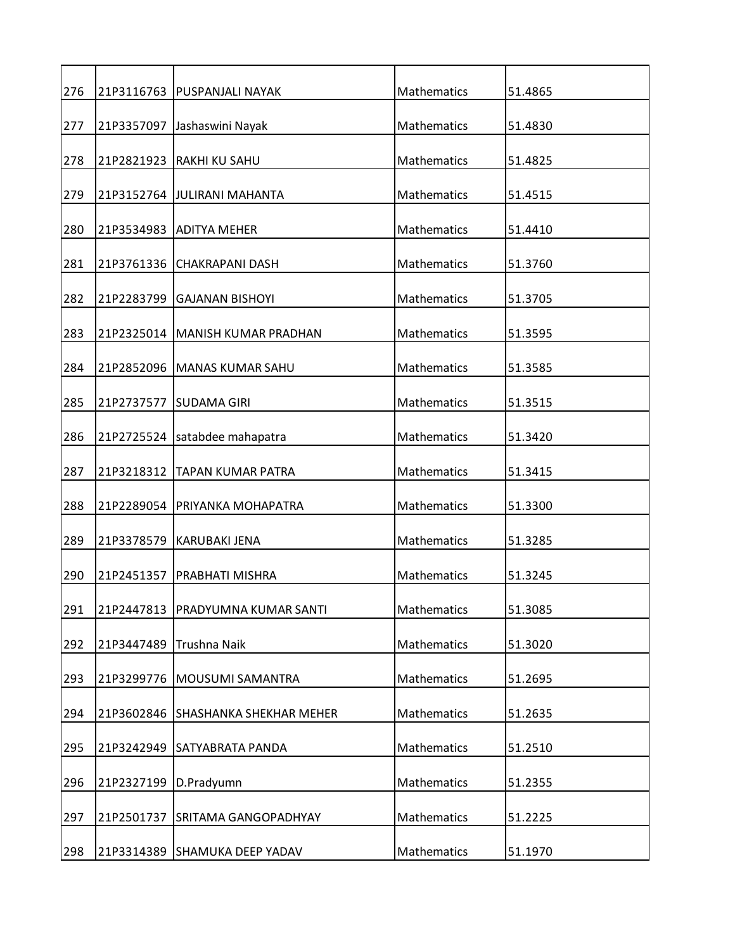| 276 |            | 21P3116763   PUSPANJALI NAYAK     | Mathematics        | 51.4865 |
|-----|------------|-----------------------------------|--------------------|---------|
| 277 |            | 21P3357097 Jashaswini Nayak       | Mathematics        | 51.4830 |
| 278 |            | 21P2821923   RAKHI KU SAHU        | Mathematics        | 51.4825 |
| 279 |            | 21P3152764 JJULIRANI MAHANTA      | <b>Mathematics</b> | 51.4515 |
| 280 |            | 21P3534983   ADITYA MEHER         | Mathematics        | 51.4410 |
| 281 |            | 21P3761336 CHAKRAPANI DASH        | Mathematics        | 51.3760 |
| 282 |            | 21P2283799 GAJANAN BISHOYI        | Mathematics        | 51.3705 |
| 283 |            | 21P2325014   MANISH KUMAR PRADHAN | Mathematics        | 51.3595 |
| 284 | 21P2852096 | <b>MANAS KUMAR SAHU</b>           | <b>Mathematics</b> | 51.3585 |
| 285 | 21P2737577 | <b>SUDAMA GIRI</b>                | Mathematics        | 51.3515 |
| 286 |            | 21P2725524 satabdee mahapatra     | Mathematics        | 51.3420 |
| 287 | 21P3218312 | <b>TAPAN KUMAR PATRA</b>          | Mathematics        | 51.3415 |
| 288 |            | 21P2289054   PRIYANKA MOHAPATRA   | Mathematics        | 51.3300 |
| 289 | 21P3378579 | <b>KARUBAKI JENA</b>              | Mathematics        | 51.3285 |
| 290 | 21P2451357 | PRABHATI MISHRA                   | Mathematics        | 51.3245 |
| 291 | 21P2447813 | PRADYUMNA KUMAR SANTI             | Mathematics        | 51.3085 |
| 292 | 21P3447489 | Trushna Naik                      | Mathematics        | 51.3020 |
| 293 | 21P3299776 | <b>MOUSUMI SAMANTRA</b>           | <b>Mathematics</b> | 51.2695 |
| 294 | 21P3602846 | SHASHANKA SHEKHAR MEHER           | Mathematics        | 51.2635 |
| 295 | 21P3242949 | <b>SATYABRATA PANDA</b>           | Mathematics        | 51.2510 |
| 296 | 21P2327199 | D.Pradyumn                        | Mathematics        | 51.2355 |
| 297 | 21P2501737 | SRITAMA GANGOPADHYAY              | Mathematics        | 51.2225 |
| 298 |            | 21P3314389 SHAMUKA DEEP YADAV     | Mathematics        | 51.1970 |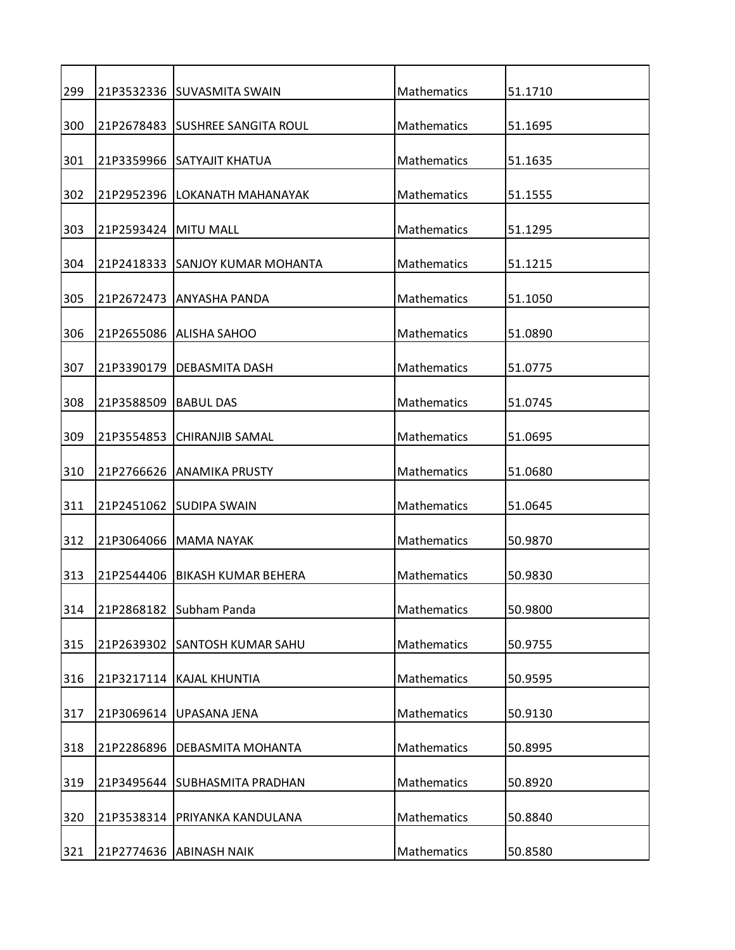| 299 |                        | 21P3532336 SUVASMITA SWAIN      | Mathematics        | 51.1710 |
|-----|------------------------|---------------------------------|--------------------|---------|
| 300 |                        | 21P2678483 SUSHREE SANGITA ROUL | Mathematics        | 51.1695 |
| 301 |                        | 21P3359966 SATYAJIT KHATUA      | Mathematics        | 51.1635 |
| 302 | 21P2952396             | LOKANATH MAHANAYAK              | Mathematics        | 51.1555 |
| 303 | 21P2593424   MITU MALL |                                 | Mathematics        | 51.1295 |
| 304 |                        | 21P2418333 SANJOY KUMAR MOHANTA | Mathematics        | 51.1215 |
| 305 |                        | 21P2672473 ANYASHA PANDA        | Mathematics        | 51.1050 |
| 306 |                        | 21P2655086 ALISHA SAHOO         | Mathematics        | 51.0890 |
| 307 | 21P3390179             | <b>DEBASMITA DASH</b>           | <b>Mathematics</b> | 51.0775 |
| 308 | 21P3588509             | <b>BABUL DAS</b>                | Mathematics        | 51.0745 |
| 309 | 21P3554853             | ICHIRANJIB SAMAL                | Mathematics        | 51.0695 |
| 310 |                        | 21P2766626 ANAMIKA PRUSTY       | Mathematics        | 51.0680 |
|     |                        |                                 |                    |         |
| 311 |                        | 21P2451062 SUDIPA SWAIN         | Mathematics        | 51.0645 |
| 312 | 21P3064066             | <b>MAMA NAYAK</b>               | Mathematics        | 50.9870 |
| 313 | 21P2544406             | <b>BIKASH KUMAR BEHERA</b>      | <b>Mathematics</b> | 50.9830 |
| 314 |                        | 21P2868182 Subham Panda         | Mathematics        | 50.9800 |
| 315 | 21P2639302             | <b>SANTOSH KUMAR SAHU</b>       | Mathematics        | 50.9755 |
| 316 |                        | 21P3217114 KAJAL KHUNTIA        | Mathematics        | 50.9595 |
| 317 | 21P3069614             | UPASANA JENA                    | Mathematics        | 50.9130 |
| 318 | 21P2286896             | DEBASMITA MOHANTA               | <b>Mathematics</b> | 50.8995 |
| 319 | 21P3495644             | <b>SUBHASMITA PRADHAN</b>       | Mathematics        | 50.8920 |
| 320 | 21P3538314             | PRIYANKA KANDULANA              | Mathematics        | 50.8840 |
| 321 |                        | 21P2774636 ABINASH NAIK         | Mathematics        | 50.8580 |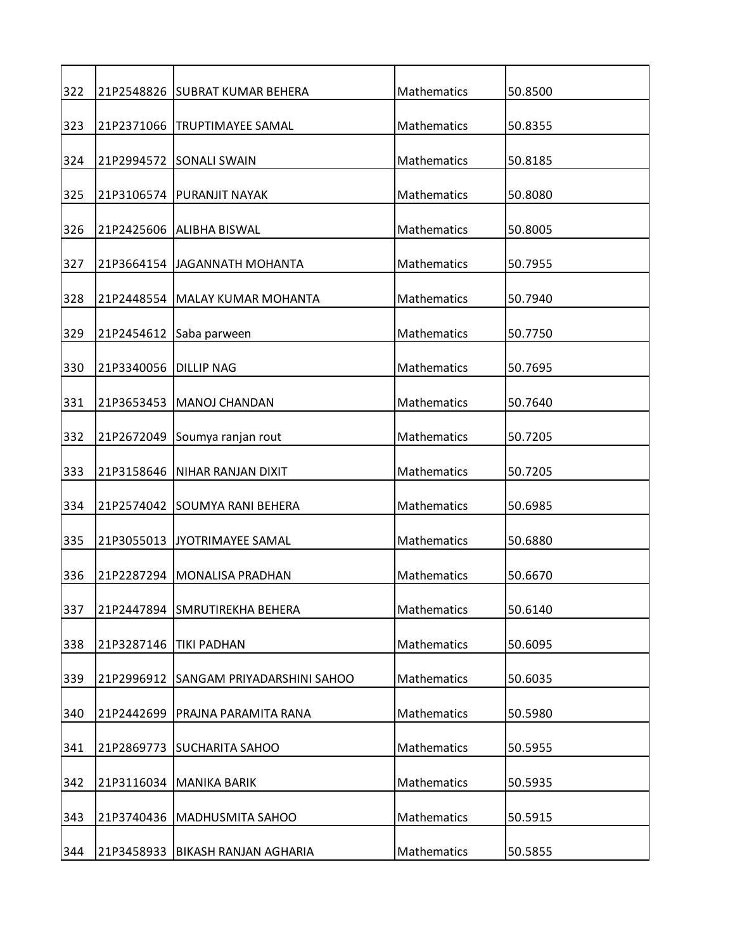| 322 |            | 21P2548826 SUBRAT KUMAR BEHERA    | Mathematics        | 50.8500 |
|-----|------------|-----------------------------------|--------------------|---------|
| 323 |            | 21P2371066   TRUPTIMAYEE SAMAL    | Mathematics        | 50.8355 |
| 324 |            | 21P2994572 SONALI SWAIN           | Mathematics        | 50.8185 |
| 325 |            | 21P3106574   PURANJIT NAYAK       | Mathematics        | 50.8080 |
| 326 |            | 21P2425606 ALIBHA BISWAL          | Mathematics        | 50.8005 |
| 327 |            | 21P3664154 JJAGANNATH MOHANTA     | Mathematics        | 50.7955 |
| 328 |            | 21P2448554 MALAY KUMAR MOHANTA    | Mathematics        | 50.7940 |
| 329 |            | 21P2454612 Saba parween           | Mathematics        | 50.7750 |
| 330 | 21P3340056 | <b>DILLIP NAG</b>                 | <b>Mathematics</b> | 50.7695 |
| 331 | 21P3653453 | <b>MANOJ CHANDAN</b>              | Mathematics        | 50.7640 |
|     |            |                                   |                    |         |
| 332 | 21P2672049 | Soumya ranjan rout                | Mathematics        | 50.7205 |
| 333 |            | 21P3158646   NIHAR RANJAN DIXIT   | Mathematics        | 50.7205 |
| 334 |            | 21P2574042 SOUMYA RANI BEHERA     | Mathematics        | 50.6985 |
| 335 |            | 21P3055013 JYOTRIMAYEE SAMAL      | Mathematics        | 50.6880 |
| 336 | 21P2287294 | lMONALISA PRADHAN                 | <b>Mathematics</b> | 50.6670 |
| 337 | 21P2447894 | SMRUTIREKHA BEHERA                | Mathematics        | 50.6140 |
| 338 | 21P3287146 | <b>TIKI PADHAN</b>                | Mathematics        | 50.6095 |
| 339 | 21P2996912 | <b>SANGAM PRIYADARSHINI SAHOO</b> | Mathematics        | 50.6035 |
| 340 | 21P2442699 | PRAJNA PARAMITA RANA              | Mathematics        | 50.5980 |
| 341 | 21P2869773 | <b>SUCHARITA SAHOO</b>            | Mathematics        | 50.5955 |
| 342 | 21P3116034 | <b>MANIKA BARIK</b>               | Mathematics        | 50.5935 |
|     |            |                                   |                    |         |
| 343 | 21P3740436 | <b>MADHUSMITA SAHOO</b>           | Mathematics        | 50.5915 |
| 344 | 21P3458933 | <b>BIKASH RANJAN AGHARIA</b>      | Mathematics        | 50.5855 |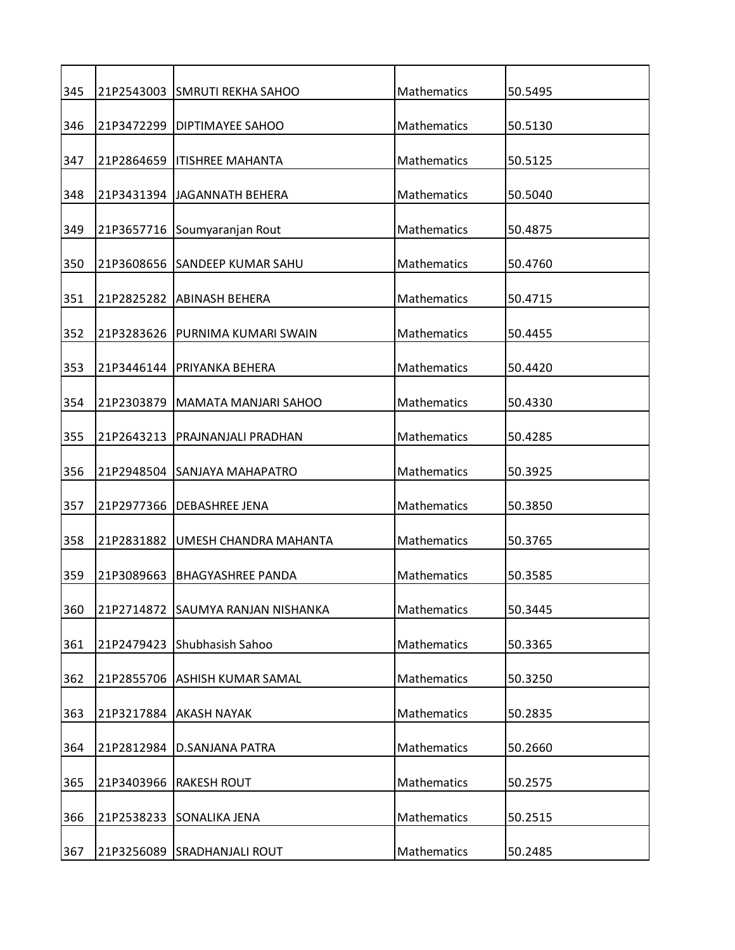| 345 |            | 21P2543003 SMRUTI REKHA SAHOO    | Mathematics        | 50.5495 |
|-----|------------|----------------------------------|--------------------|---------|
| 346 |            | 21P3472299   DIPTIMAYEE SAHOO    | Mathematics        | 50.5130 |
| 347 |            | 21P2864659   ITISHREE MAHANTA    | Mathematics        | 50.5125 |
| 348 |            | 21P3431394 JAGANNATH BEHERA      | Mathematics        | 50.5040 |
| 349 |            | 21P3657716 Soumyaranjan Rout     | Mathematics        | 50.4875 |
| 350 |            | 21P3608656 SANDEEP KUMAR SAHU    | Mathematics        | 50.4760 |
| 351 |            | 21P2825282 ABINASH BEHERA        | Mathematics        | 50.4715 |
| 352 |            | 21P3283626 IPURNIMA KUMARI SWAIN | Mathematics        | 50.4455 |
| 353 | 21P3446144 | <b>PRIYANKA BEHERA</b>           | Mathematics        | 50.4420 |
| 354 | 21P2303879 | MAMATA MANJARI SAHOO             | <b>Mathematics</b> | 50.4330 |
| 355 | 21P2643213 | PRAJNANJALI PRADHAN              | Mathematics        | 50.4285 |
| 356 |            | 21P2948504 SANJAYA MAHAPATRO     | Mathematics        | 50.3925 |
|     |            |                                  |                    |         |
| 357 |            | 21P2977366   DEBASHREE JENA      | Mathematics        | 50.3850 |
| 358 | 21P2831882 | UMESH CHANDRA MAHANTA            | Mathematics        | 50.3765 |
| 359 | 21P3089663 | <b>BHAGYASHREE PANDA</b>         | <b>Mathematics</b> | 50.3585 |
| 360 | 21P2714872 | SAUMYA RANJAN NISHANKA           | Mathematics        | 50.3445 |
| 361 | 21P2479423 | Shubhasish Sahoo                 | Mathematics        | 50.3365 |
| 362 |            | 21P2855706 ASHISH KUMAR SAMAL    | Mathematics        | 50.3250 |
| 363 | 21P3217884 | <b>AKASH NAYAK</b>               | Mathematics        | 50.2835 |
| 364 | 21P2812984 | <b>D.SANJANA PATRA</b>           | Mathematics        | 50.2660 |
| 365 | 21P3403966 | <b>RAKESH ROUT</b>               | Mathematics        | 50.2575 |
| 366 | 21P2538233 | SONALIKA JENA                    | Mathematics        | 50.2515 |
| 367 |            | 21P3256089 SRADHANJALI ROUT      | Mathematics        | 50.2485 |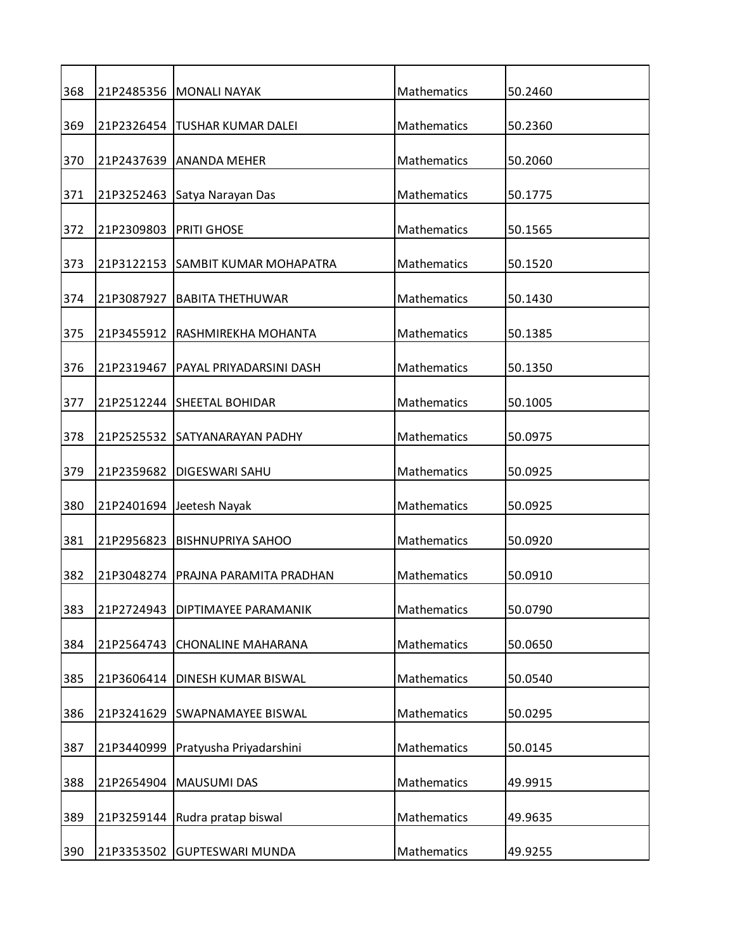| 368 |            | 21P2485356   MONALI NAYAK         | Mathematics        | 50.2460 |
|-----|------------|-----------------------------------|--------------------|---------|
| 369 | 21P2326454 | <b>TUSHAR KUMAR DALEI</b>         | Mathematics        | 50.2360 |
| 370 |            | 21P2437639 ANANDA MEHER           | Mathematics        | 50.2060 |
| 371 | 21P3252463 | Satya Narayan Das                 | <b>Mathematics</b> | 50.1775 |
| 372 | 21P2309803 | <b>PRITI GHOSE</b>                | Mathematics        | 50.1565 |
| 373 |            | 21P3122153 SAMBIT KUMAR MOHAPATRA | Mathematics        | 50.1520 |
| 374 | 21P3087927 | <b>BABITA THETHUWAR</b>           | Mathematics        | 50.1430 |
| 375 |            | 21P3455912 RASHMIREKHA MOHANTA    | Mathematics        | 50.1385 |
| 376 | 21P2319467 | PAYAL PRIYADARSINI DASH           | Mathematics        | 50.1350 |
| 377 |            | 21P2512244 SHEETAL BOHIDAR        | Mathematics        | 50.1005 |
| 378 |            | 21P2525532 SATYANARAYAN PADHY     | Mathematics        | 50.0975 |
| 379 | 21P2359682 | <b>DIGESWARI SAHU</b>             | Mathematics        | 50.0925 |
| 380 |            | 21P2401694 Jeetesh Nayak          | Mathematics        | 50.0925 |
| 381 | 21P2956823 | <b>BISHNUPRIYA SAHOO</b>          | Mathematics        | 50.0920 |
| 382 | 21P3048274 | IPRAJNA PARAMITA PRADHAN          | <b>Mathematics</b> | 50.0910 |
| 383 | 21P2724943 | DIPTIMAYEE PARAMANIK              | Mathematics        | 50.0790 |
| 384 | 21P2564743 | <b>CHONALINE MAHARANA</b>         | Mathematics        | 50.0650 |
| 385 | 21P3606414 | DINESH KUMAR BISWAL               | <b>Mathematics</b> | 50.0540 |
| 386 | 21P3241629 | <b>SWAPNAMAYEE BISWAL</b>         | Mathematics        | 50.0295 |
| 387 | 21P3440999 | Pratyusha Priyadarshini           | Mathematics        | 50.0145 |
| 388 | 21P2654904 | <b>MAUSUMI DAS</b>                | Mathematics        | 49.9915 |
| 389 | 21P3259144 | Rudra pratap biswal               | Mathematics        | 49.9635 |
| 390 | 21P3353502 | <b>GUPTESWARI MUNDA</b>           | Mathematics        | 49.9255 |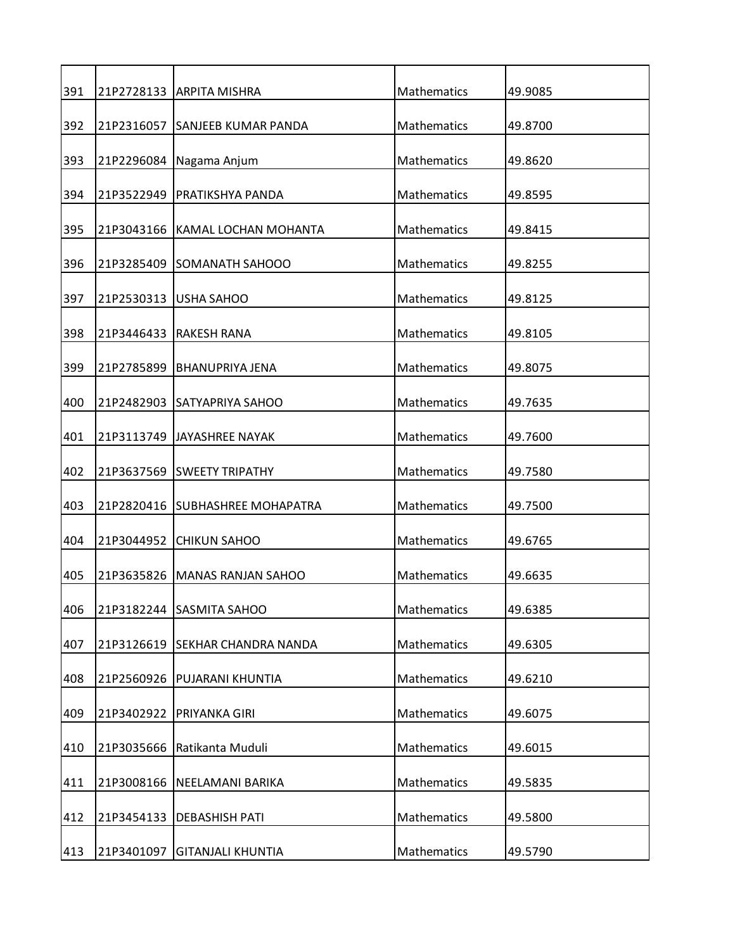| 391 |            | 21P2728133   ARPITA MISHRA      | Mathematics        | 49.9085 |
|-----|------------|---------------------------------|--------------------|---------|
| 392 |            | 21P2316057 SANJEEB KUMAR PANDA  | Mathematics        | 49.8700 |
| 393 |            | 21P2296084 Nagama Anjum         | Mathematics        | 49.8620 |
| 394 | 21P3522949 | PRATIKSHYA PANDA                | Mathematics        | 49.8595 |
|     |            |                                 |                    |         |
| 395 |            | 21P3043166 KAMAL LOCHAN MOHANTA | Mathematics        | 49.8415 |
| 396 |            | 21P3285409 SOMANATH SAHOOO      | Mathematics        | 49.8255 |
| 397 | 21P2530313 | <b>USHA SAHOO</b>               | Mathematics        | 49.8125 |
| 398 |            | 21P3446433 IRAKESH RANA         | Mathematics        | 49.8105 |
| 399 | 21P2785899 | <b>BHANUPRIYA JENA</b>          | Mathematics        | 49.8075 |
| 400 |            | 21P2482903 SATYAPRIYA SAHOO     | Mathematics        | 49.7635 |
| 401 |            | 21P3113749 JAYASHREE NAYAK      | Mathematics        | 49.7600 |
|     |            |                                 |                    |         |
| 402 |            | 21P3637569 SWEETY TRIPATHY      | Mathematics        | 49.7580 |
| 403 |            | 21P2820416 SUBHASHREE MOHAPATRA | Mathematics        | 49.7500 |
| 404 | 21P3044952 | <b>CHIKUN SAHOO</b>             | Mathematics        | 49.6765 |
| 405 |            | 21P3635826   MANAS RANJAN SAHOO | <b>Mathematics</b> | 49.6635 |
| 406 |            | 21P3182244 SASMITA SAHOO        | Mathematics        | 49.6385 |
| 407 |            | 21P3126619 SEKHAR CHANDRA NANDA | Mathematics        | 49.6305 |
| 408 | 21P2560926 | PUJARANI KHUNTIA                | Mathematics        | 49.6210 |
| 409 | 21P3402922 | PRIYANKA GIRI                   | Mathematics        | 49.6075 |
| 410 | 21P3035666 | Ratikanta Muduli                | Mathematics        | 49.6015 |
|     |            |                                 |                    |         |
| 411 | 21P3008166 | NEELAMANI BARIKA                | Mathematics        | 49.5835 |
| 412 | 21P3454133 | <b>DEBASHISH PATI</b>           | Mathematics        | 49.5800 |
| 413 | 21P3401097 | <b>GITANJALI KHUNTIA</b>        | Mathematics        | 49.5790 |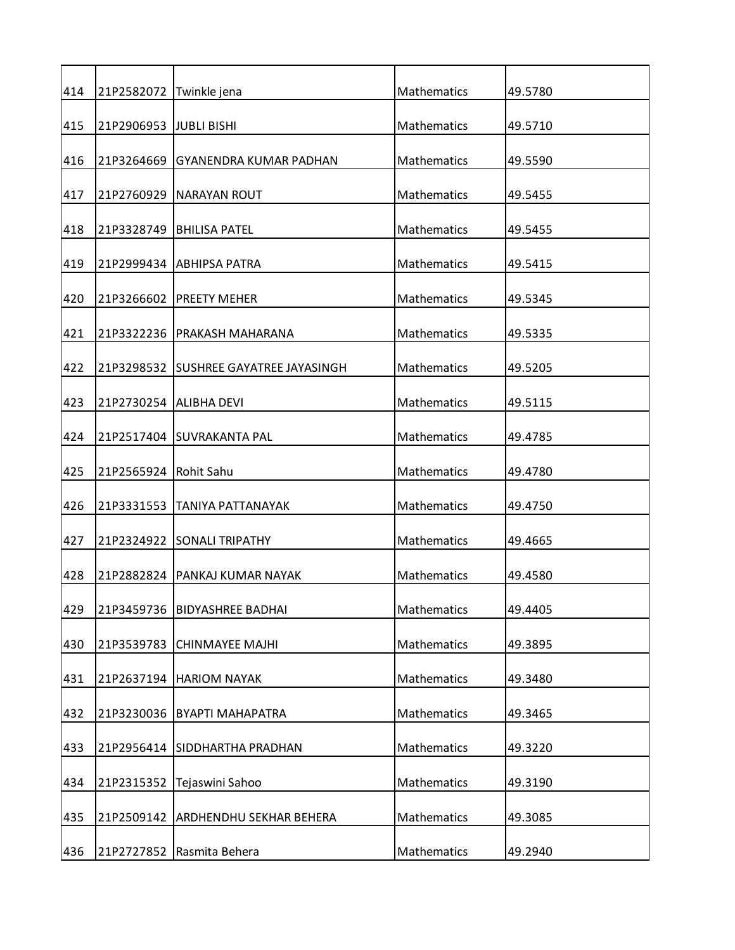| 414 | 21P2582072              | Twinkle jena                          | Mathematics        | 49.5780 |
|-----|-------------------------|---------------------------------------|--------------------|---------|
| 415 | 21P2906953 JJUBLI BISHI |                                       | Mathematics        | 49.5710 |
| 416 |                         | 21P3264669 GYANENDRA KUMAR PADHAN     | Mathematics        | 49.5590 |
| 417 |                         | 21P2760929   NARAYAN ROUT             | <b>Mathematics</b> | 49.5455 |
| 418 |                         | 21P3328749   BHILISA PATEL            | Mathematics        | 49.5455 |
| 419 |                         | 21P2999434 ABHIPSA PATRA              | Mathematics        | 49.5415 |
| 420 |                         | 21P3266602 PREETY MEHER               | Mathematics        | 49.5345 |
| 421 |                         | 21P3322236 IPRAKASH MAHARANA          | Mathematics        | 49.5335 |
| 422 |                         | 21P3298532 SUSHREE GAYATREE JAYASINGH | Mathematics        | 49.5205 |
| 423 | 21P2730254 ALIBHA DEVI  |                                       | Mathematics        | 49.5115 |
| 424 |                         | 21P2517404 SUVRAKANTA PAL             | Mathematics        | 49.4785 |
| 425 | 21P2565924   Rohit Sahu |                                       | Mathematics        | 49.4780 |
|     |                         |                                       |                    |         |
| 426 |                         | 21P3331553   TANIYA PATTANAYAK        | Mathematics        | 49.4750 |
| 427 |                         | 21P2324922 SONALI TRIPATHY            | Mathematics        | 49.4665 |
| 428 |                         | 21P2882824   PANKAJ KUMAR NAYAK       | <b>Mathematics</b> | 49.4580 |
| 429 | 21P3459736              | <b>BIDYASHREE BADHAI</b>              | Mathematics        | 49.4405 |
| 430 | 21P3539783              | <b>CHINMAYEE MAJHI</b>                | Mathematics        | 49.3895 |
| 431 | 21P2637194              | <b>HARIOM NAYAK</b>                   | Mathematics        | 49.3480 |
| 432 | 21P3230036              | <b>BYAPTI MAHAPATRA</b>               | Mathematics        | 49.3465 |
| 433 |                         | 21P2956414 SIDDHARTHA PRADHAN         | Mathematics        | 49.3220 |
| 434 | 21P2315352              | Tejaswini Sahoo                       | Mathematics        | 49.3190 |
| 435 | 21P2509142              | ARDHENDHU SEKHAR BEHERA               | Mathematics        | 49.3085 |
| 436 | 21P2727852              | Rasmita Behera                        | Mathematics        | 49.2940 |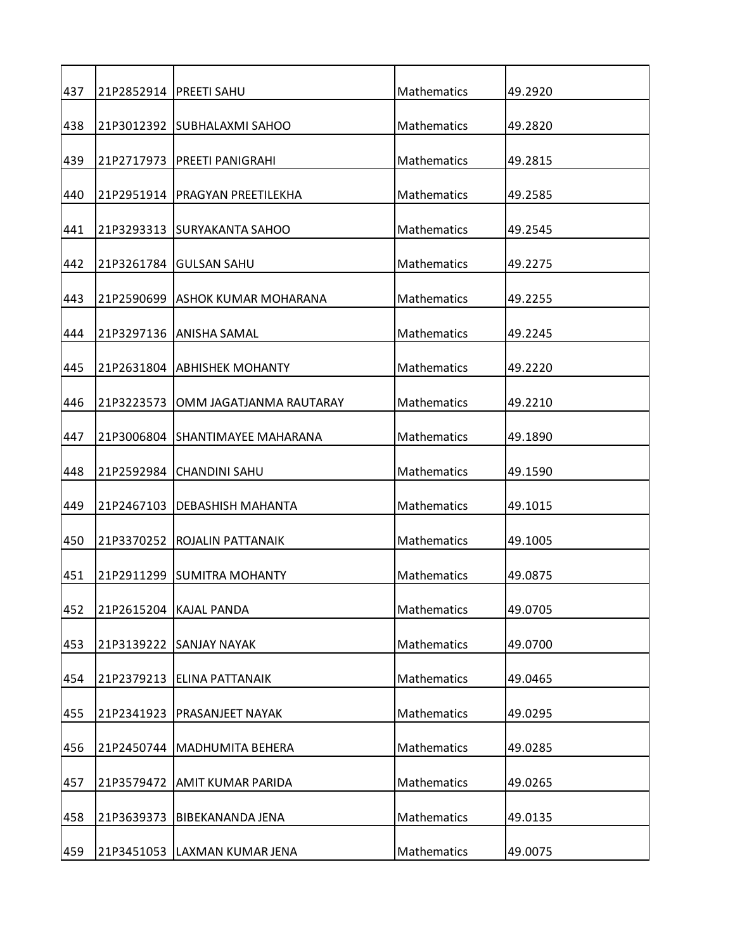| 437 |            | 21P2852914   PREETI SAHU         | Mathematics        | 49.2920 |
|-----|------------|----------------------------------|--------------------|---------|
| 438 |            | 21P3012392 SUBHALAXMI SAHOO      | Mathematics        | 49.2820 |
| 439 |            | 21P2717973   PREETI PANIGRAHI    | Mathematics        | 49.2815 |
| 440 |            | 21P2951914   PRAGYAN PREETILEKHA | Mathematics        | 49.2585 |
| 441 |            | 21P3293313 SURYAKANTA SAHOO      | Mathematics        | 49.2545 |
| 442 |            | 21P3261784 GULSAN SAHU           | Mathematics        | 49.2275 |
| 443 |            | 21P2590699 ASHOK KUMAR MOHARANA  | Mathematics        | 49.2255 |
| 444 |            | 21P3297136 JANISHA SAMAL         | Mathematics        | 49.2245 |
| 445 |            | 21P2631804 ABHISHEK MOHANTY      | <b>Mathematics</b> | 49.2220 |
| 446 | 21P3223573 | OMM JAGATJANMA RAUTARAY          | Mathematics        | 49.2210 |
| 447 |            | 21P3006804 SHANTIMAYEE MAHARANA  | Mathematics        | 49.1890 |
| 448 |            | 21P2592984 CHANDINI SAHU         | Mathematics        | 49.1590 |
| 449 |            | 21P2467103   DEBASHISH MAHANTA   | Mathematics        | 49.1015 |
| 450 | 21P3370252 | <b>ROJALIN PATTANAIK</b>         | Mathematics        | 49.1005 |
| 451 |            | 21P2911299 ISUMITRA MOHANTY      | <b>Mathematics</b> | 49.0875 |
| 452 | 21P2615204 | <b>KAJAL PANDA</b>               | Mathematics        | 49.0705 |
| 453 | 21P3139222 | <b>SANJAY NAYAK</b>              | Mathematics        | 49.0700 |
| 454 | 21P2379213 | <b>ELINA PATTANAIK</b>           | Mathematics        | 49.0465 |
| 455 | 21P2341923 | PRASANJEET NAYAK                 | Mathematics        | 49.0295 |
| 456 | 21P2450744 | <b>MADHUMITA BEHERA</b>          | Mathematics        | 49.0285 |
| 457 | 21P3579472 | <b>AMIT KUMAR PARIDA</b>         | Mathematics        | 49.0265 |
| 458 | 21P3639373 | BIBEKANANDA JENA                 | Mathematics        | 49.0135 |
| 459 |            | 21P3451053 LAXMAN KUMAR JENA     | Mathematics        | 49.0075 |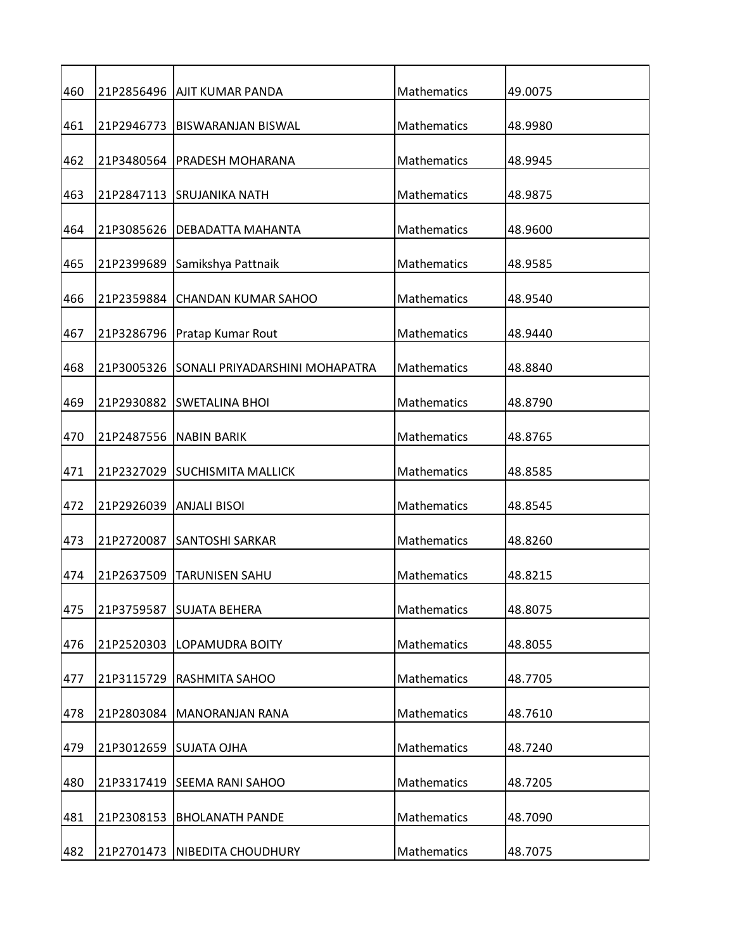| 460 |                         | 21P2856496   AJIT KUMAR PANDA         | Mathematics | 49.0075 |
|-----|-------------------------|---------------------------------------|-------------|---------|
| 461 |                         | 21P2946773   BISWARANJAN BISWAL       | Mathematics | 48.9980 |
| 462 |                         | 21P3480564   PRADESH MOHARANA         | Mathematics | 48.9945 |
| 463 |                         | 21P2847113 SRUJANIKA NATH             | Mathematics | 48.9875 |
| 464 | 21P3085626              | DEBADATTA MAHANTA                     | Mathematics | 48.9600 |
| 465 |                         | 21P2399689 Samikshya Pattnaik         | Mathematics | 48.9585 |
| 466 |                         | 21P2359884 CHANDAN KUMAR SAHOO        | Mathematics | 48.9540 |
| 467 |                         | 21P3286796 Pratap Kumar Rout          | Mathematics | 48.9440 |
| 468 | 21P3005326              | <b>SONALI PRIYADARSHINI MOHAPATRA</b> | Mathematics | 48.8840 |
| 469 | 21P2930882              | <b>SWETALINA BHOI</b>                 | Mathematics | 48.8790 |
| 470 |                         | 21P2487556 NABIN BARIK                | Mathematics | 48.8765 |
| 471 |                         | 21P2327029 SUCHISMITA MALLICK         | Mathematics | 48.8585 |
| 472 | 21P2926039 ANJALI BISOI |                                       | Mathematics | 48.8545 |
| 473 | 21P2720087              | <b>SANTOSHI SARKAR</b>                | Mathematics | 48.8260 |
| 474 | 21P2637509              | <b>TARUNISEN SAHU</b>                 | Mathematics | 48.8215 |
| 475 | 21P3759587              | <b>SUJATA BEHERA</b>                  | Mathematics | 48.8075 |
| 476 | 21P2520303              | LOPAMUDRA BOITY                       | Mathematics | 48.8055 |
| 477 |                         | 21P3115729 RASHMITA SAHOO             | Mathematics | 48.7705 |
| 478 | 21P2803084              | <b>MANORANJAN RANA</b>                | Mathematics | 48.7610 |
| 479 |                         | 21P3012659 SUJATA OJHA                | Mathematics | 48.7240 |
| 480 |                         | 21P3317419 SEEMA RANI SAHOO           | Mathematics | 48.7205 |
| 481 | 21P2308153              | <b>BHOLANATH PANDE</b>                | Mathematics | 48.7090 |
| 482 |                         | 21P2701473   NIBEDITA CHOUDHURY       | Mathematics | 48.7075 |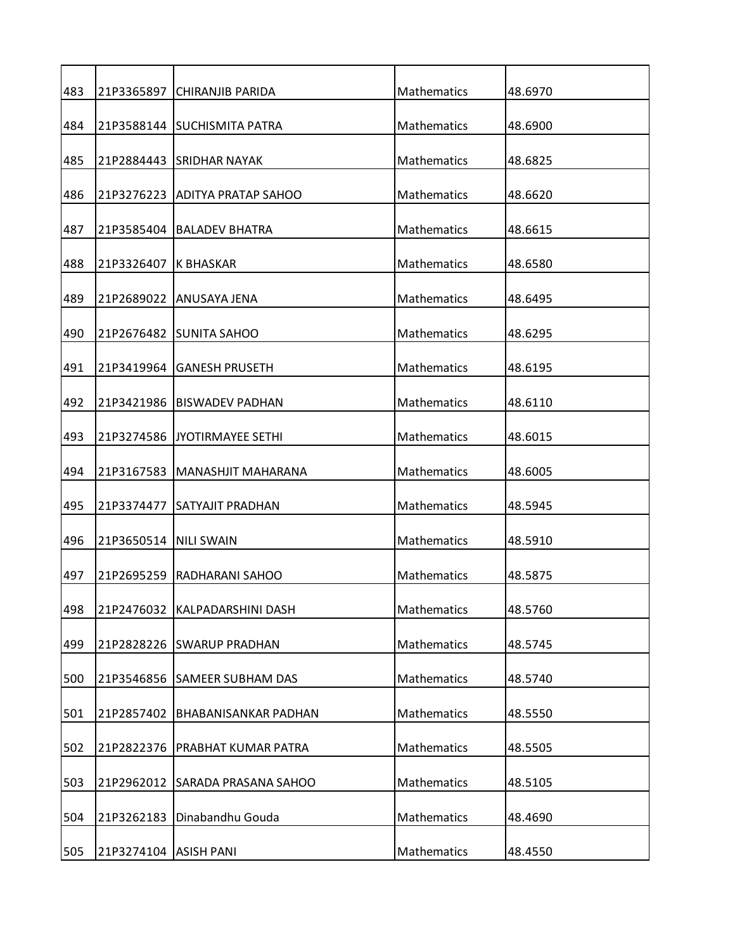| 483 |                         | 21P3365897 CHIRANJIB PARIDA     | Mathematics        | 48.6970 |
|-----|-------------------------|---------------------------------|--------------------|---------|
| 484 |                         | 21P3588144 SUCHISMITA PATRA     | Mathematics        | 48.6900 |
| 485 |                         | 21P2884443 ISRIDHAR NAYAK       | Mathematics        | 48.6825 |
| 486 |                         | 21P3276223 IADITYA PRATAP SAHOO | Mathematics        | 48.6620 |
| 487 | 21P3585404              | IBALADEV BHATRA                 | Mathematics        | 48.6615 |
| 488 | 21P3326407 K BHASKAR    |                                 | Mathematics        | 48.6580 |
| 489 |                         | 21P2689022 ANUSAYA JENA         | Mathematics        | 48.6495 |
| 490 |                         | 21P2676482 ISUNITA SAHOO        | Mathematics        | 48.6295 |
| 491 |                         | 21P3419964 GANESH PRUSETH       | Mathematics        | 48.6195 |
| 492 | 21P3421986              | IBISWADEV PADHAN                | Mathematics        | 48.6110 |
| 493 |                         | 21P3274586 JJYOTIRMAYEE SETHI   | Mathematics        | 48.6015 |
|     |                         |                                 |                    |         |
| 494 | 21P3167583              | MANASHJIT MAHARANA              | Mathematics        | 48.6005 |
| 495 |                         | 21P3374477 SATYAJIT PRADHAN     | Mathematics        | 48.5945 |
| 496 | 21P3650514   NILI SWAIN |                                 | Mathematics        | 48.5910 |
| 497 |                         | 21P2695259 RADHARANI SAHOO      | <b>Mathematics</b> | 48.5875 |
| 498 | 21P2476032              | KALPADARSHINI DASH              | Mathematics        | 48.5760 |
| 499 |                         | 21P2828226 SWARUP PRADHAN       | Mathematics        | 48.5745 |
| 500 | 21P3546856              | <b>SAMEER SUBHAM DAS</b>        | <b>Mathematics</b> | 48.5740 |
| 501 | 21P2857402              | BHABANISANKAR PADHAN            | Mathematics        | 48.5550 |
| 502 | 21P2822376              | PRABHAT KUMAR PATRA             | Mathematics        | 48.5505 |
| 503 | 21P2962012              | SARADA PRASANA SAHOO            | Mathematics        | 48.5105 |
| 504 | 21P3262183              | Dinabandhu Gouda                | Mathematics        | 48.4690 |
| 505 | 21P3274104   ASISH PANI |                                 | Mathematics        | 48.4550 |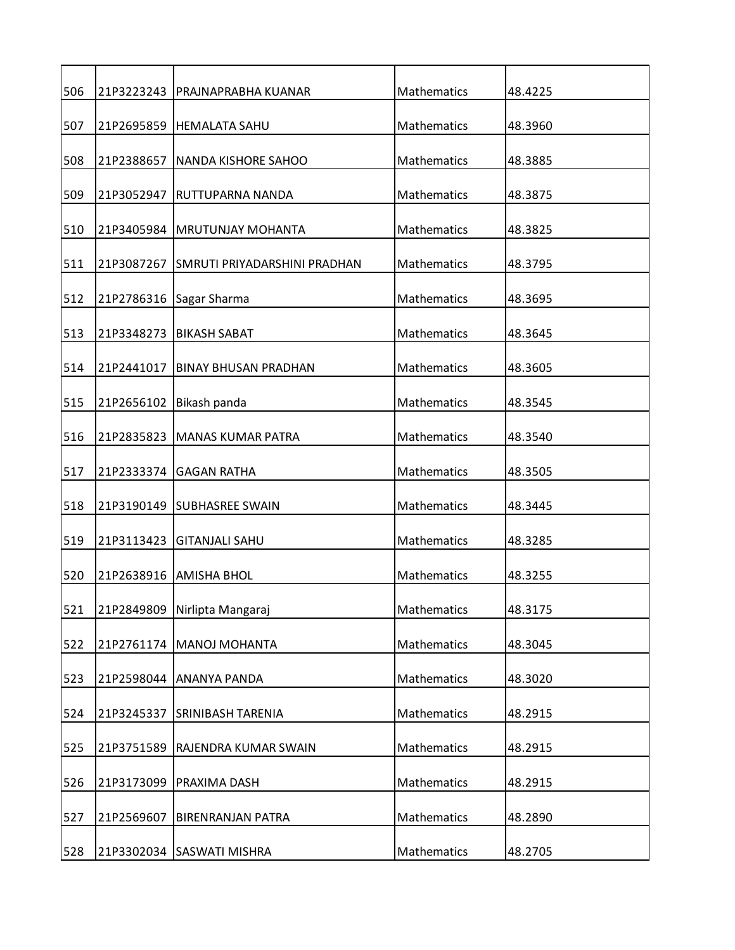| 506 |            | 21P3223243   PRAJNAPRABHA KUANAR        | Mathematics        | 48.4225 |
|-----|------------|-----------------------------------------|--------------------|---------|
| 507 | 21P2695859 | <b>HEMALATA SAHU</b>                    | Mathematics        | 48.3960 |
| 508 | 21P2388657 | NANDA KISHORE SAHOO                     | Mathematics        | 48.3885 |
| 509 | 21P3052947 | RUTTUPARNA NANDA                        | Mathematics        | 48.3875 |
| 510 | 21P3405984 | <b>MRUTUNJAY MOHANTA</b>                | Mathematics        | 48.3825 |
| 511 |            | 21P3087267 SMRUTI PRIYADARSHINI PRADHAN | Mathematics        | 48.3795 |
| 512 | 21P2786316 | Sagar Sharma                            | Mathematics        | 48.3695 |
| 513 |            | 21P3348273   BIKASH SABAT               | Mathematics        | 48.3645 |
| 514 | 21P2441017 | <b>BINAY BHUSAN PRADHAN</b>             | Mathematics        | 48.3605 |
| 515 | 21P2656102 | Bikash panda                            | Mathematics        | 48.3545 |
| 516 | 21P2835823 | <b>MANAS KUMAR PATRA</b>                | Mathematics        | 48.3540 |
|     |            |                                         |                    |         |
| 517 |            | 21P2333374 GAGAN RATHA                  | Mathematics        | 48.3505 |
| 518 |            | 21P3190149 SUBHASREE SWAIN              | Mathematics        | 48.3445 |
| 519 | 21P3113423 | <b>GITANJALI SAHU</b>                   | Mathematics        | 48.3285 |
| 520 |            | 21P2638916 AMISHA BHOL                  | Mathematics        | 48.3255 |
| 521 | 21P2849809 | Nirlipta Mangaraj                       | Mathematics        | 48.3175 |
| 522 |            | 21P2761174   MANOJ MOHANTA              | Mathematics        | 48.3045 |
| 523 |            | 21P2598044 ANANYA PANDA                 | Mathematics        | 48.3020 |
| 524 | 21P3245337 | <b>SRINIBASH TARENIA</b>                | Mathematics        | 48.2915 |
| 525 | 21P3751589 | RAJENDRA KUMAR SWAIN                    | <b>Mathematics</b> | 48.2915 |
| 526 | 21P3173099 | PRAXIMA DASH                            | Mathematics        | 48.2915 |
| 527 | 21P2569607 | <b>BIRENRANJAN PATRA</b>                | Mathematics        | 48.2890 |
| 528 |            | 21P3302034 SASWATI MISHRA               | Mathematics        | 48.2705 |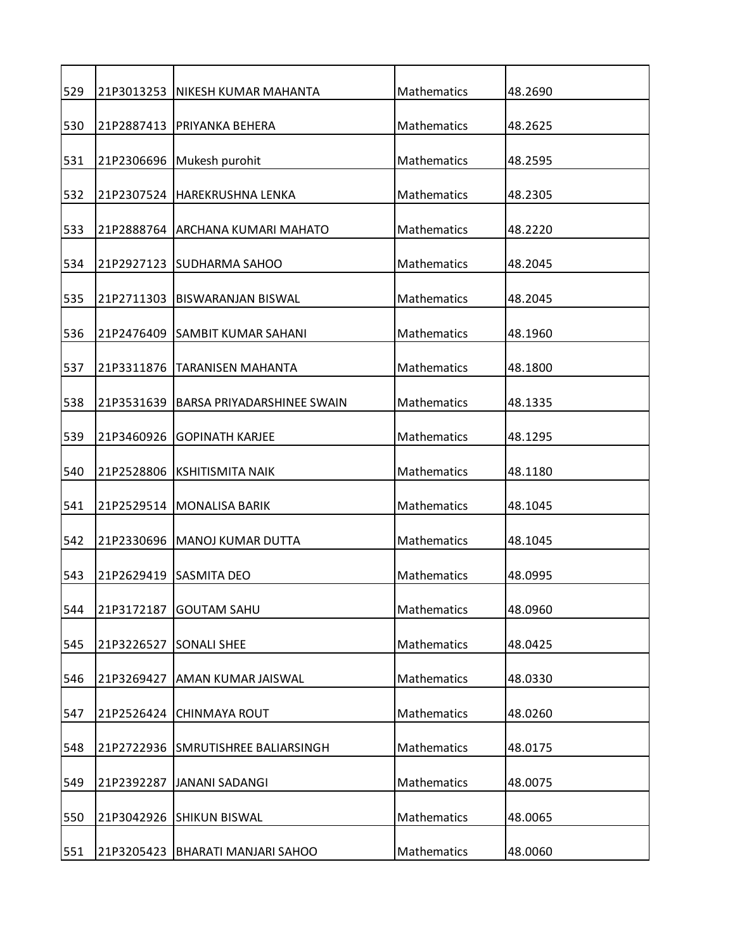| 529 |            | 21P3013253   NIKESH KUMAR MAHANTA  | Mathematics | 48.2690 |
|-----|------------|------------------------------------|-------------|---------|
| 530 | 21P2887413 | PRIYANKA BEHERA                    | Mathematics | 48.2625 |
| 531 |            | 21P2306696 Mukesh purohit          | Mathematics | 48.2595 |
| 532 |            | 21P2307524 HAREKRUSHNA LENKA       | Mathematics | 48.2305 |
| 533 |            | 21P2888764 ARCHANA KUMARI MAHATO   | Mathematics | 48.2220 |
| 534 |            | 21P2927123 SUDHARMA SAHOO          | Mathematics | 48.2045 |
| 535 | 21P2711303 | IBISWARANJAN BISWAL                | Mathematics | 48.2045 |
| 536 |            | 21P2476409 SAMBIT KUMAR SAHANI     | Mathematics | 48.1960 |
| 537 | 21P3311876 | <b>TARANISEN MAHANTA</b>           | Mathematics | 48.1800 |
| 538 | 21P3531639 | BARSA PRIYADARSHINEE SWAIN         | Mathematics | 48.1335 |
|     | 21P3460926 |                                    | Mathematics |         |
| 539 |            | <b>GOPINATH KARJEE</b>             |             | 48.1295 |
| 540 | 21P2528806 | <b>KSHITISMITA NAIK</b>            | Mathematics | 48.1180 |
| 541 |            | 21P2529514   MONALISA BARIK        | Mathematics | 48.1045 |
| 542 | 21P2330696 | MANOJ KUMAR DUTTA                  | Mathematics | 48.1045 |
| 543 |            | 21P2629419 SASMITA DEO             | Mathematics | 48.0995 |
| 544 | 21P3172187 | <b>GOUTAM SAHU</b>                 | Mathematics | 48.0960 |
| 545 | 21P3226527 | <b>SONALI SHEE</b>                 | Mathematics | 48.0425 |
| 546 | 21P3269427 | <b>AMAN KUMAR JAISWAL</b>          | Mathematics | 48.0330 |
| 547 | 21P2526424 | <b>CHINMAYA ROUT</b>               | Mathematics | 48.0260 |
| 548 |            | 21P2722936 SMRUTISHREE BALIARSINGH | Mathematics | 48.0175 |
| 549 | 21P2392287 | <b>JANANI SADANGI</b>              | Mathematics | 48.0075 |
|     |            |                                    |             |         |
| 550 |            | 21P3042926 SHIKUN BISWAL           | Mathematics | 48.0065 |
| 551 | 21P3205423 | <b>BHARATI MANJARI SAHOO</b>       | Mathematics | 48.0060 |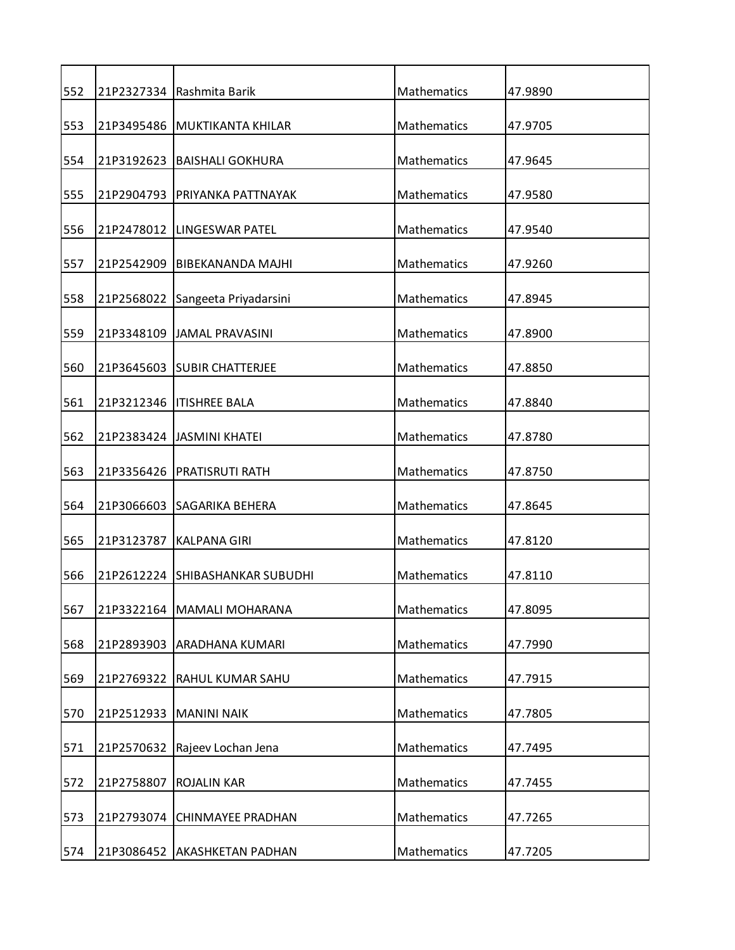| 552 |            | 21P2327334 Rashmita Barik       | Mathematics        | 47.9890 |
|-----|------------|---------------------------------|--------------------|---------|
| 553 |            | 21P3495486 MUKTIKANTA KHILAR    | Mathematics        | 47.9705 |
| 554 |            | 21P3192623   BAISHALI GOKHURA   | Mathematics        | 47.9645 |
| 555 | 21P2904793 | IPRIYANKA PATTNAYAK             | <b>Mathematics</b> | 47.9580 |
| 556 | 21P2478012 | LINGESWAR PATEL                 | Mathematics        | 47.9540 |
| 557 |            | 21P2542909 BIBEKANANDA MAJHI    | Mathematics        | 47.9260 |
| 558 | 21P2568022 | Sangeeta Priyadarsini           | Mathematics        | 47.8945 |
| 559 |            | 21P3348109  JAMAL PRAVASINI     | Mathematics        | 47.8900 |
| 560 |            | 21P3645603 SUBIR CHATTERJEE     | Mathematics        | 47.8850 |
| 561 |            | 21P3212346   ITISHREE BALA      | Mathematics        | 47.8840 |
| 562 |            | 21P2383424   JASMINI KHATEI     | Mathematics        | 47.8780 |
|     |            |                                 |                    |         |
| 563 | 21P3356426 | <b>PRATISRUTI RATH</b>          | Mathematics        | 47.8750 |
| 564 |            | 21P3066603 SAGARIKA BEHERA      | Mathematics        | 47.8645 |
| 565 | 21P3123787 | <b>KALPANA GIRI</b>             | Mathematics        | 47.8120 |
| 566 |            | 21P2612224 SHIBASHANKAR SUBUDHI | Mathematics        | 47.8110 |
| 567 |            | 21P3322164   MAMALI MOHARANA    | Mathematics        | 47.8095 |
| 568 |            | 21P2893903 ARADHANA KUMARI      | Mathematics        | 47.7990 |
| 569 | 21P2769322 | <b>RAHUL KUMAR SAHU</b>         | Mathematics        | 47.7915 |
| 570 | 21P2512933 | <b>MANINI NAIK</b>              | Mathematics        | 47.7805 |
| 571 | 21P2570632 | Rajeev Lochan Jena              | Mathematics        | 47.7495 |
| 572 | 21P2758807 | <b>ROJALIN KAR</b>              | Mathematics        | 47.7455 |
| 573 |            | 21P2793074 CHINMAYEE PRADHAN    | Mathematics        | 47.7265 |
| 574 |            | 21P3086452 AKASHKETAN PADHAN    | Mathematics        | 47.7205 |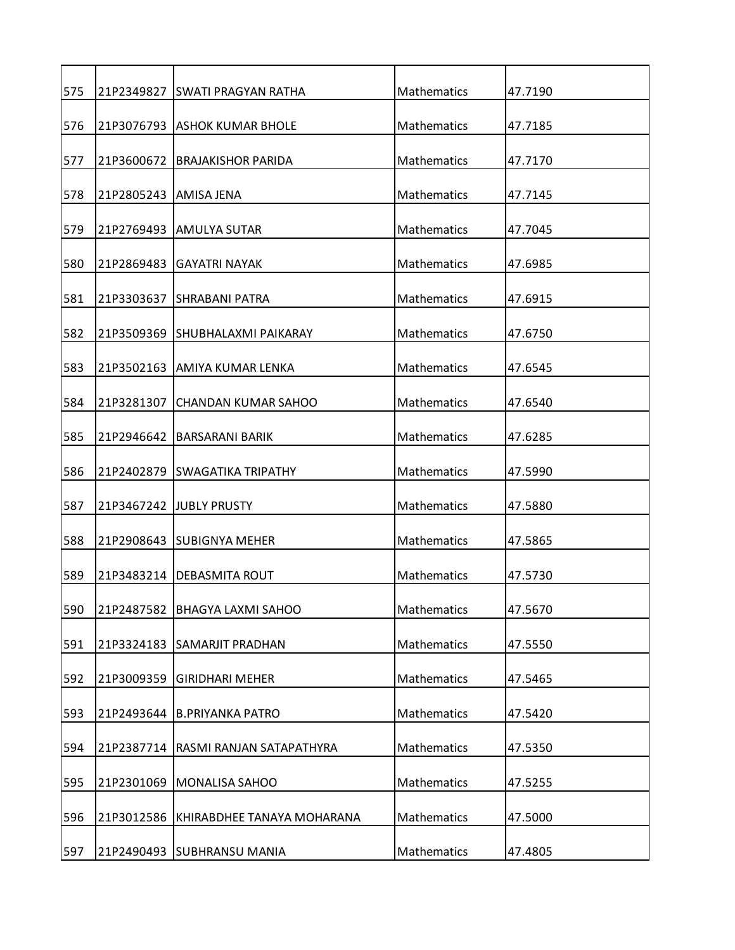| 575 |            | 21P2349827 ISWATI PRAGYAN RATHA  | Mathematics        | 47.7190 |
|-----|------------|----------------------------------|--------------------|---------|
| 576 |            | 21P3076793 ASHOK KUMAR BHOLE     | Mathematics        | 47.7185 |
| 577 |            | 21P3600672 BRAJAKISHOR PARIDA    | Mathematics        | 47.7170 |
| 578 | 21P2805243 | AMISA JENA                       | Mathematics        | 47.7145 |
| 579 |            | 21P2769493   AMULYA SUTAR        | Mathematics        | 47.7045 |
| 580 |            | 21P2869483 GAYATRI NAYAK         | Mathematics        | 47.6985 |
| 581 | 21P3303637 | <b>ISHRABANI PATRA</b>           | Mathematics        | 47.6915 |
| 582 |            | 21P3509369 ISHUBHALAXMI PAIKARAY | Mathematics        | 47.6750 |
| 583 | 21P3502163 | AMIYA KUMAR LENKA                | Mathematics        | 47.6545 |
| 584 | 21P3281307 | <b>CHANDAN KUMAR SAHOO</b>       | Mathematics        | 47.6540 |
| 585 | 21P2946642 | BARSARANI BARIK                  | Mathematics        | 47.6285 |
| 586 |            | 21P2402879 SWAGATIKA TRIPATHY    | Mathematics        | 47.5990 |
| 587 |            | 21P3467242 IJUBLY PRUSTY         | Mathematics        | 47.5880 |
| 588 |            | 21P2908643 SUBIGNYA MEHER        | Mathematics        | 47.5865 |
| 589 |            | 21P3483214 IDEBASMITA ROUT       | <b>Mathematics</b> | 47.5730 |
| 590 | 21P2487582 | <b>BHAGYA LAXMI SAHOO</b>        | Mathematics        | 47.5670 |
| 591 | 21P3324183 | <b>SAMARJIT PRADHAN</b>          | Mathematics        | 47.5550 |
| 592 | 21P3009359 | <b>GIRIDHARI MEHER</b>           | Mathematics        | 47.5465 |
| 593 | 21P2493644 | <b>B.PRIYANKA PATRO</b>          | Mathematics        | 47.5420 |
| 594 | 21P2387714 | RASMI RANJAN SATAPATHYRA         | Mathematics        | 47.5350 |
| 595 | 21P2301069 | MONALISA SAHOO                   | Mathematics        | 47.5255 |
| 596 | 21P3012586 | KHIRABDHEE TANAYA MOHARANA       | Mathematics        | 47.5000 |
| 597 |            | 21P2490493 SUBHRANSU MANIA       | Mathematics        | 47.4805 |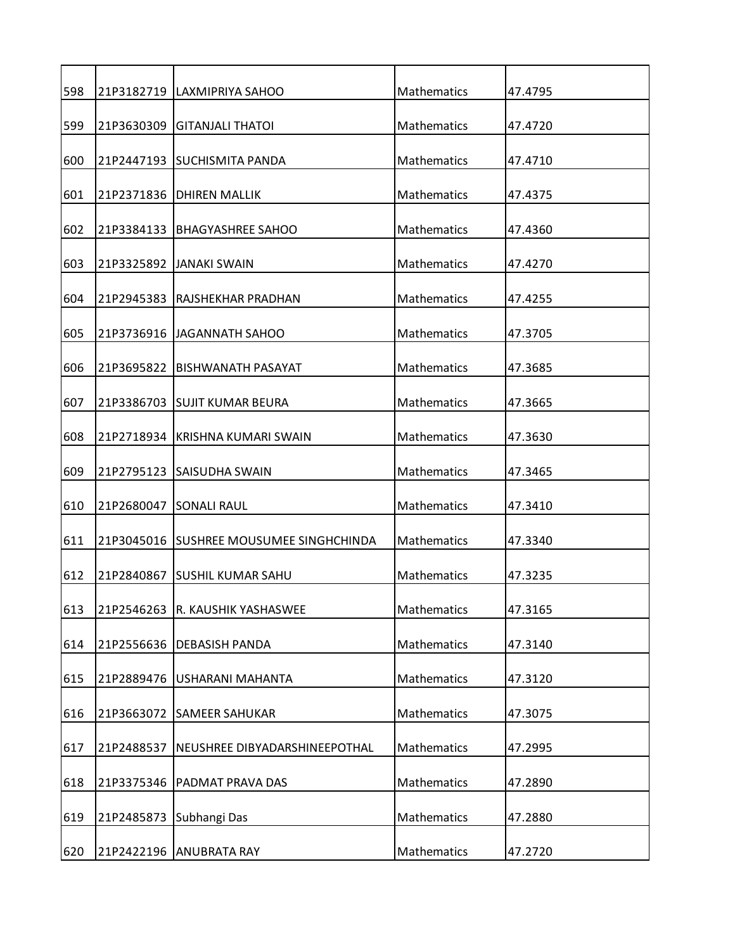| 598 |            | 21P3182719   LAXMIPRIYA SAHOO           | Mathematics        | 47.4795 |
|-----|------------|-----------------------------------------|--------------------|---------|
| 599 | 21P3630309 | IGITANJALI THATOI                       | <b>Mathematics</b> | 47.4720 |
| 600 |            | 21P2447193 SUCHISMITA PANDA             | Mathematics        | 47.4710 |
| 601 | 21P2371836 | <b>DHIREN MALLIK</b>                    | <b>Mathematics</b> | 47.4375 |
| 602 |            | 21P3384133 BHAGYASHREE SAHOO            | Mathematics        | 47.4360 |
| 603 |            | 21P3325892 JJANAKI SWAIN                | <b>Mathematics</b> | 47.4270 |
| 604 | 21P2945383 | <b>RAJSHEKHAR PRADHAN</b>               | Mathematics        | 47.4255 |
| 605 |            | 21P3736916 JJAGANNATH SAHOO             | <b>Mathematics</b> | 47.3705 |
| 606 | 21P3695822 | <b>BISHWANATH PASAYAT</b>               | Mathematics        | 47.3685 |
|     |            |                                         |                    |         |
| 607 |            | 21P3386703 ISUJIT KUMAR BEURA           | Mathematics        | 47.3665 |
| 608 |            | 21P2718934 KRISHNA KUMARI SWAIN         | <b>Mathematics</b> | 47.3630 |
| 609 |            | 21P2795123 SAISUDHA SWAIN               | Mathematics        | 47.3465 |
| 610 |            | 21P2680047 SONALI RAUL                  | <b>Mathematics</b> | 47.3410 |
| 611 |            | 21P3045016 SUSHREE MOUSUMEE SINGHCHINDA | Mathematics        | 47.3340 |
| 612 | 21P2840867 | <b>ISUSHIL KUMAR SAHU</b>               | <b>Mathematics</b> | 47.3235 |
| 613 | 21P2546263 | R. KAUSHIK YASHASWEE                    | Mathematics        | 47.3165 |
| 614 | 21P2556636 | <b>DEBASISH PANDA</b>                   | Mathematics        | 47.3140 |
| 615 | 21P2889476 | <b>USHARANI MAHANTA</b>                 | Mathematics        | 47.3120 |
| 616 | 21P3663072 | <b>SAMEER SAHUKAR</b>                   | Mathematics        | 47.3075 |
| 617 | 21P2488537 | NEUSHREE DIBYADARSHINEEPOTHAL           | Mathematics        | 47.2995 |
| 618 | 21P3375346 | PADMAT PRAVA DAS                        | Mathematics        | 47.2890 |
| 619 | 21P2485873 | Subhangi Das                            | Mathematics        | 47.2880 |
| 620 |            | 21P2422196 ANUBRATA RAY                 | Mathematics        | 47.2720 |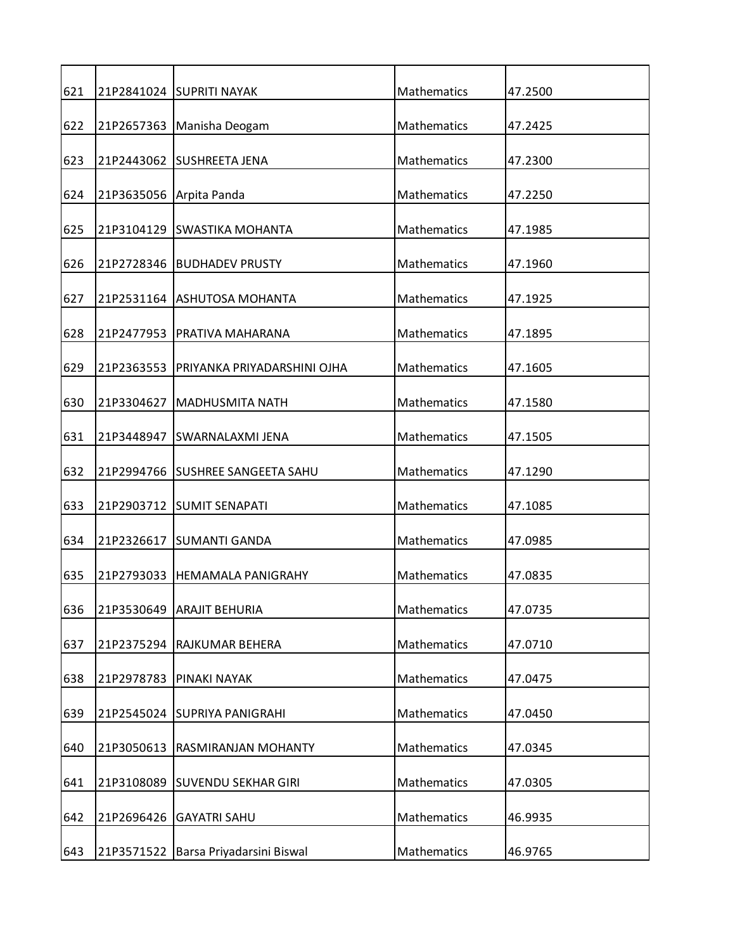| 621 |            | 21P2841024 SUPRITI NAYAK         | Mathematics        | 47.2500 |
|-----|------------|----------------------------------|--------------------|---------|
| 622 | 21P2657363 | Manisha Deogam                   | Mathematics        | 47.2425 |
| 623 |            | 21P2443062 SUSHREETA JENA        | Mathematics        | 47.2300 |
| 624 |            | 21P3635056 Arpita Panda          | <b>Mathematics</b> | 47.2250 |
| 625 |            | 21P3104129 SWASTIKA MOHANTA      | Mathematics        | 47.1985 |
| 626 |            | 21P2728346  BUDHADEV PRUSTY      | Mathematics        | 47.1960 |
|     |            |                                  |                    |         |
| 627 |            | 21P2531164 ASHUTOSA MOHANTA      | Mathematics        | 47.1925 |
| 628 |            | 21P2477953   PRATIVA MAHARANA    | Mathematics        | 47.1895 |
| 629 | 21P2363553 | PRIYANKA PRIYADARSHINI OJHA      | Mathematics        | 47.1605 |
| 630 | 21P3304627 | <b>MADHUSMITA NATH</b>           | Mathematics        | 47.1580 |
| 631 | 21P3448947 | <b>SWARNALAXMI JENA</b>          | Mathematics        | 47.1505 |
| 632 |            | 21P2994766 SUSHREE SANGEETA SAHU | Mathematics        | 47.1290 |
| 633 |            | 21P2903712 SUMIT SENAPATI        | Mathematics        | 47.1085 |
|     |            |                                  |                    |         |
| 634 | 21P2326617 | <b>SUMANTI GANDA</b>             | Mathematics        | 47.0985 |
| 635 | 21P2793033 | <b>HEMAMALA PANIGRAHY</b>        | Mathematics        | 47.0835 |
| 636 |            | 21P3530649 ARAJIT BEHURIA        | Mathematics        | 47.0735 |
| 637 | 21P2375294 | RAJKUMAR BEHERA                  | Mathematics        | 47.0710 |
| 638 | 21P2978783 | PINAKI NAYAK                     | Mathematics        | 47.0475 |
| 639 |            | 21P2545024 SUPRIYA PANIGRAHI     | Mathematics        | 47.0450 |
| 640 | 21P3050613 | RASMIRANJAN MOHANTY              | <b>Mathematics</b> | 47.0345 |
|     |            |                                  |                    |         |
| 641 | 21P3108089 | <b>SUVENDU SEKHAR GIRI</b>       | Mathematics        | 47.0305 |
| 642 | 21P2696426 | <b>GAYATRI SAHU</b>              | Mathematics        | 46.9935 |
| 643 | 21P3571522 | Barsa Priyadarsini Biswal        | Mathematics        | 46.9765 |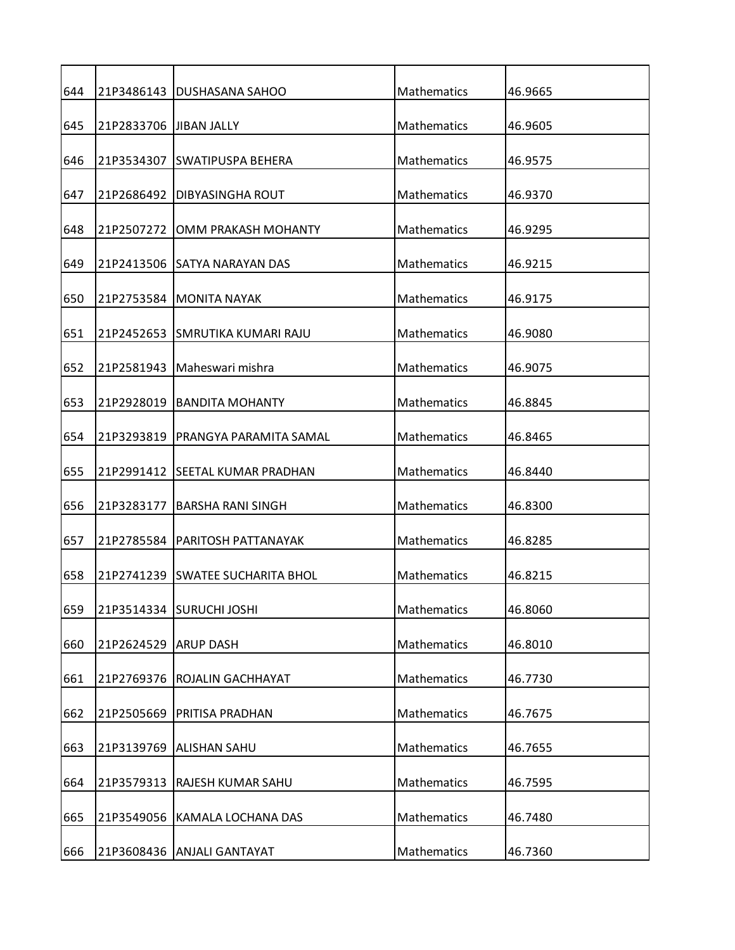| 644 |                         | 21P3486143   DUSHASANA SAHOO     | Mathematics        | 46.9665 |
|-----|-------------------------|----------------------------------|--------------------|---------|
| 645 | 21P2833706 JJIBAN JALLY |                                  | Mathematics        | 46.9605 |
| 646 |                         | 21P3534307 SWATIPUSPA BEHERA     | Mathematics        | 46.9575 |
| 647 | 21P2686492              | DIBYASINGHA ROUT                 | Mathematics        | 46.9370 |
| 648 | 21P2507272              | OMM PRAKASH MOHANTY              | Mathematics        | 46.9295 |
| 649 |                         | 21P2413506 SATYA NARAYAN DAS     | Mathematics        | 46.9215 |
| 650 |                         | 21P2753584 MONITA NAYAK          | Mathematics        | 46.9175 |
| 651 |                         | 21P2452653 SMRUTIKA KUMARI RAJU  | Mathematics        | 46.9080 |
| 652 | 21P2581943              | Maheswari mishra                 | <b>Mathematics</b> | 46.9075 |
| 653 | 21P2928019              | <b>BANDITA MOHANTY</b>           | Mathematics        | 46.8845 |
| 654 | 21P3293819              | IPRANGYA PARAMITA SAMAL          | Mathematics        | 46.8465 |
|     |                         |                                  |                    |         |
| 655 |                         | 21P2991412 SEETAL KUMAR PRADHAN  | Mathematics        | 46.8440 |
| 656 |                         | 21P3283177   BARSHA RANI SINGH   | Mathematics        | 46.8300 |
| 657 |                         | 21P2785584   PARITOSH PATTANAYAK | Mathematics        | 46.8285 |
| 658 |                         | 21P2741239 SWATEE SUCHARITA BHOL | <b>Mathematics</b> | 46.8215 |
| 659 |                         | 21P3514334 SURUCHI JOSHI         | Mathematics        | 46.8060 |
| 660 | 21P2624529 ARUP DASH    |                                  | Mathematics        | 46.8010 |
| 661 | 21P2769376              | ROJALIN GACHHAYAT                | Mathematics        | 46.7730 |
| 662 | 21P2505669              | PRITISA PRADHAN                  | Mathematics        | 46.7675 |
| 663 |                         | 21P3139769 ALISHAN SAHU          | <b>Mathematics</b> | 46.7655 |
| 664 | 21P3579313              | RAJESH KUMAR SAHU                | Mathematics        | 46.7595 |
| 665 | 21P3549056              | KAMALA LOCHANA DAS               | Mathematics        | 46.7480 |
| 666 |                         | 21P3608436 ANJALI GANTAYAT       | Mathematics        | 46.7360 |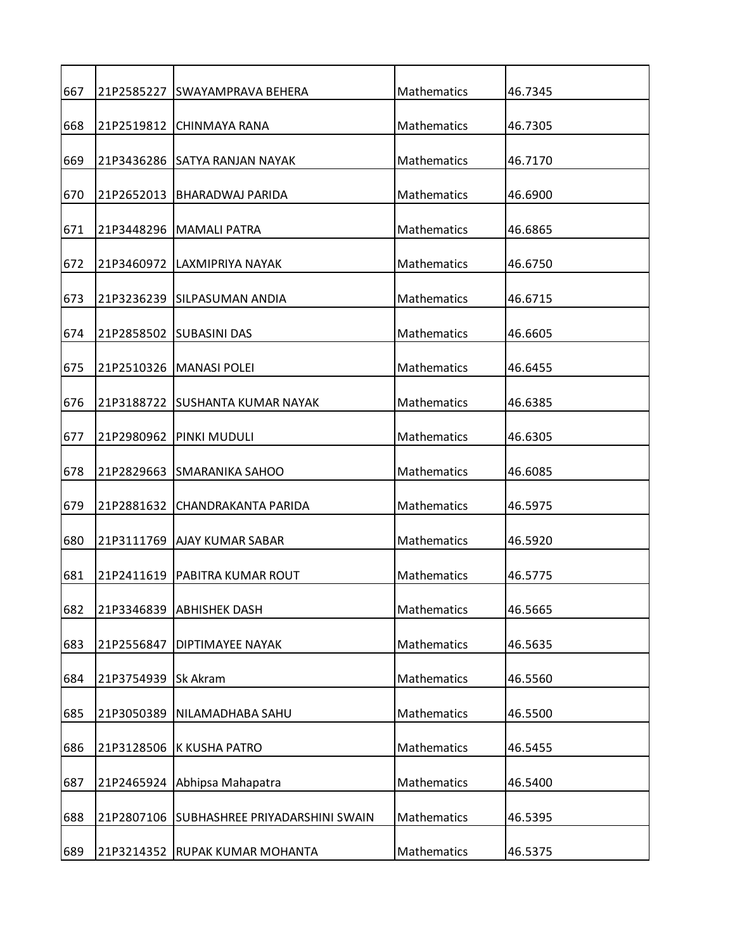| 667 |                     | 21P2585227 SWAYAMPRAVA BEHERA  | Mathematics        | 46.7345 |
|-----|---------------------|--------------------------------|--------------------|---------|
| 668 |                     | 21P2519812 CHINMAYA RANA       | Mathematics        | 46.7305 |
|     |                     |                                |                    |         |
| 669 |                     | 21P3436286 SATYA RANJAN NAYAK  | Mathematics        | 46.7170 |
| 670 | 21P2652013          | <b>BHARADWAJ PARIDA</b>        | Mathematics        | 46.6900 |
| 671 |                     | 21P3448296   MAMALI PATRA      | Mathematics        | 46.6865 |
| 672 |                     | 21P3460972 LAXMIPRIYA NAYAK    | Mathematics        | 46.6750 |
| 673 |                     | 21P3236239 SILPASUMAN ANDIA    | Mathematics        | 46.6715 |
| 674 |                     | 21P2858502 ISUBASINI DAS       | Mathematics        | 46.6605 |
| 675 | 21P2510326          | <b>MANASI POLEI</b>            | Mathematics        | 46.6455 |
| 676 | 21P3188722          | <b>ISUSHANTA KUMAR NAYAK</b>   | Mathematics        | 46.6385 |
| 677 | 21P2980962          | PINKI MUDULI                   | Mathematics        | 46.6305 |
| 678 | 21P2829663          | <b>SMARANIKA SAHOO</b>         | Mathematics        | 46.6085 |
| 679 |                     | 21P2881632 CHANDRAKANTA PARIDA | Mathematics        | 46.5975 |
| 680 |                     | 21P3111769 AJAY KUMAR SABAR    | Mathematics        | 46.5920 |
| 681 | 21P2411619          | IPABITRA KUMAR ROUT            | <b>Mathematics</b> | 46.5775 |
| 682 |                     | 21P3346839 ABHISHEK DASH       | Mathematics        | 46.5665 |
| 683 | 21P2556847          | DIPTIMAYEE NAYAK               | Mathematics        | 46.5635 |
| 684 | 21P3754939 Sk Akram |                                | Mathematics        | 46.5560 |
| 685 | 21P3050389          | NILAMADHABA SAHU               | Mathematics        | 46.5500 |
| 686 | 21P3128506          | K KUSHA PATRO                  | Mathematics        | 46.5455 |
| 687 | 21P2465924          | Abhipsa Mahapatra              | Mathematics        | 46.5400 |
| 688 | 21P2807106          | SUBHASHREE PRIYADARSHINI SWAIN | Mathematics        | 46.5395 |
| 689 |                     | 21P3214352 RUPAK KUMAR MOHANTA | Mathematics        | 46.5375 |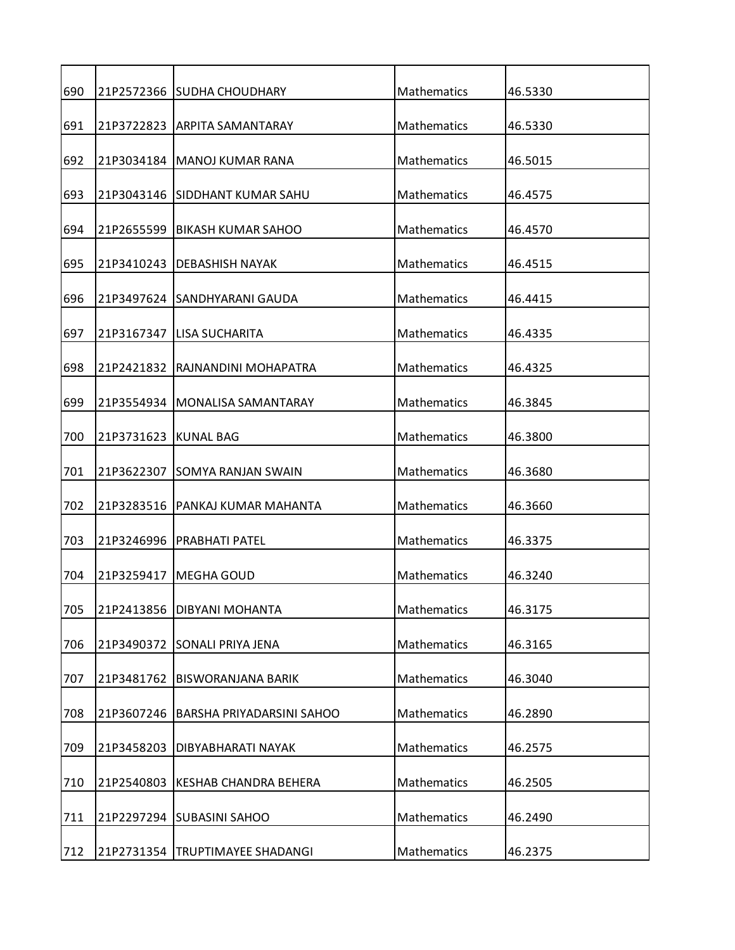| 690 |            | 21P2572366 SUDHA CHOUDHARY        | Mathematics        | 46.5330 |
|-----|------------|-----------------------------------|--------------------|---------|
| 691 |            | 21P3722823 ARPITA SAMANTARAY      | Mathematics        | 46.5330 |
| 692 |            | 21P3034184   MANOJ KUMAR RANA     | Mathematics        | 46.5015 |
| 693 |            | 21P3043146 SIDDHANT KUMAR SAHU    | Mathematics        | 46.4575 |
| 694 | 21P2655599 | <b>BIKASH KUMAR SAHOO</b>         | Mathematics        | 46.4570 |
| 695 | 21P3410243 | IDEBASHISH NAYAK                  | Mathematics        | 46.4515 |
| 696 |            | 21P3497624 SANDHYARANI GAUDA      | Mathematics        | 46.4415 |
| 697 |            | 21P3167347   LISA SUCHARITA       | Mathematics        | 46.4335 |
| 698 | 21P2421832 | RAJNANDINI MOHAPATRA              | Mathematics        | 46.4325 |
| 699 | 21P3554934 | <b>MONALISA SAMANTARAY</b>        | Mathematics        | 46.3845 |
|     |            |                                   |                    |         |
| 700 | 21P3731623 | <b>KUNAL BAG</b>                  | Mathematics        | 46.3800 |
| 701 | 21P3622307 | <b>SOMYA RANJAN SWAIN</b>         | Mathematics        | 46.3680 |
| 702 |            | 21P3283516   PANKAJ KUMAR MAHANTA | Mathematics        | 46.3660 |
| 703 | 21P3246996 | PRABHATI PATEL                    | Mathematics        | 46.3375 |
| 704 | 21P3259417 | <b>MEGHA GOUD</b>                 | <b>Mathematics</b> | 46.3240 |
| 705 | 21P2413856 | <b>DIBYANI MOHANTA</b>            | Mathematics        | 46.3175 |
| 706 | 21P3490372 | <b>SONALI PRIYA JENA</b>          | Mathematics        | 46.3165 |
| 707 | 21P3481762 | <b>BISWORANJANA BARIK</b>         | Mathematics        | 46.3040 |
| 708 | 21P3607246 | BARSHA PRIYADARSINI SAHOO         | <b>Mathematics</b> | 46.2890 |
| 709 | 21P3458203 | DIBYABHARATI NAYAK                | Mathematics        | 46.2575 |
| 710 | 21P2540803 | <b>KESHAB CHANDRA BEHERA</b>      | Mathematics        | 46.2505 |
|     |            |                                   |                    |         |
| 711 |            | 21P2297294 SUBASINI SAHOO         | Mathematics        | 46.2490 |
| 712 |            | 21P2731354   TRUPTIMAYEE SHADANGI | Mathematics        | 46.2375 |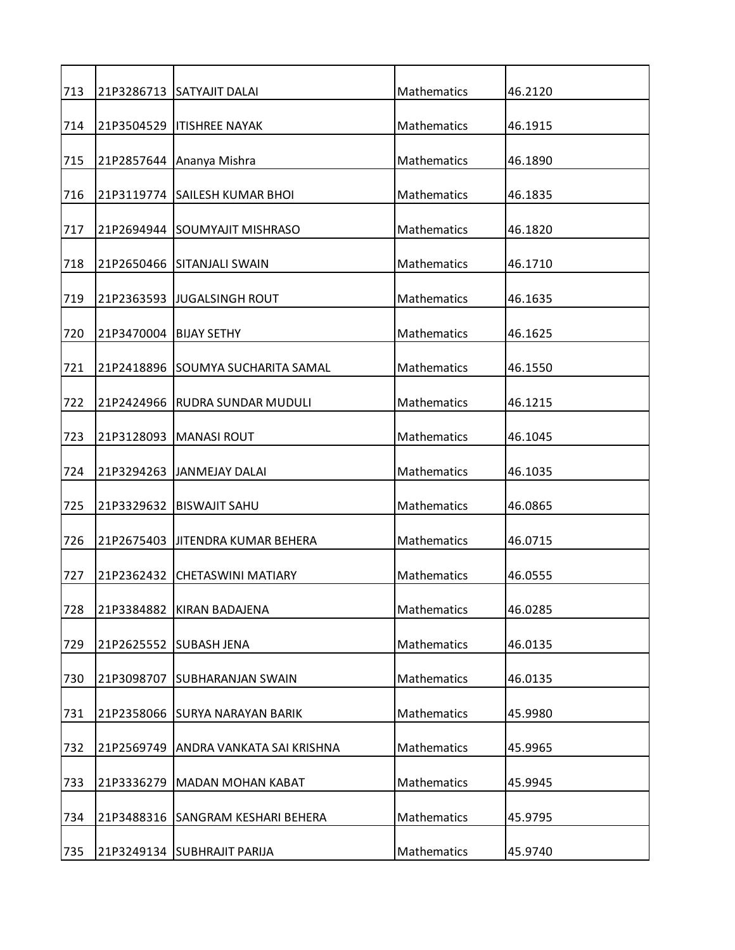| 713 |                          | 21P3286713 SATYAJIT DALAI         | Mathematics        | 46.2120 |
|-----|--------------------------|-----------------------------------|--------------------|---------|
| 714 |                          | 21P3504529   ITISHREE NAYAK       | Mathematics        | 46.1915 |
| 715 |                          | 21P2857644 Ananya Mishra          | Mathematics        | 46.1890 |
| 716 |                          | 21P3119774 SAILESH KUMAR BHOI     | Mathematics        | 46.1835 |
| 717 |                          | 21P2694944 SOUMYAJIT MISHRASO     | Mathematics        | 46.1820 |
| 718 |                          | 21P2650466 SITANJALI SWAIN        | Mathematics        | 46.1710 |
| 719 |                          | 21P2363593 JJUGALSINGH ROUT       | Mathematics        | 46.1635 |
| 720 | 21P3470004   BIJAY SETHY |                                   | Mathematics        | 46.1625 |
| 721 |                          | 21P2418896 SOUMYA SUCHARITA SAMAL | <b>Mathematics</b> | 46.1550 |
| 722 | 21P2424966               | IRUDRA SUNDAR MUDULI              | Mathematics        | 46.1215 |
| 723 |                          | 21P3128093   MANASI ROUT          | Mathematics        | 46.1045 |
| 724 |                          | 21P3294263 JANMEJAY DALAI         | Mathematics        | 46.1035 |
| 725 |                          | 21P3329632 BISWAJIT SAHU          | Mathematics        | 46.0865 |
| 726 |                          | 21P2675403 JITENDRA KUMAR BEHERA  | Mathematics        | 46.0715 |
| 727 | 21P2362432               | ICHETASWINI MATIARY               | <b>Mathematics</b> | 46.0555 |
| 728 | 21P3384882               | <b>KIRAN BADAJENA</b>             | Mathematics        | 46.0285 |
| 729 | 21P2625552               | <b>SUBASH JENA</b>                | Mathematics        | 46.0135 |
| 730 | 21P3098707               | <b>SUBHARANJAN SWAIN</b>          | Mathematics        | 46.0135 |
| 731 |                          | 21P2358066 SURYA NARAYAN BARIK    | <b>Mathematics</b> | 45.9980 |
| 732 | 21P2569749               | ANDRA VANKATA SAI KRISHNA         | Mathematics        | 45.9965 |
| 733 | 21P3336279               | <b>MADAN MOHAN KABAT</b>          | Mathematics        | 45.9945 |
| 734 | 21P3488316               | <b>SANGRAM KESHARI BEHERA</b>     | Mathematics        | 45.9795 |
| 735 |                          | 21P3249134 SUBHRAJIT PARIJA       | Mathematics        | 45.9740 |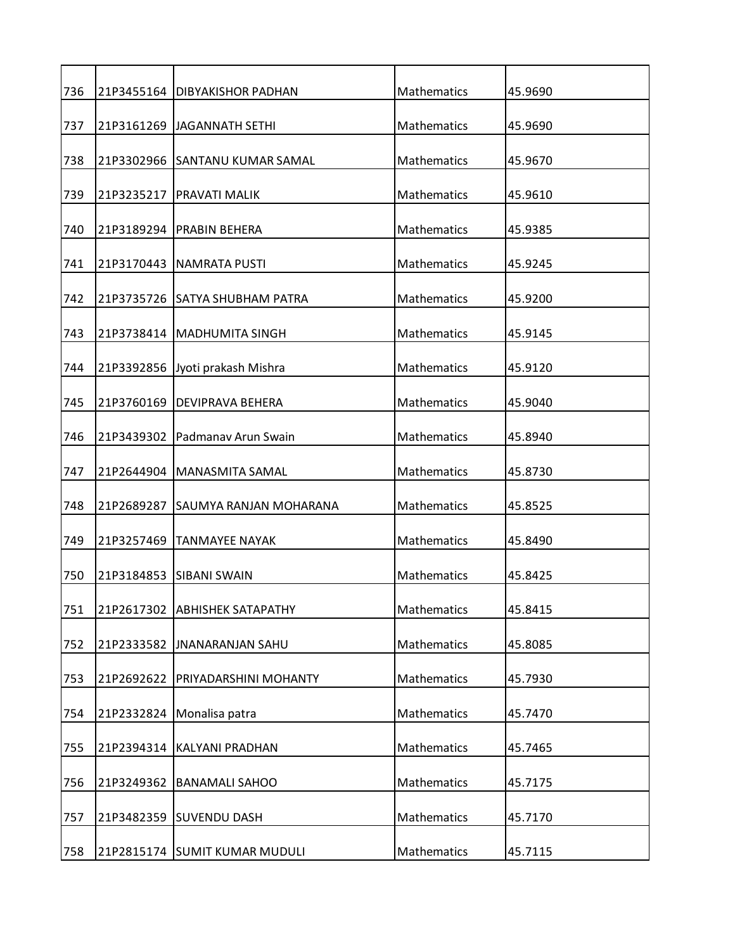| 736 |            | 21P3455164   DIBYAKISHOR PADHAN   | Mathematics        | 45.9690 |
|-----|------------|-----------------------------------|--------------------|---------|
| 737 |            | 21P3161269 JAGANNATH SETHI        | Mathematics        | 45.9690 |
| 738 |            | 21P3302966 SANTANU KUMAR SAMAL    | Mathematics        | 45.9670 |
| 739 | 21P3235217 | <b>PRAVATI MALIK</b>              | Mathematics        | 45.9610 |
| 740 |            | 21P3189294   PRABIN BEHERA        | Mathematics        | 45.9385 |
| 741 |            | 21P3170443   NAMRATA PUSTI        | Mathematics        | 45.9245 |
| 742 |            | 21P3735726 SATYA SHUBHAM PATRA    | Mathematics        | 45.9200 |
| 743 |            | 21P3738414   MADHUMITA SINGH      | Mathematics        | 45.9145 |
|     |            |                                   |                    |         |
| 744 | 21P3392856 | Jyoti prakash Mishra              | Mathematics        | 45.9120 |
| 745 | 21P3760169 | <b>DEVIPRAVA BEHERA</b>           | Mathematics        | 45.9040 |
|     |            |                                   |                    |         |
| 746 | 21P3439302 | Padmanav Arun Swain               | Mathematics        | 45.8940 |
| 747 |            | 21P2644904   MANASMITA SAMAL      | Mathematics        | 45.8730 |
| 748 |            | 21P2689287 SAUMYA RANJAN MOHARANA | Mathematics        | 45.8525 |
| 749 | 21P3257469 | <b>TANMAYEE NAYAK</b>             | Mathematics        | 45.8490 |
| 750 |            | 21P3184853 ISIBANI SWAIN          | <b>Mathematics</b> | 45.8425 |
| 751 | 21P2617302 | <b>ABHISHEK SATAPATHY</b>         | Mathematics        | 45.8415 |
| 752 | 21P2333582 | <b>JNANARANJAN SAHU</b>           | Mathematics        | 45.8085 |
| 753 | 21P2692622 | PRIYADARSHINI MOHANTY             | Mathematics        | 45.7930 |
| 754 | 21P2332824 | Monalisa patra                    | Mathematics        | 45.7470 |
| 755 | 21P2394314 | KALYANI PRADHAN                   | Mathematics        | 45.7465 |
| 756 | 21P3249362 | <b>BANAMALI SAHOO</b>             | Mathematics        | 45.7175 |
| 757 | 21P3482359 | <b>SUVENDU DASH</b>               | Mathematics        | 45.7170 |
| 758 |            | 21P2815174 SUMIT KUMAR MUDULI     | Mathematics        | 45.7115 |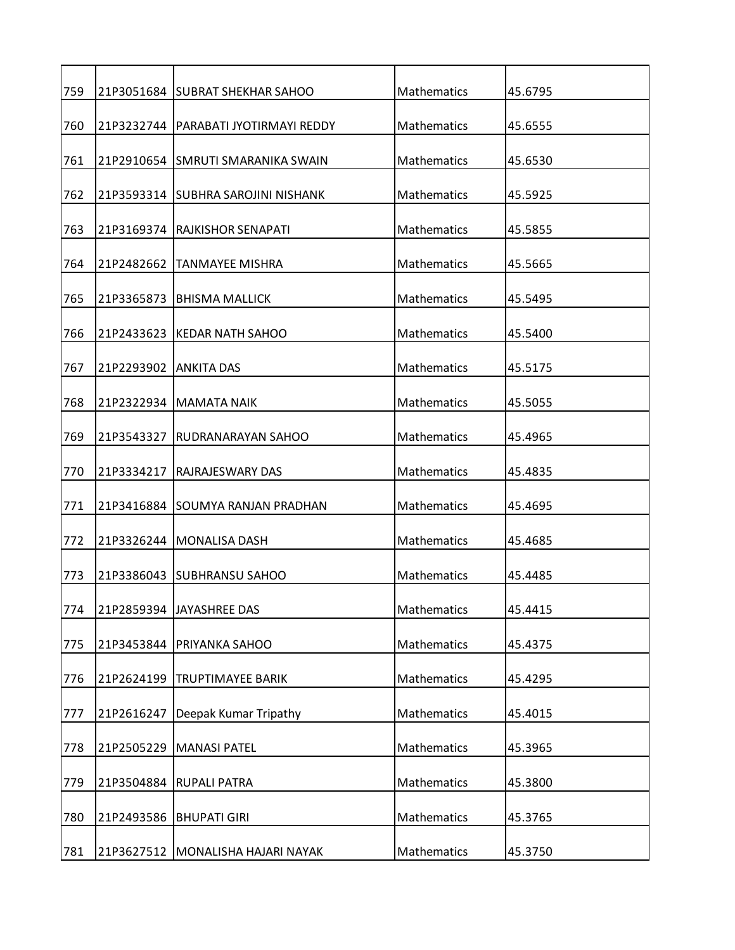| 759 |            | 21P3051684 SUBRAT SHEKHAR SAHOO        | Mathematics        | 45.6795 |
|-----|------------|----------------------------------------|--------------------|---------|
| 760 |            | 21P3232744   PARABATI JYOTIRMAYI REDDY | <b>Mathematics</b> | 45.6555 |
| 761 |            | 21P2910654 ISMRUTI SMARANIKA SWAIN     | Mathematics        | 45.6530 |
| 762 |            | 21P3593314 SUBHRA SAROJINI NISHANK     | Mathematics        | 45.5925 |
| 763 |            | 21P3169374 RAJKISHOR SENAPATI          | Mathematics        | 45.5855 |
| 764 | 21P2482662 | ITANMAYEE MISHRA                       | <b>Mathematics</b> | 45.5665 |
| 765 |            | 21P3365873   BHISMA MALLICK            | Mathematics        | 45.5495 |
| 766 |            | 21P2433623 KEDAR NATH SAHOO            | <b>Mathematics</b> | 45.5400 |
| 767 | 21P2293902 | <b>ANKITA DAS</b>                      | <b>Mathematics</b> | 45.5175 |
| 768 |            | 21P2322934 IMAMATA NAIK                | Mathematics        | 45.5055 |
| 769 | 21P3543327 | IRUDRANARAYAN SAHOO                    | <b>Mathematics</b> | 45.4965 |
|     |            |                                        |                    |         |
| 770 | 21P3334217 | <b>RAJRAJESWARY DAS</b>                | Mathematics        | 45.4835 |
| 771 |            | 21P3416884 ISOUMYA RANJAN PRADHAN      | <b>Mathematics</b> | 45.4695 |
| 772 |            | 21P3326244   MONALISA DASH             | Mathematics        | 45.4685 |
| 773 |            | 21P3386043 SUBHRANSU SAHOO             | <b>Mathematics</b> | 45.4485 |
| 774 |            | 21P2859394 JAYASHREE DAS               | Mathematics        | 45.4415 |
| 775 |            | 21P3453844   PRIYANKA SAHOO            | Mathematics        | 45.4375 |
| 776 | 21P2624199 | <b>TRUPTIMAYEE BARIK</b>               | Mathematics        | 45.4295 |
| 777 | 21P2616247 | Deepak Kumar Tripathy                  | Mathematics        | 45.4015 |
| 778 | 21P2505229 | <b>MANASI PATEL</b>                    | Mathematics        | 45.3965 |
| 779 | 21P3504884 | <b>RUPALI PATRA</b>                    | Mathematics        | 45.3800 |
| 780 | 21P2493586 | <b>BHUPATI GIRI</b>                    | Mathematics        | 45.3765 |
| 781 |            | 21P3627512 MONALISHA HAJARI NAYAK      | Mathematics        | 45.3750 |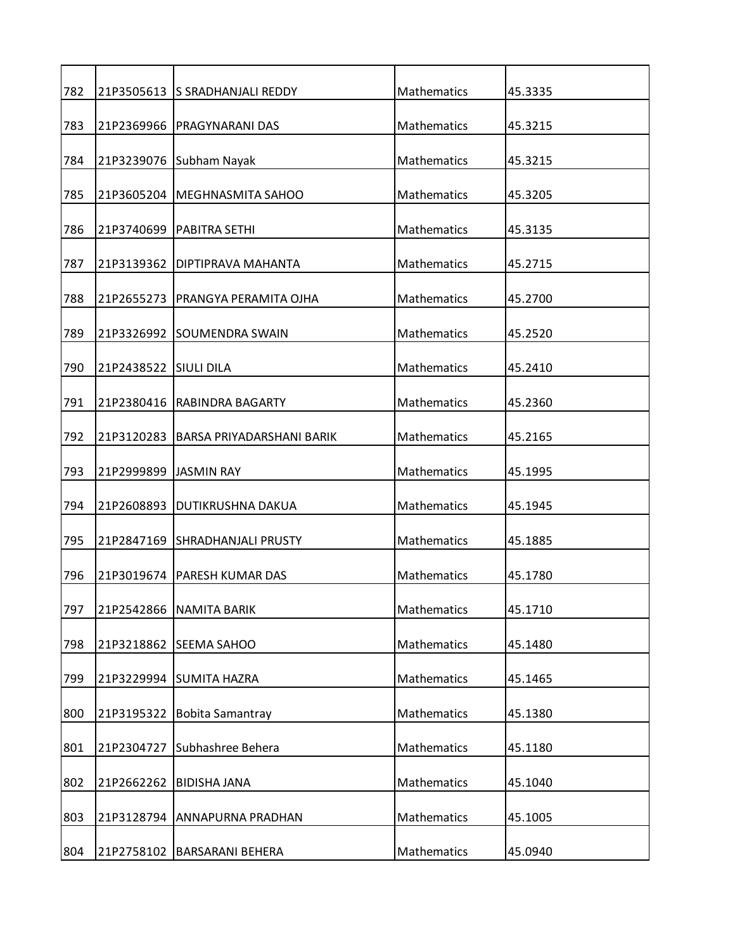| 782 |                       | 21P3505613 S SRADHANJALI REDDY     | Mathematics        | 45.3335 |
|-----|-----------------------|------------------------------------|--------------------|---------|
| 783 |                       | 21P2369966   PRAGYNARANI DAS       | Mathematics        | 45.3215 |
| 784 |                       | 21P3239076 Subham Nayak            | Mathematics        | 45.3215 |
| 785 |                       | 21P3605204   MEGHNASMITA SAHOO     | <b>Mathematics</b> | 45.3205 |
| 786 |                       | 21P3740699   PABITRA SETHI         | Mathematics        | 45.3135 |
| 787 | 21P3139362            | IDIPTIPRAVA MAHANTA                | Mathematics        | 45.2715 |
| 788 |                       | 21P2655273   PRANGYA PERAMITA OJHA | Mathematics        | 45.2700 |
| 789 |                       | 21P3326992 SOUMENDRA SWAIN         | Mathematics        | 45.2520 |
| 790 | 21P2438522            | <b>SIULI DILA</b>                  | Mathematics        | 45.2410 |
| 791 | 21P2380416            | RABINDRA BAGARTY                   | Mathematics        | 45.2360 |
| 792 | 21P3120283            | BARSA PRIYADARSHANI BARIK          | Mathematics        | 45.2165 |
| 793 | 21P2999899 JASMIN RAY |                                    | Mathematics        | 45.1995 |
| 794 |                       | 21P2608893   DUTIKRUSHNA DAKUA     | Mathematics        | 45.1945 |
| 795 |                       | 21P2847169 SHRADHANJALI PRUSTY     | Mathematics        | 45.1885 |
| 796 |                       | 21P3019674   PARESH KUMAR DAS      | Mathematics        | 45.1780 |
| 797 | 21P2542866            | <b>NAMITA BARIK</b>                | Mathematics        | 45.1710 |
| 798 | 21P3218862            | SEEMA SAHOO                        | Mathematics        | 45.1480 |
| 799 |                       | 21P3229994 SUMITA HAZRA            | Mathematics        | 45.1465 |
| 800 | 21P3195322            | <b>Bobita Samantray</b>            | Mathematics        | 45.1380 |
|     |                       | Subhashree Behera                  |                    |         |
| 801 | 21P2304727            |                                    | Mathematics        | 45.1180 |
| 802 | 21P2662262            | <b>BIDISHA JANA</b>                | Mathematics        | 45.1040 |
| 803 |                       | 21P3128794 ANNAPURNA PRADHAN       | Mathematics        | 45.1005 |
| 804 | 21P2758102            | <b>BARSARANI BEHERA</b>            | Mathematics        | 45.0940 |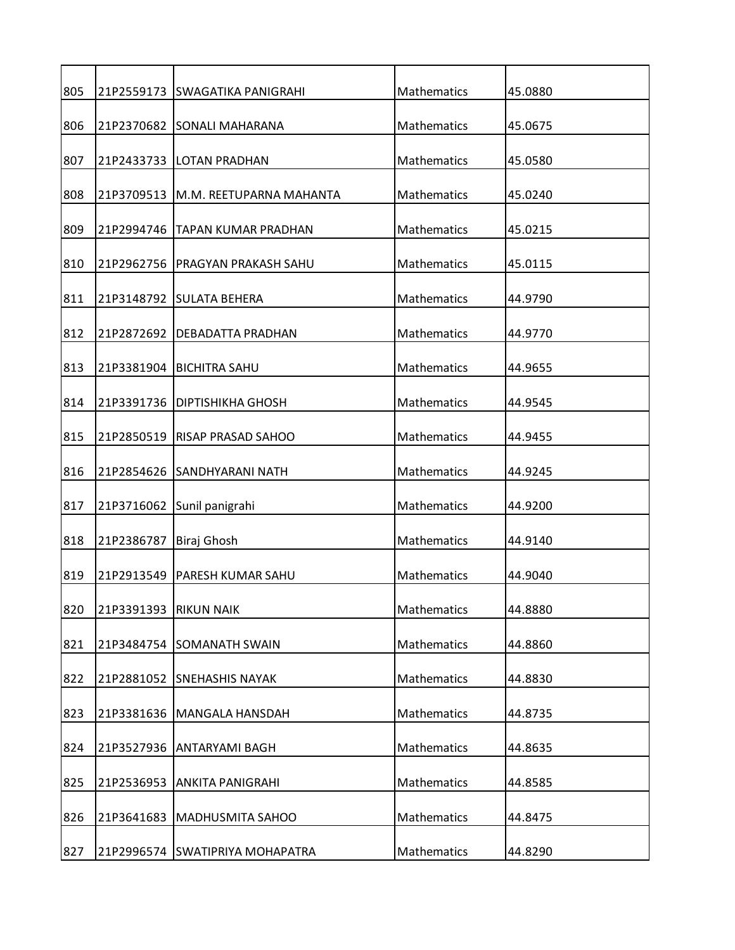| 805 |            | 21P2559173 SWAGATIKA PANIGRAHI    | Mathematics | 45.0880 |
|-----|------------|-----------------------------------|-------------|---------|
| 806 |            | 21P2370682 SONALI MAHARANA        | Mathematics | 45.0675 |
| 807 |            | 21P2433733   LOTAN PRADHAN        | Mathematics | 45.0580 |
| 808 | 21P3709513 | IM.M. REETUPARNA MAHANTA          | Mathematics | 45.0240 |
| 809 | 21P2994746 | TAPAN KUMAR PRADHAN               | Mathematics | 45.0215 |
| 810 |            | 21P2962756   PRAGYAN PRAKASH SAHU | Mathematics | 45.0115 |
| 811 |            | 21P3148792 SULATA BEHERA          | Mathematics | 44.9790 |
| 812 |            | 21P2872692   DEBADATTA PRADHAN    | Mathematics | 44.9770 |
| 813 | 21P3381904 | <b>BICHITRA SAHU</b>              | Mathematics | 44.9655 |
| 814 | 21P3391736 | DIPTISHIKHA GHOSH                 | Mathematics | 44.9545 |
| 815 | 21P2850519 | <b>RISAP PRASAD SAHOO</b>         | Mathematics | 44.9455 |
|     |            |                                   |             |         |
| 816 |            | 21P2854626 SANDHYARANI NATH       | Mathematics | 44.9245 |
| 817 |            | 21P3716062 Sunil panigrahi        | Mathematics | 44.9200 |
| 818 | 21P2386787 | Biraj Ghosh                       | Mathematics | 44.9140 |
| 819 | 21P2913549 | PARESH KUMAR SAHU                 | Mathematics | 44.9040 |
| 820 | 21P3391393 | <b>RIKUN NAIK</b>                 | Mathematics | 44.8880 |
| 821 |            | 21P3484754 SOMANATH SWAIN         | Mathematics | 44.8860 |
| 822 |            | 21P2881052 SNEHASHIS NAYAK        | Mathematics | 44.8830 |
| 823 | 21P3381636 | MANGALA HANSDAH                   | Mathematics | 44.8735 |
| 824 |            | 21P3527936 ANTARYAMI BAGH         | Mathematics | 44.8635 |
| 825 | 21P2536953 | <b>ANKITA PANIGRAHI</b>           | Mathematics | 44.8585 |
| 826 | 21P3641683 | MADHUSMITA SAHOO                  | Mathematics | 44.8475 |
| 827 |            | 21P2996574 SWATIPRIYA MOHAPATRA   | Mathematics | 44.8290 |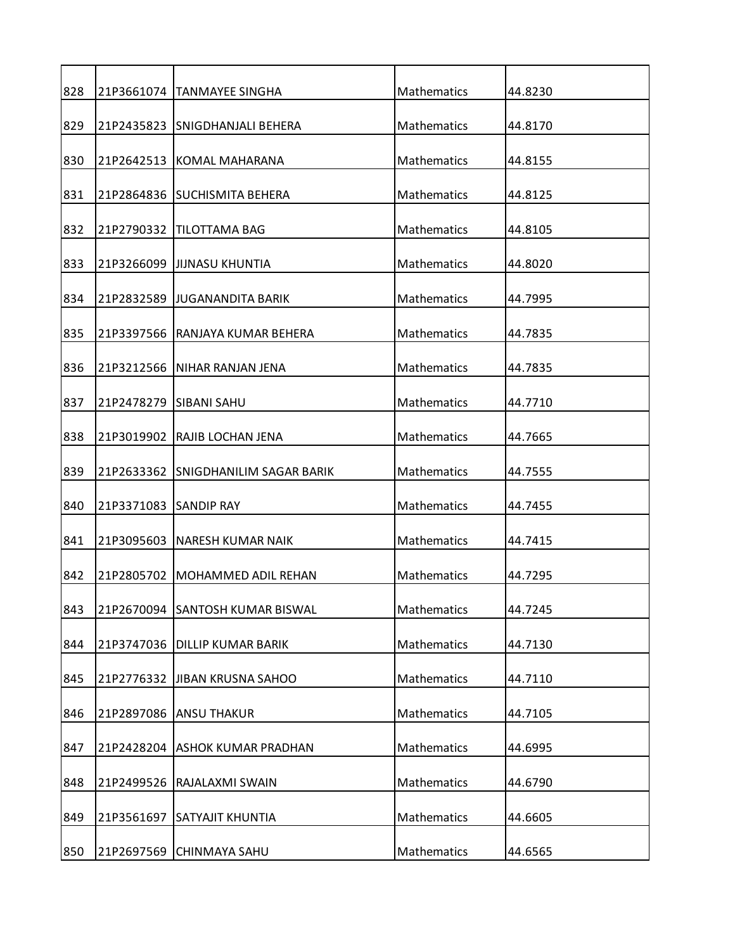| 828 |                       | 21P3661074  TANMAYEE SINGHA     | Mathematics        | 44.8230 |
|-----|-----------------------|---------------------------------|--------------------|---------|
| 829 |                       | 21P2435823 SNIGDHANJALI BEHERA  | <b>Mathematics</b> | 44.8170 |
| 830 |                       | 21P2642513 KOMAL MAHARANA       | Mathematics        | 44.8155 |
| 831 |                       | 21P2864836 SUCHISMITA BEHERA    | <b>Mathematics</b> | 44.8125 |
| 832 |                       | 21P2790332   TILOTTAMA BAG      | Mathematics        | 44.8105 |
| 833 |                       | 21P3266099  JIJNASU KHUNTIA     | Mathematics        | 44.8020 |
| 834 |                       | 21P2832589 JJUGANANDITA BARIK   | Mathematics        | 44.7995 |
| 835 |                       | 21P3397566 RANJAYA KUMAR BEHERA | <b>Mathematics</b> | 44.7835 |
| 836 | 21P3212566            | INIHAR RANJAN JENA              | <b>Mathematics</b> | 44.7835 |
| 837 |                       | 21P2478279 SIBANI SAHU          | Mathematics        | 44.7710 |
| 838 | 21P3019902            | RAJIB LOCHAN JENA               | <b>Mathematics</b> | 44.7665 |
|     |                       |                                 |                    |         |
| 839 | 21P2633362            | <b>SNIGDHANILIM SAGAR BARIK</b> | Mathematics        | 44.7555 |
| 840 | 21P3371083 SANDIP RAY |                                 | <b>Mathematics</b> | 44.7455 |
| 841 | 21P3095603            | <b>NARESH KUMAR NAIK</b>        | Mathematics        | 44.7415 |
| 842 | 21P2805702            | MOHAMMED ADIL REHAN             | <b>Mathematics</b> | 44.7295 |
| 843 |                       | 21P2670094 SANTOSH KUMAR BISWAL | Mathematics        | 44.7245 |
| 844 |                       | 21P3747036 DILLIP KUMAR BARIK   | Mathematics        | 44.7130 |
| 845 |                       | 21P2776332 JJIBAN KRUSNA SAHOO  | Mathematics        | 44.7110 |
| 846 |                       | 21P2897086 ANSU THAKUR          | Mathematics        | 44.7105 |
| 847 | 21P2428204            | ASHOK KUMAR PRADHAN             | Mathematics        | 44.6995 |
| 848 | 21P2499526            | RAJALAXMI SWAIN                 | Mathematics        | 44.6790 |
| 849 | 21P3561697            | <b>SATYAJIT KHUNTIA</b>         | Mathematics        | 44.6605 |
| 850 | 21P2697569            | <b>CHINMAYA SAHU</b>            | Mathematics        | 44.6565 |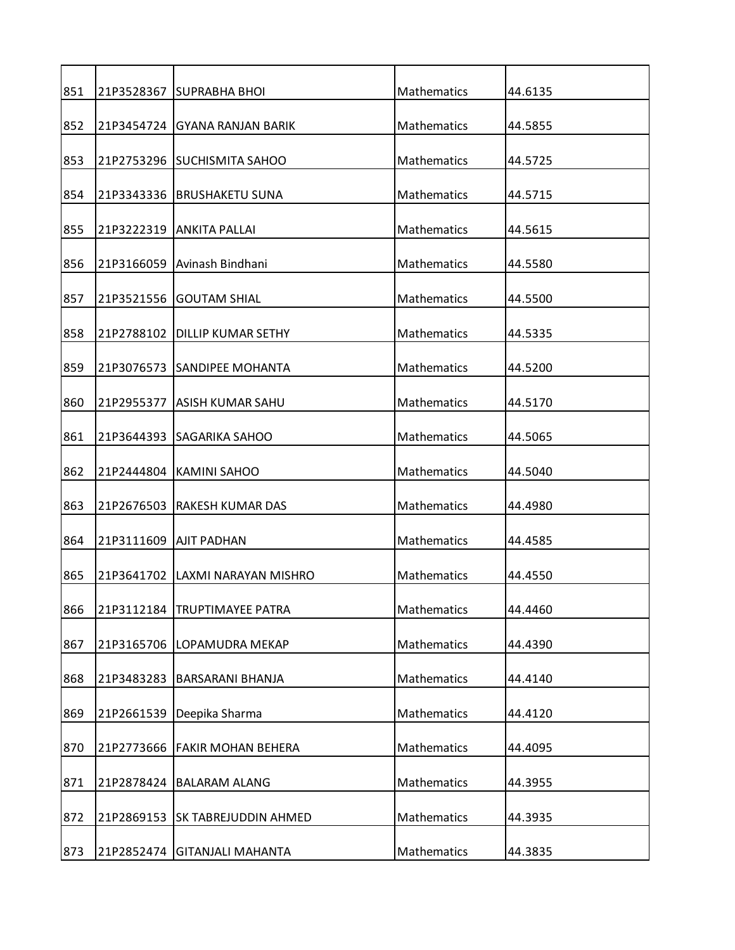| 851 |            | 21P3528367 SUPRABHA BHOI        | Mathematics        | 44.6135 |
|-----|------------|---------------------------------|--------------------|---------|
| 852 |            | 21P3454724 GYANA RANJAN BARIK   | Mathematics        | 44.5855 |
| 853 |            | 21P2753296 SUCHISMITA SAHOO     | <b>Mathematics</b> | 44.5725 |
| 854 |            | 21P3343336 BRUSHAKETU SUNA      | Mathematics        | 44.5715 |
| 855 |            | 21P3222319 ANKITA PALLAI        | Mathematics        | 44.5615 |
| 856 |            | 21P3166059 Avinash Bindhani     | Mathematics        | 44.5580 |
| 857 | 21P3521556 | <b>GOUTAM SHIAL</b>             | Mathematics        | 44.5500 |
| 858 |            | 21P2788102   DILLIP KUMAR SETHY | Mathematics        | 44.5335 |
| 859 | 21P3076573 | <b>SANDIPEE MOHANTA</b>         | Mathematics        | 44.5200 |
| 860 | 21P2955377 | <b>ASISH KUMAR SAHU</b>         | Mathematics        | 44.5170 |
| 861 |            | 21P3644393 SAGARIKA SAHOO       | Mathematics        | 44.5065 |
| 862 | 21P2444804 | <b>KAMINI SAHOO</b>             | Mathematics        | 44.5040 |
|     |            |                                 |                    |         |
| 863 |            | 21P2676503 RAKESH KUMAR DAS     | Mathematics        | 44.4980 |
| 864 |            | 21P3111609   AJIT PADHAN        | Mathematics        | 44.4585 |
| 865 | 21P3641702 | LAXMI NARAYAN MISHRO            | <b>Mathematics</b> | 44.4550 |
| 866 | 21P3112184 | <b>TRUPTIMAYEE PATRA</b>        | Mathematics        | 44.4460 |
| 867 | 21P3165706 | LOPAMUDRA MEKAP                 | Mathematics        | 44.4390 |
| 868 | 21P3483283 | <b>BARSARANI BHANJA</b>         | Mathematics        | 44.4140 |
| 869 | 21P2661539 | Deepika Sharma                  | Mathematics        | 44.4120 |
| 870 | 21P2773666 | <b>FAKIR MOHAN BEHERA</b>       | <b>Mathematics</b> | 44.4095 |
| 871 | 21P2878424 | <b>BALARAM ALANG</b>            | Mathematics        | 44.3955 |
| 872 | 21P2869153 | <b>SK TABREJUDDIN AHMED</b>     | Mathematics        | 44.3935 |
| 873 |            | 21P2852474 GITANJALI MAHANTA    | Mathematics        | 44.3835 |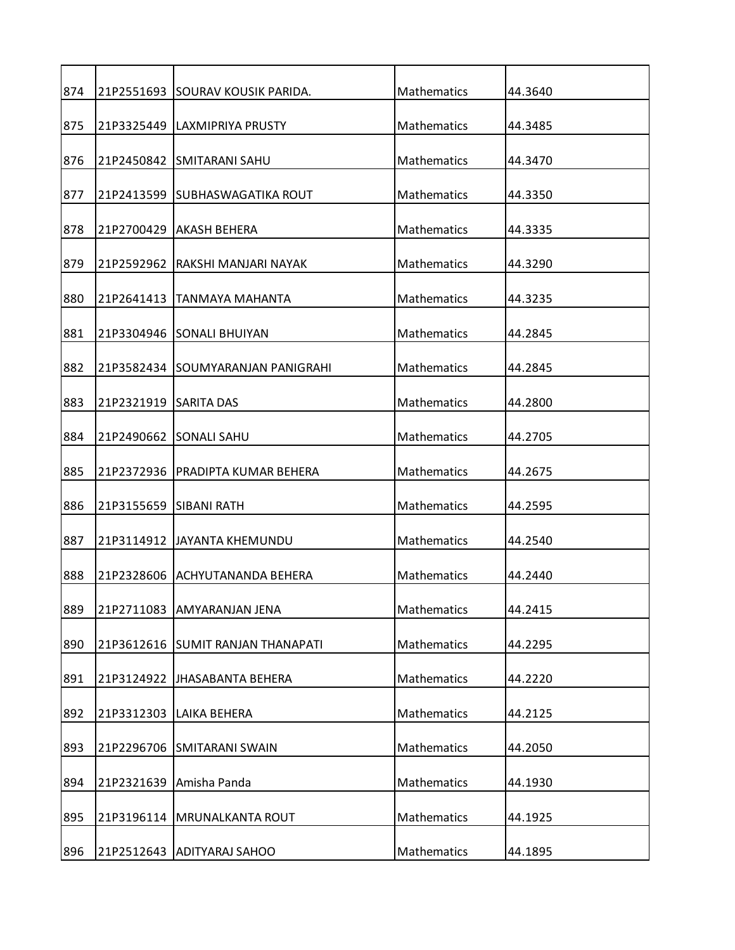| 874 |                        | 21P2551693 SOURAV KOUSIK PARIDA.    | Mathematics        | 44.3640 |
|-----|------------------------|-------------------------------------|--------------------|---------|
| 875 |                        | 21P3325449   LAXMIPRIYA PRUSTY      | Mathematics        | 44.3485 |
| 876 |                        | 21P2450842 SMITARANI SAHU           | Mathematics        | 44.3470 |
| 877 |                        | 21P2413599 ISUBHASWAGATIKA ROUT     | Mathematics        | 44.3350 |
| 878 |                        | 21P2700429 AKASH BEHERA             | Mathematics        | 44.3335 |
| 879 |                        | 21P2592962 RAKSHI MANJARI NAYAK     | Mathematics        | 44.3290 |
| 880 | 21P2641413             | TANMAYA MAHANTA                     | Mathematics        | 44.3235 |
| 881 |                        | 21P3304946 SONALI BHUIYAN           | Mathematics        | 44.2845 |
| 882 |                        | 21P3582434 ISOUMYARANJAN PANIGRAHI  | Mathematics        | 44.2845 |
| 883 | 21P2321919 SARITA DAS  |                                     | Mathematics        | 44.2800 |
| 884 | 21P2490662             | <b>SONALI SAHU</b>                  | Mathematics        | 44.2705 |
|     |                        |                                     |                    |         |
| 885 | 21P2372936             | PRADIPTA KUMAR BEHERA               | Mathematics        | 44.2675 |
| 886 | 21P3155659 SIBANI RATH |                                     | Mathematics        | 44.2595 |
| 887 |                        | 21P3114912 JAYANTA KHEMUNDU         | Mathematics        | 44.2540 |
| 888 |                        | 21P2328606 ACHYUTANANDA BEHERA      | <b>Mathematics</b> | 44.2440 |
| 889 | 21P2711083             | AMYARANJAN JENA                     | Mathematics        | 44.2415 |
| 890 |                        | 21P3612616   SUMIT RANJAN THANAPATI | Mathematics        | 44.2295 |
| 891 |                        | 21P3124922 JHASABANTA BEHERA        | Mathematics        | 44.2220 |
| 892 |                        | 21P3312303   LAIKA BEHERA           | Mathematics        | 44.2125 |
| 893 |                        | 21P2296706 SMITARANI SWAIN          | Mathematics        | 44.2050 |
| 894 |                        | 21P2321639 Amisha Panda             | Mathematics        | 44.1930 |
| 895 |                        | 21P3196114   MRUNALKANTA ROUT       | Mathematics        | 44.1925 |
|     |                        |                                     |                    |         |
| 896 |                        | 21P2512643 ADITYARAJ SAHOO          | Mathematics        | 44.1895 |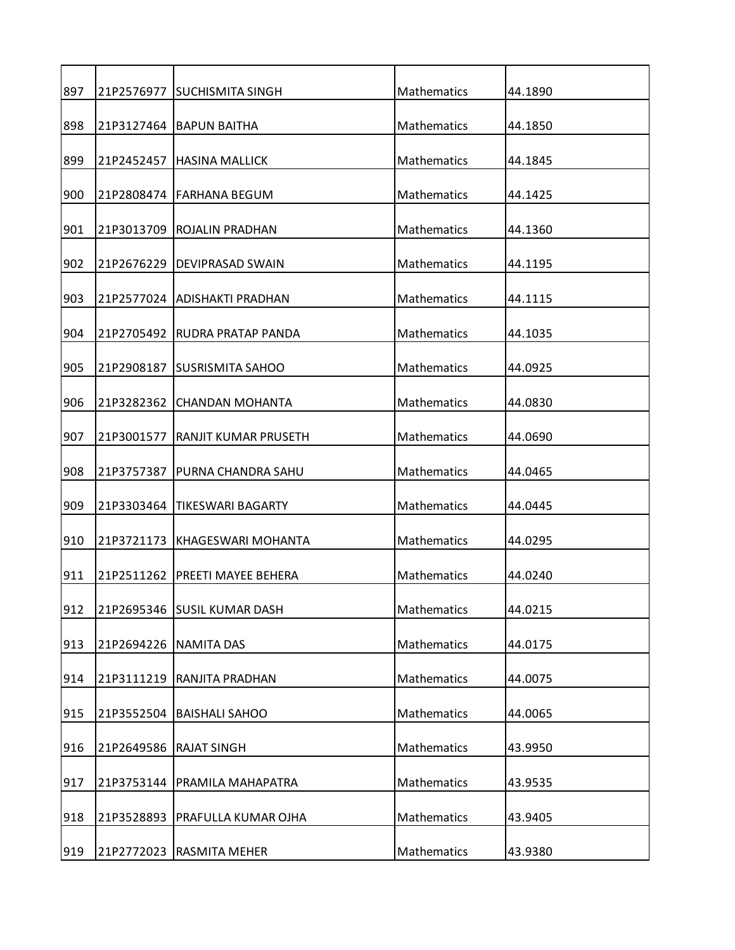| 897 |            | 21P2576977 SUCHISMITA SINGH    | Mathematics        | 44.1890 |
|-----|------------|--------------------------------|--------------------|---------|
| 898 |            | 21P3127464 BAPUN BAITHA        | Mathematics        | 44.1850 |
| 899 |            | 21P2452457   HASINA MALLICK    | Mathematics        | 44.1845 |
| 900 |            | 21P2808474   FARHANA BEGUM     | Mathematics        | 44.1425 |
| 901 |            | 21P3013709 ROJALIN PRADHAN     | Mathematics        | 44.1360 |
| 902 |            | 21P2676229   DEVIPRASAD SWAIN  | Mathematics        | 44.1195 |
| 903 |            | 21P2577024 ADISHAKTI PRADHAN   | Mathematics        | 44.1115 |
| 904 |            | 21P2705492 IRUDRA PRATAP PANDA | Mathematics        | 44.1035 |
| 905 | 21P2908187 | ISUSRISMITA SAHOO              | <b>Mathematics</b> | 44.0925 |
| 906 | 21P3282362 | <b>CHANDAN MOHANTA</b>         | Mathematics        | 44.0830 |
| 907 | 21P3001577 | RANJIT KUMAR PRUSETH           | Mathematics        | 44.0690 |
| 908 | 21P3757387 | PURNA CHANDRA SAHU             | Mathematics        | 44.0465 |
| 909 |            | 21P3303464 TIKESWARI BAGARTY   | Mathematics        | 44.0445 |
| 910 | 21P3721173 | <b>KHAGESWARI MOHANTA</b>      | Mathematics        | 44.0295 |
| 911 | 21P2511262 | PREETI MAYEE BEHERA            | <b>Mathematics</b> | 44.0240 |
| 912 |            | 21P2695346 SUSIL KUMAR DASH    | Mathematics        | 44.0215 |
| 913 | 21P2694226 | <b>NAMITA DAS</b>              | Mathematics        | 44.0175 |
| 914 | 21P3111219 | RANJITA PRADHAN                | Mathematics        | 44.0075 |
| 915 | 21P3552504 | <b>BAISHALI SAHOO</b>          | Mathematics        | 44.0065 |
| 916 | 21P2649586 | <b>RAJAT SINGH</b>             | Mathematics        | 43.9950 |
| 917 | 21P3753144 | PRAMILA MAHAPATRA              | Mathematics        | 43.9535 |
| 918 | 21P3528893 | PRAFULLA KUMAR OJHA            | Mathematics        | 43.9405 |
| 919 |            | 21P2772023 RASMITA MEHER       | Mathematics        | 43.9380 |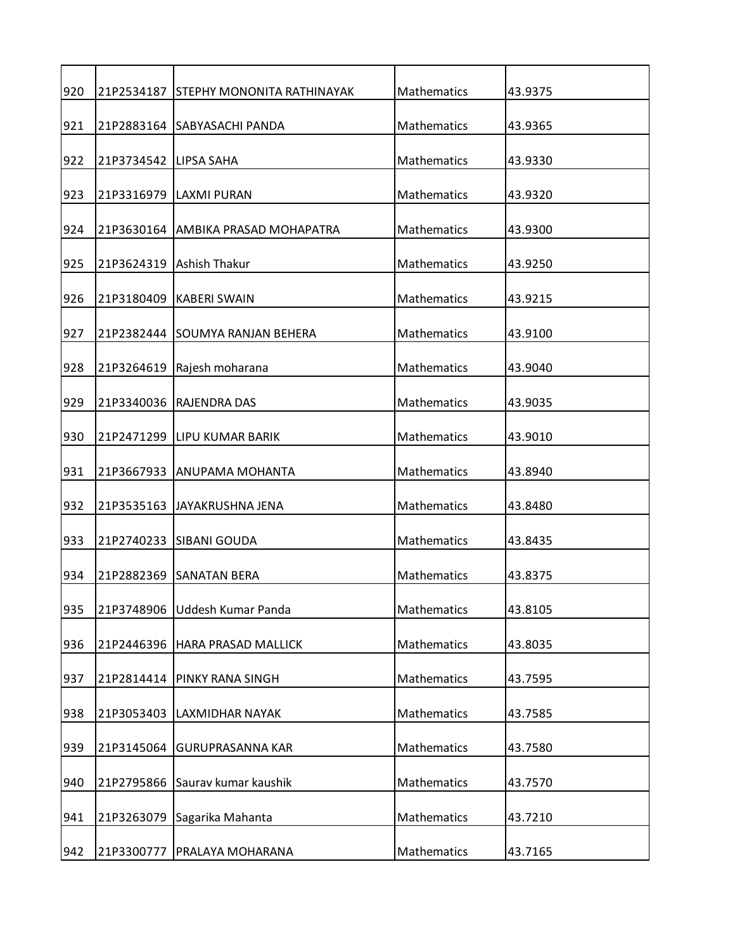| 920 |                       | 21P2534187 STEPHY MONONITA RATHINAYAK | Mathematics | 43.9375 |
|-----|-----------------------|---------------------------------------|-------------|---------|
| 921 |                       | 21P2883164 SABYASACHI PANDA           | Mathematics | 43.9365 |
| 922 | 21P3734542 LIPSA SAHA |                                       | Mathematics | 43.9330 |
| 923 |                       | 21P3316979   LAXMI PURAN              | Mathematics | 43.9320 |
| 924 |                       | 21P3630164 AMBIKA PRASAD MOHAPATRA    | Mathematics | 43.9300 |
| 925 |                       | 21P3624319 Ashish Thakur              | Mathematics | 43.9250 |
| 926 |                       | 21P3180409 KABERI SWAIN               | Mathematics | 43.9215 |
| 927 |                       | 21P2382444 SOUMYA RANJAN BEHERA       | Mathematics | 43.9100 |
| 928 | 21P3264619            | Rajesh moharana                       | Mathematics | 43.9040 |
| 929 | 21P3340036            | IRAJENDRA DAS                         | Mathematics | 43.9035 |
| 930 |                       | 21P2471299 LIPU KUMAR BARIK           | Mathematics | 43.9010 |
|     |                       |                                       |             |         |
| 931 |                       | 21P3667933 ANUPAMA MOHANTA            | Mathematics | 43.8940 |
| 932 |                       | 21P3535163 JAYAKRUSHNA JENA           | Mathematics | 43.8480 |
| 933 |                       | 21P2740233 SIBANI GOUDA               | Mathematics | 43.8435 |
| 934 |                       | 21P2882369 SANATAN BERA               | Mathematics | 43.8375 |
| 935 | 21P3748906            | Uddesh Kumar Panda                    | Mathematics | 43.8105 |
| 936 | 21P2446396            | HARA PRASAD MALLICK                   | Mathematics | 43.8035 |
| 937 | 21P2814414            | <b>PINKY RANA SINGH</b>               | Mathematics | 43.7595 |
| 938 | 21P3053403            | LAXMIDHAR NAYAK                       | Mathematics | 43.7585 |
| 939 | 21P3145064            | <b>GURUPRASANNA KAR</b>               | Mathematics | 43.7580 |
| 940 | 21P2795866            | Saurav kumar kaushik                  | Mathematics | 43.7570 |
| 941 | 21P3263079            | Sagarika Mahanta                      | Mathematics | 43.7210 |
| 942 |                       | 21P3300777   PRALAYA MOHARANA         | Mathematics | 43.7165 |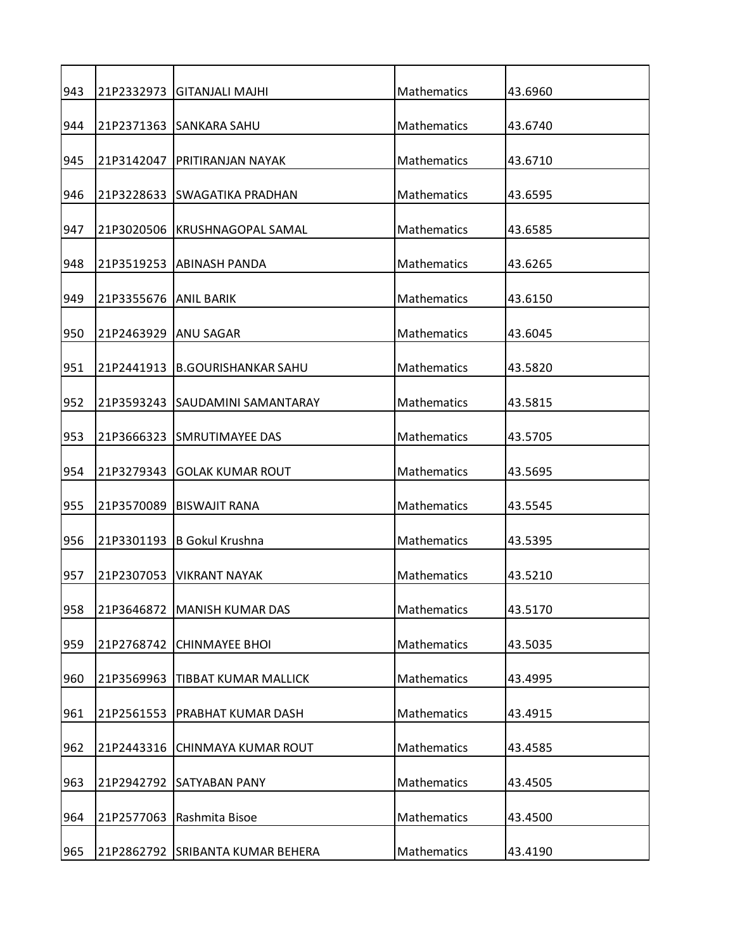| 943 |                       | 21P2332973 GITANJALI MAJHI       | Mathematics        | 43.6960 |
|-----|-----------------------|----------------------------------|--------------------|---------|
| 944 |                       | 21P2371363 SANKARA SAHU          | Mathematics        | 43.6740 |
| 945 |                       | 21P3142047   PRITIRANJAN NAYAK   | Mathematics        | 43.6710 |
| 946 |                       | 21P3228633 SWAGATIKA PRADHAN     | Mathematics        | 43.6595 |
| 947 | 21P3020506            | <b>KRUSHNAGOPAL SAMAL</b>        | Mathematics        | 43.6585 |
| 948 |                       | 21P3519253 ABINASH PANDA         | Mathematics        | 43.6265 |
| 949 | 21P3355676 ANIL BARIK |                                  | Mathematics        | 43.6150 |
| 950 | 21P2463929 IANU SAGAR |                                  | Mathematics        | 43.6045 |
| 951 | 21P2441913            | <b>B.GOURISHANKAR SAHU</b>       | Mathematics        | 43.5820 |
|     |                       |                                  |                    |         |
| 952 |                       | 21P3593243 ISAUDAMINI SAMANTARAY | Mathematics        | 43.5815 |
| 953 |                       | 21P3666323 SMRUTIMAYEE DAS       | Mathematics        | 43.5705 |
| 954 | 21P3279343            | <b>GOLAK KUMAR ROUT</b>          | Mathematics        | 43.5695 |
| 955 |                       | 21P3570089   BISWAJIT RANA       | Mathematics        | 43.5545 |
| 956 | 21P3301193            | B Gokul Krushna                  | Mathematics        | 43.5395 |
| 957 | 21P2307053            | IVIKRANT NAYAK                   | <b>Mathematics</b> | 43.5210 |
| 958 | 21P3646872            | <b>MANISH KUMAR DAS</b>          | Mathematics        | 43.5170 |
| 959 | 21P2768742            | <b>CHINMAYEE BHOI</b>            | Mathematics        | 43.5035 |
| 960 | 21P3569963            | <b>TIBBAT KUMAR MALLICK</b>      | Mathematics        | 43.4995 |
| 961 | 21P2561553            | PRABHAT KUMAR DASH               | Mathematics        | 43.4915 |
| 962 | 21P2443316            | CHINMAYA KUMAR ROUT              | Mathematics        | 43.4585 |
| 963 | 21P2942792            | <b>SATYABAN PANY</b>             | Mathematics        | 43.4505 |
| 964 | 21P2577063            | Rashmita Bisoe                   | Mathematics        | 43.4500 |
|     |                       |                                  |                    |         |
| 965 |                       | 21P2862792 SRIBANTA KUMAR BEHERA | Mathematics        | 43.4190 |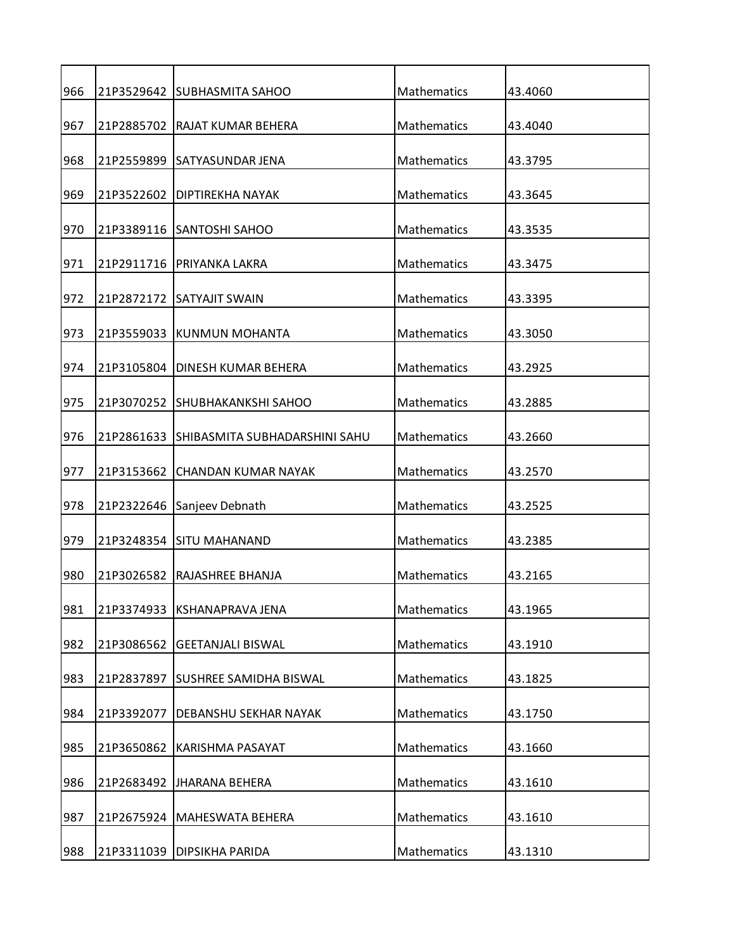| 966 |            | 21P3529642 SUBHASMITA SAHOO              | Mathematics        | 43.4060 |
|-----|------------|------------------------------------------|--------------------|---------|
| 967 |            | 21P2885702 RAJAT KUMAR BEHERA            | Mathematics        | 43.4040 |
| 968 |            | 21P2559899 SATYASUNDAR JENA              | Mathematics        | 43.3795 |
| 969 | 21P3522602 | <b>DIPTIREKHA NAYAK</b>                  | Mathematics        | 43.3645 |
| 970 |            | 21P3389116 SANTOSHI SAHOO                | Mathematics        | 43.3535 |
| 971 |            | 21P2911716   PRIYANKA LAKRA              | Mathematics        | 43.3475 |
| 972 |            | 21P2872172 SATYAJIT SWAIN                | Mathematics        | 43.3395 |
| 973 |            | 21P3559033 KUNMUN MOHANTA                | Mathematics        | 43.3050 |
| 974 | 21P3105804 | DINESH KUMAR BEHERA                      | <b>Mathematics</b> | 43.2925 |
| 975 | 21P3070252 | <b>SHUBHAKANKSHI SAHOO</b>               | Mathematics        | 43.2885 |
| 976 |            | 21P2861633 SHIBASMITA SUBHADARSHINI SAHU | Mathematics        | 43.2660 |
| 977 | 21P3153662 | <b>CHANDAN KUMAR NAYAK</b>               | Mathematics        | 43.2570 |
| 978 |            | 21P2322646 Sanjeev Debnath               | Mathematics        | 43.2525 |
| 979 |            | 21P3248354 SITU MAHANAND                 | Mathematics        | 43.2385 |
| 980 | 21P3026582 | RAJASHREE BHANJA                         | <b>Mathematics</b> | 43.2165 |
| 981 | 21P3374933 | KSHANAPRAVA JENA                         | Mathematics        | 43.1965 |
| 982 | 21P3086562 | <b>GEETANJALI BISWAL</b>                 | <b>Mathematics</b> | 43.1910 |
| 983 | 21P2837897 | <b>SUSHREE SAMIDHA BISWAL</b>            | Mathematics        | 43.1825 |
| 984 | 21P3392077 | DEBANSHU SEKHAR NAYAK                    | <b>Mathematics</b> | 43.1750 |
| 985 | 21P3650862 | KARISHMA PASAYAT                         | Mathematics        | 43.1660 |
| 986 |            | 21P2683492 JHARANA BEHERA                | Mathematics        | 43.1610 |
| 987 | 21P2675924 | MAHESWATA BEHERA                         | Mathematics        | 43.1610 |
| 988 |            | 21P3311039   DIPSIKHA PARIDA             | Mathematics        | 43.1310 |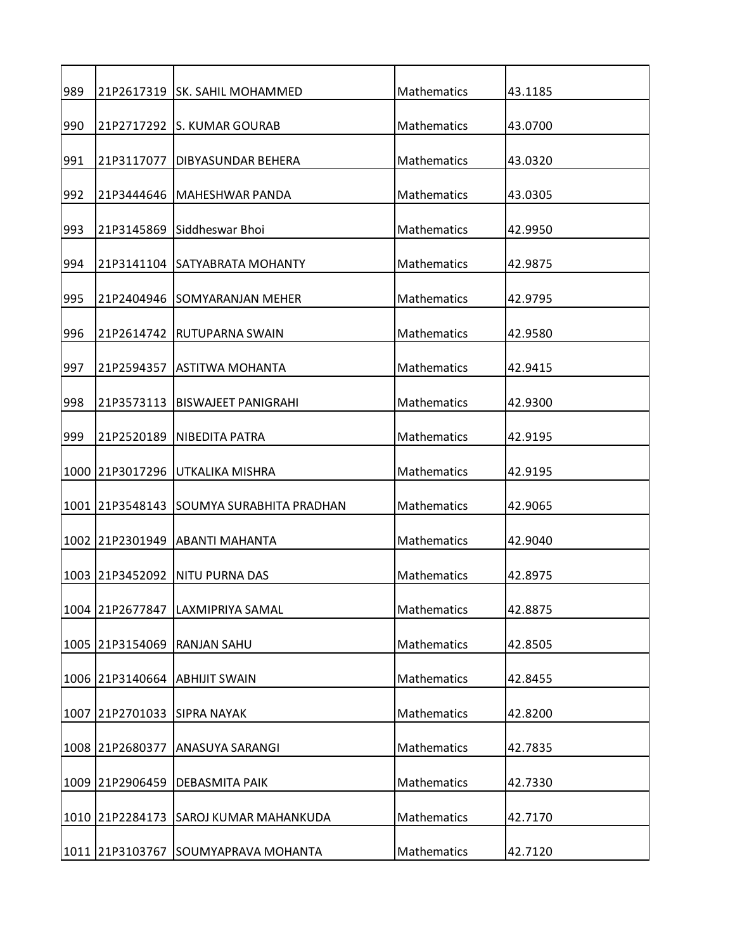| 989  |                             | 21P2617319   SK. SAHIL MOHAMMED          | Mathematics        | 43.1185 |
|------|-----------------------------|------------------------------------------|--------------------|---------|
| 990  |                             | 21P2717292 S. KUMAR GOURAB               | Mathematics        | 43.0700 |
| 991  |                             | 21P3117077   DIBYASUNDAR BEHERA          | Mathematics        | 43.0320 |
| 992  | 21P3444646                  | IMAHESHWAR PANDA                         | Mathematics        | 43.0305 |
| 993  |                             | 21P3145869 Siddheswar Bhoi               | Mathematics        | 42.9950 |
| 994  |                             | 21P3141104 SATYABRATA MOHANTY            | Mathematics        | 42.9875 |
| 995  |                             | 21P2404946 SOMYARANJAN MEHER             | Mathematics        | 42.9795 |
| 996  |                             | 21P2614742 RUTUPARNA SWAIN               | Mathematics        | 42.9580 |
| 997  | 21P2594357                  | <b>ASTITWA MOHANTA</b>                   | Mathematics        | 42.9415 |
| 998  | 21P3573113                  | <b>BISWAJEET PANIGRAHI</b>               | Mathematics        | 42.9300 |
|      |                             |                                          |                    |         |
| 999  |                             | 21P2520189   NIBEDITA PATRA              | Mathematics        | 42.9195 |
|      |                             | 1000 21P3017296 UTKALIKA MISHRA          | Mathematics        | 42.9195 |
|      |                             | 1001 21P3548143 SOUMYA SURABHITA PRADHAN | Mathematics        | 42.9065 |
|      |                             | 1002 21P2301949 ABANTI MAHANTA           | Mathematics        | 42.9040 |
|      | 1003 21P3452092             | INITU PURNA DAS                          | <b>Mathematics</b> | 42.8975 |
|      | 1004 21P2677847             | LAXMIPRIYA SAMAL                         | Mathematics        | 42.8875 |
|      | 1005 21P3154069             | <b>RANJAN SAHU</b>                       | Mathematics        | 42.8505 |
|      |                             | 1006 21P3140664 ABHIJIT SWAIN            | Mathematics        | 42.8455 |
|      | 1007 21P2701033 SIPRA NAYAK |                                          | Mathematics        | 42.8200 |
| 1008 | 21P2680377                  | ANASUYA SARANGI                          | Mathematics        | 42.7835 |
|      | 1009 21P2906459             | <b>DEBASMITA PAIK</b>                    | Mathematics        | 42.7330 |
|      | 1010 21P2284173             | SAROJ KUMAR MAHANKUDA                    | Mathematics        | 42.7170 |
|      |                             |                                          |                    |         |
|      |                             | 1011 21P3103767 SOUMYAPRAVA MOHANTA      | Mathematics        | 42.7120 |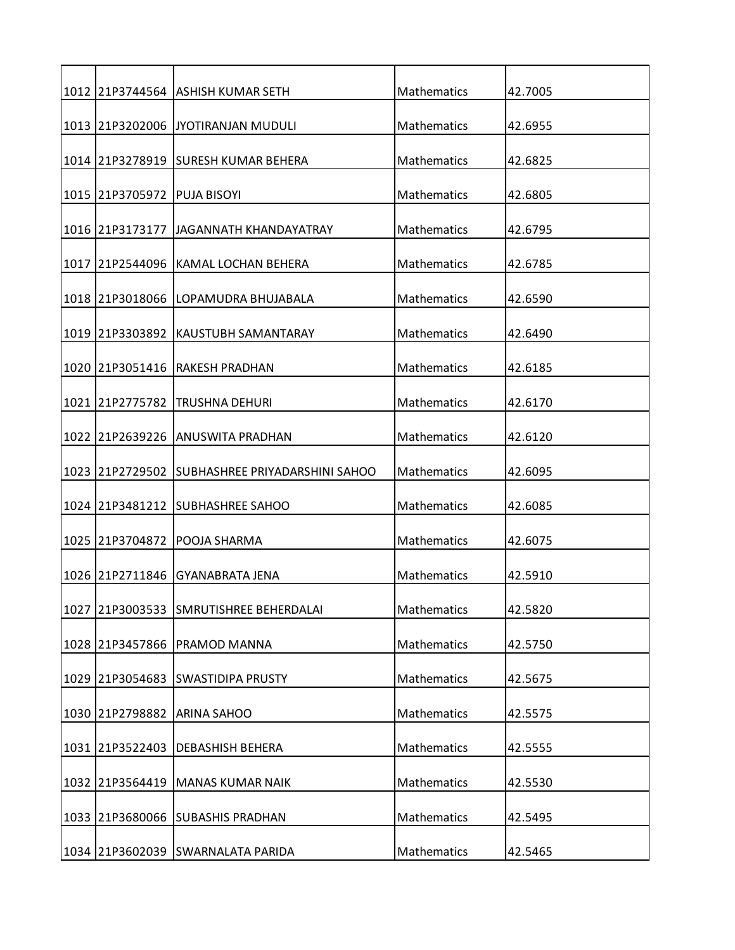|      |                 | 1012 21P3744564 ASHISH KUMAR SETH              | Mathematics        | 42.7005 |
|------|-----------------|------------------------------------------------|--------------------|---------|
|      |                 | 1013 21P3202006 JJYOTIRANJAN MUDULI            | Mathematics        | 42.6955 |
|      |                 | 1014   21 P3278919   SURESH KUMAR BEHERA       | Mathematics        | 42.6825 |
|      | 1015 21P3705972 | <b>PUJA BISOYI</b>                             | Mathematics        | 42.6805 |
|      |                 | 1016 21P3173177 JJAGANNATH KHANDAYATRAY        | Mathematics        | 42.6795 |
|      |                 | 1017 21P2544096 KAMAL LOCHAN BEHERA            | Mathematics        | 42.6785 |
|      |                 |                                                |                    |         |
|      | 1018 21P3018066 | LOPAMUDRA BHUJABALA                            | Mathematics        | 42.6590 |
|      |                 | 1019 21P3303892 KAUSTUBH SAMANTARAY            | Mathematics        | 42.6490 |
|      | 1020 21P3051416 | <b>RAKESH PRADHAN</b>                          | Mathematics        | 42.6185 |
| 1021 | 21P2775782      | TRUSHNA DEHURI                                 | Mathematics        | 42.6170 |
|      |                 | 1022 21P2639226 ANUSWITA PRADHAN               | Mathematics        | 42.6120 |
|      |                 | 1023 21P2729502 SUBHASHREE PRIYADARSHINI SAHOO | Mathematics        | 42.6095 |
|      |                 |                                                | Mathematics        |         |
|      |                 | 1024 21P3481212 SUBHASHREE SAHOO               |                    | 42.6085 |
|      | 1025 21P3704872 | POOJA SHARMA                                   | Mathematics        | 42.6075 |
| 1026 | 21P2711846      | lGYANABRATA JENA                               | Mathematics        | 42.5910 |
|      | 1027 21P3003533 | SMRUTISHREE BEHERDALAI                         | Mathematics        | 42.5820 |
|      | 1028 21P3457866 | PRAMOD MANNA                                   | Mathematics        | 42.5750 |
|      | 1029 21P3054683 | <b>SWASTIDIPA PRUSTY</b>                       | Mathematics        | 42.5675 |
|      | 1030 21P2798882 | <b>ARINA SAHOO</b>                             | Mathematics        | 42.5575 |
|      |                 |                                                |                    |         |
| 1031 | 21P3522403      | <b>DEBASHISH BEHERA</b>                        | <b>Mathematics</b> | 42.5555 |
|      | 1032 21P3564419 | <b>MANAS KUMAR NAIK</b>                        | Mathematics        | 42.5530 |
|      | 1033 21P3680066 | <b>SUBASHIS PRADHAN</b>                        | Mathematics        | 42.5495 |
|      |                 |                                                |                    |         |
|      |                 | 1034 21P3602039 SWARNALATA PARIDA              | Mathematics        | 42.5465 |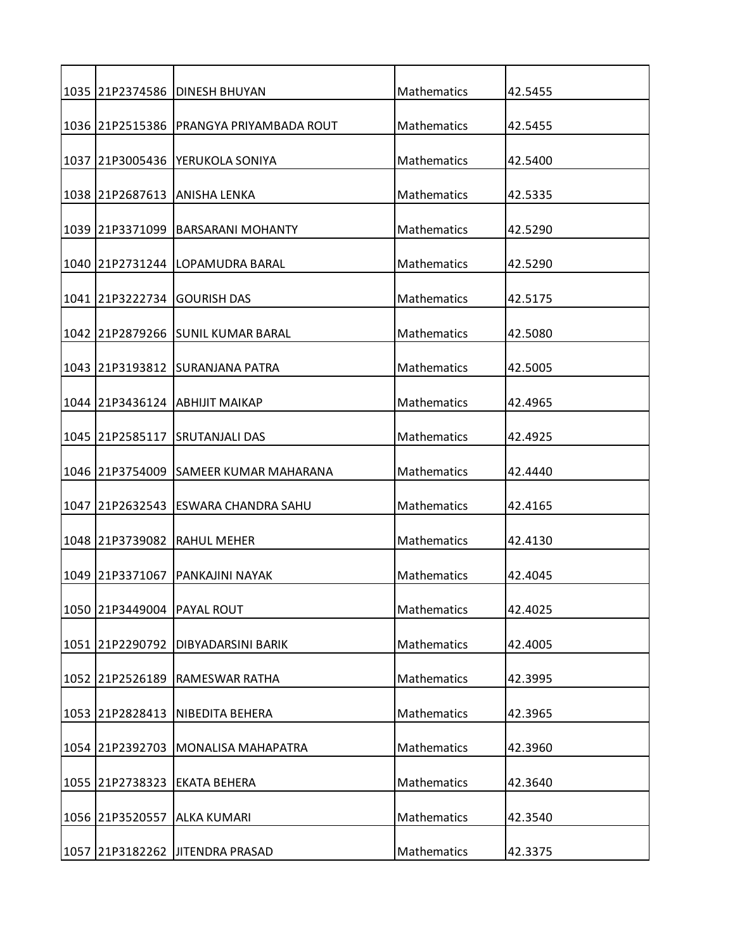| 1035 |                 | 21P2374586   DINESH BHUYAN            | Mathematics        | 42.5455 |
|------|-----------------|---------------------------------------|--------------------|---------|
|      | 1036 21P2515386 | PRANGYA PRIYAMBADA ROUT               | Mathematics        | 42.5455 |
|      |                 | 1037  21P3005436  YERUKOLA SONIYA     | Mathematics        | 42.5400 |
|      | 1038 21P2687613 | ANISHA LENKA                          | Mathematics        | 42.5335 |
|      |                 |                                       | <b>Mathematics</b> |         |
|      | 1039 21P3371099 | <b>BARSARANI MOHANTY</b>              |                    | 42.5290 |
|      |                 | 1040   21P2731244   LOPAMUDRA BARAL   | Mathematics        | 42.5290 |
|      | 1041 21P3222734 | <b>GOURISH DAS</b>                    | Mathematics        | 42.5175 |
|      |                 | 1042 I21P2879266 ISUNIL KUMAR BARAL   | Mathematics        | 42.5080 |
|      |                 | 1043 21P3193812 SURANJANA PATRA       | Mathematics        | 42.5005 |
|      |                 | 1044 21P3436124 ABHIJIT MAIKAP        | Mathematics        | 42.4965 |
|      |                 |                                       |                    |         |
|      |                 | 1045 21P2585117 SRUTANJALI DAS        | Mathematics        | 42.4925 |
|      |                 | 1046 21P3754009 SAMEER KUMAR MAHARANA | Mathematics        | 42.4440 |
|      |                 | 1047 21P2632543 ESWARA CHANDRA SAHU   | Mathematics        | 42.4165 |
|      | 1048 21P3739082 | <b>RAHUL MEHER</b>                    | Mathematics        | 42.4130 |
| 1049 | 21P3371067      | PANKAJINI NAYAK                       | <b>Mathematics</b> | 42.4045 |
|      | 1050 21P3449004 | PAYAL ROUT                            | Mathematics        | 42.4025 |
|      |                 |                                       |                    |         |
|      | 1051 21P2290792 | DIBYADARSINI BARIK                    | Mathematics        | 42.4005 |
|      | 1052 21P2526189 | <b>RAMESWAR RATHA</b>                 | Mathematics        | 42.3995 |
|      | 1053 21P2828413 | NIBEDITA BEHERA                       | <b>Mathematics</b> | 42.3965 |
|      | 1054 21P2392703 | <b>MONALISA MAHAPATRA</b>             | Mathematics        | 42.3960 |
|      | 1055 21P2738323 | <b>EKATA BEHERA</b>                   | Mathematics        | 42.3640 |
|      |                 |                                       |                    |         |
|      | 1056 21P3520557 | <b>ALKA KUMARI</b>                    | Mathematics        | 42.3540 |
|      |                 | 1057 21P3182262 JITENDRA PRASAD       | Mathematics        | 42.3375 |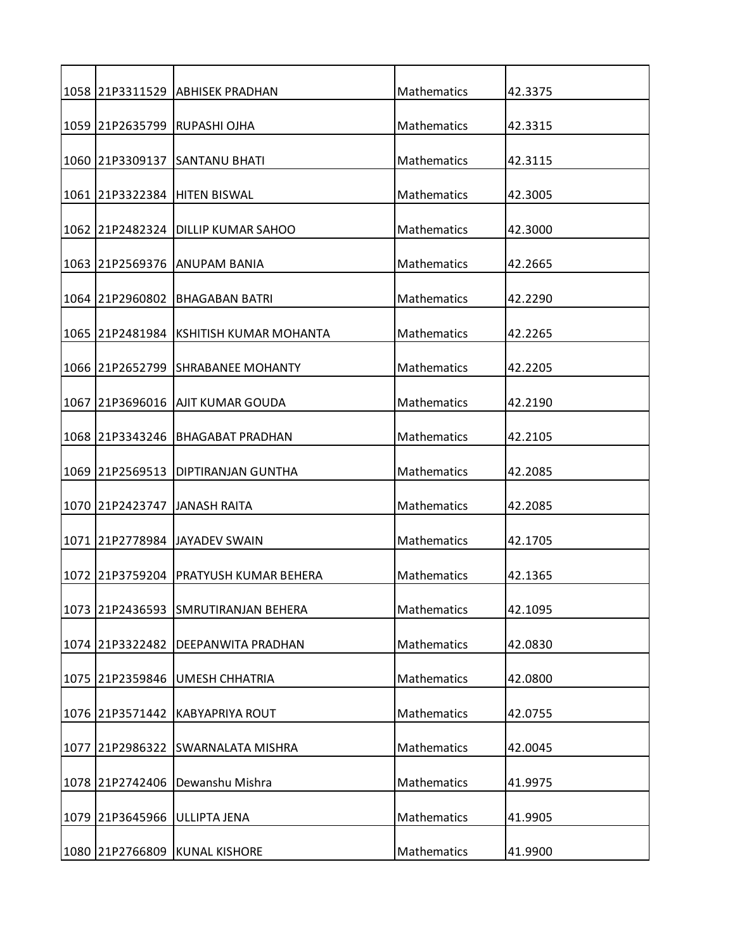|      |                 | 1058 21P3311529   ABHISEK PRADHAN            | Mathematics | 42.3375 |
|------|-----------------|----------------------------------------------|-------------|---------|
|      |                 | 1059 21P2635799 RUPASHI OJHA                 | Mathematics | 42.3315 |
|      |                 | 1060 21P3309137 SANTANU BHATI                | Mathematics | 42.3115 |
|      |                 | 1061 21P3322384 HITEN BISWAL                 | Mathematics | 42.3005 |
|      |                 | 1062 21P2482324 DILLIP KUMAR SAHOO           | Mathematics | 42.3000 |
|      |                 | 1063 21P2569376 ANUPAM BANIA                 | Mathematics | 42.2665 |
|      | 1064 21P2960802 | <b>BHAGABAN BATRI</b>                        | Mathematics | 42.2290 |
|      |                 | 1065   21 P 2481984   KSHITISH KUMAR MOHANTA | Mathematics | 42.2265 |
|      |                 |                                              |             |         |
| 1066 |                 | 21P2652799 SHRABANEE MOHANTY                 | Mathematics | 42.2205 |
| 1067 |                 | 21P3696016   AJIT KUMAR GOUDA                | Mathematics | 42.2190 |
|      |                 | 1068 21P3343246 BHAGABAT PRADHAN             | Mathematics | 42.2105 |
|      | 1069 21P2569513 | <b>DIPTIRANJAN GUNTHA</b>                    | Mathematics | 42.2085 |
|      |                 | 1070 21P2423747 JJANASH RAITA                | Mathematics | 42.2085 |
|      |                 | 1071 21P2778984 JAYADEV SWAIN                | Mathematics | 42.1705 |
| 1072 | 21P3759204      | PRATYUSH KUMAR BEHERA                        | Mathematics | 42.1365 |
|      | 1073 21P2436593 | <b>SMRUTIRANJAN BEHERA</b>                   | Mathematics | 42.1095 |
|      | 1074 21P3322482 | DEEPANWITA PRADHAN                           | Mathematics | 42.0830 |
| 1075 | 21P2359846      | <b>UMESH CHHATRIA</b>                        | Mathematics | 42.0800 |
|      | 1076 21P3571442 | <b>KABYAPRIYA ROUT</b>                       | Mathematics | 42.0755 |
| 1077 | 21P2986322      | <b>SWARNALATA MISHRA</b>                     | Mathematics | 42.0045 |
|      | 1078 21P2742406 | Dewanshu Mishra                              | Mathematics | 41.9975 |
| 1079 | 21P3645966      | <b>ULLIPTA JENA</b>                          | Mathematics | 41.9905 |
|      |                 |                                              |             |         |
|      |                 | 1080 21P2766809 KUNAL KISHORE                | Mathematics | 41.9900 |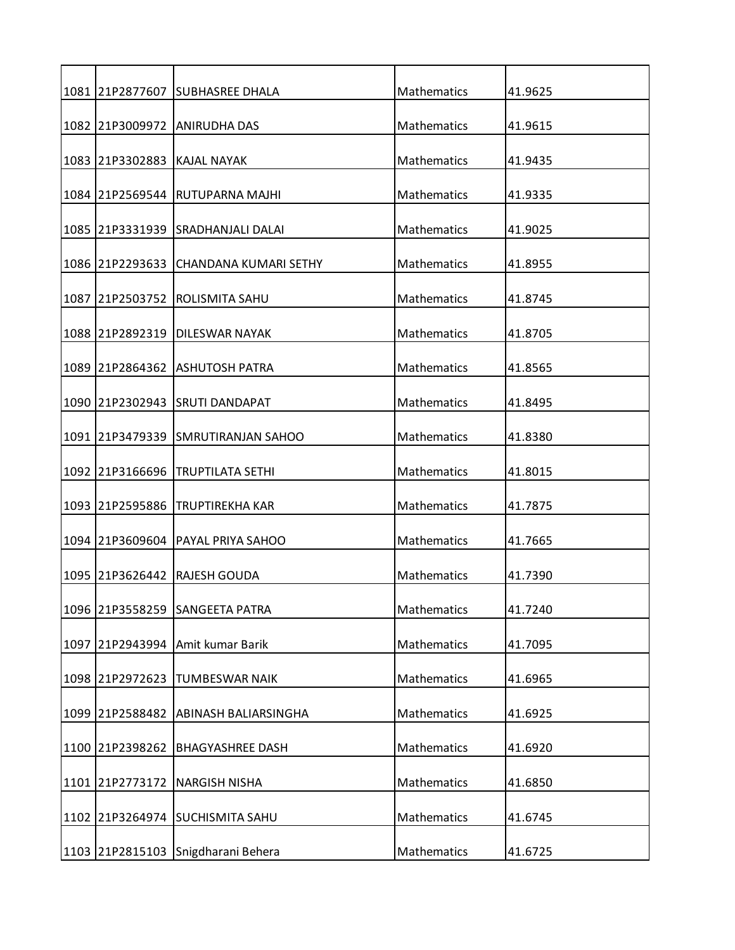|      |                             | 1081 21P2877607 SUBHASREE DHALA       | Mathematics        | 41.9625 |
|------|-----------------------------|---------------------------------------|--------------------|---------|
|      |                             | 1082 21P3009972 ANIRUDHA DAS          | Mathematics        | 41.9615 |
|      | 1083 21P3302883 KAJAL NAYAK |                                       | Mathematics        | 41.9435 |
| 1084 |                             | 21P2569544 RUTUPARNA MAJHI            | Mathematics        | 41.9335 |
|      |                             | 1085 21P3331939 SRADHANJALI DALAI     | Mathematics        | 41.9025 |
|      |                             | 1086 21P2293633 CHANDANA KUMARI SETHY | Mathematics        | 41.8955 |
| 1087 | 21P2503752                  | ROLISMITA SAHU                        | Mathematics        | 41.8745 |
|      |                             | 1088 21P2892319 DILESWAR NAYAK        | Mathematics        | 41.8705 |
| 1089 | 21P2864362                  | <b>ASHUTOSH PATRA</b>                 | Mathematics        | 41.8565 |
| 1090 |                             | 21P2302943 ISRUTI DANDAPAT            | Mathematics        | 41.8495 |
|      |                             | 1091 21P3479339 SMRUTIRANJAN SAHOO    | Mathematics        | 41.8380 |
|      |                             |                                       |                    |         |
|      | 1092 21P3166696             | <b>TRUPTILATA SETHI</b>               | Mathematics        | 41.8015 |
|      |                             | 1093 21P2595886 TRUPTIREKHA KAR       | Mathematics        | 41.7875 |
|      | 1094 21P3609604             | PAYAL PRIYA SAHOO                     | Mathematics        | 41.7665 |
| 1095 | 21P3626442                  | RAJESH GOUDA                          | <b>Mathematics</b> | 41.7390 |
|      |                             | 1096 21P3558259 SANGEETA PATRA        | Mathematics        | 41.7240 |
| 1097 |                             | 21P2943994 Amit kumar Barik           | Mathematics        | 41.7095 |
|      | 1098 21P2972623             | <b>TUMBESWAR NAIK</b>                 | Mathematics        | 41.6965 |
|      | 1099 21P2588482             | ABINASH BALIARSINGHA                  | Mathematics        | 41.6925 |
| 1100 | 21P2398262                  | <b>BHAGYASHREE DASH</b>               | Mathematics        | 41.6920 |
| 1101 | 21P2773172                  | <b>NARGISH NISHA</b>                  | Mathematics        | 41.6850 |
|      |                             | 1102 21P3264974 SUCHISMITA SAHU       | Mathematics        | 41.6745 |
|      |                             |                                       |                    |         |
|      |                             | 1103 21P2815103 Snigdharani Behera    | Mathematics        | 41.6725 |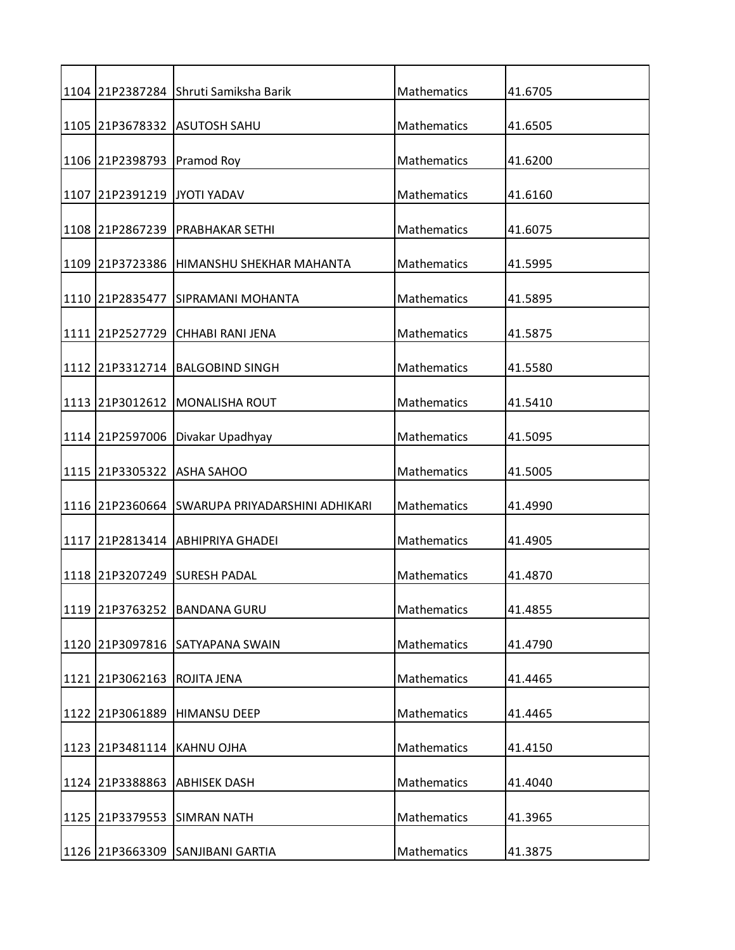|                             | 1104   21 P 2387 284 Shruti Samiksha Barik       | Mathematics | 41.6705 |
|-----------------------------|--------------------------------------------------|-------------|---------|
|                             | 1105 21P3678332 ASUTOSH SAHU                     | Mathematics | 41.6505 |
| 1106 21P2398793 Pramod Roy  |                                                  | Mathematics | 41.6200 |
| 1107 21P2391219 JYOTI YADAV |                                                  | Mathematics | 41.6160 |
|                             | 1108 21P2867239 PRABHAKAR SETHI                  | Mathematics |         |
|                             |                                                  |             | 41.6075 |
|                             | 1109 21P3723386 HIMANSHU SHEKHAR MAHANTA         | Mathematics | 41.5995 |
| 1110 21P2835477             | <b>SIPRAMANI MOHANTA</b>                         | Mathematics | 41.5895 |
|                             | 1111 21P2527729 CHHABI RANI JENA                 | Mathematics | 41.5875 |
|                             | 1112 21P3312714 BALGOBIND SINGH                  | Mathematics | 41.5580 |
|                             | 1113 21P3012612 MONALISHA ROUT                   | Mathematics | 41.5410 |
| 1114 21P2597006             | Divakar Upadhyay                                 | Mathematics | 41.5095 |
|                             |                                                  |             |         |
| 1115 21P3305322 ASHA SAHOO  |                                                  | Mathematics | 41.5005 |
|                             | 1116  21P2360664  SWARUPA PRIYADARSHINI ADHIKARI | Mathematics | 41.4990 |
|                             | 1117 21P2813414 ABHIPRIYA GHADEI                 | Mathematics | 41.4905 |
|                             | 1118 21P3207249 SURESH PADAL                     | Mathematics | 41.4870 |
| 1119 21P3763252             | <b>BANDANA GURU</b>                              | Mathematics | 41.4855 |
| 1120 21P3097816             | <b>SATYAPANA SWAIN</b>                           | Mathematics | 41.4790 |
| 1121 21P3062163             | <b>ROJITA JENA</b>                               | Mathematics | 41.4465 |
| 1122 21P3061889             | <b>HIMANSU DEEP</b>                              | Mathematics | 41.4465 |
|                             |                                                  |             |         |
| 1123 21P3481114 KAHNU OJHA  |                                                  | Mathematics | 41.4150 |
| 1124 21P3388863             | <b>ABHISEK DASH</b>                              | Mathematics | 41.4040 |
|                             | 1125 21P3379553 SIMRAN NATH                      | Mathematics | 41.3965 |
|                             | 1126 21P3663309 SANJIBANI GARTIA                 | Mathematics | 41.3875 |
|                             |                                                  |             |         |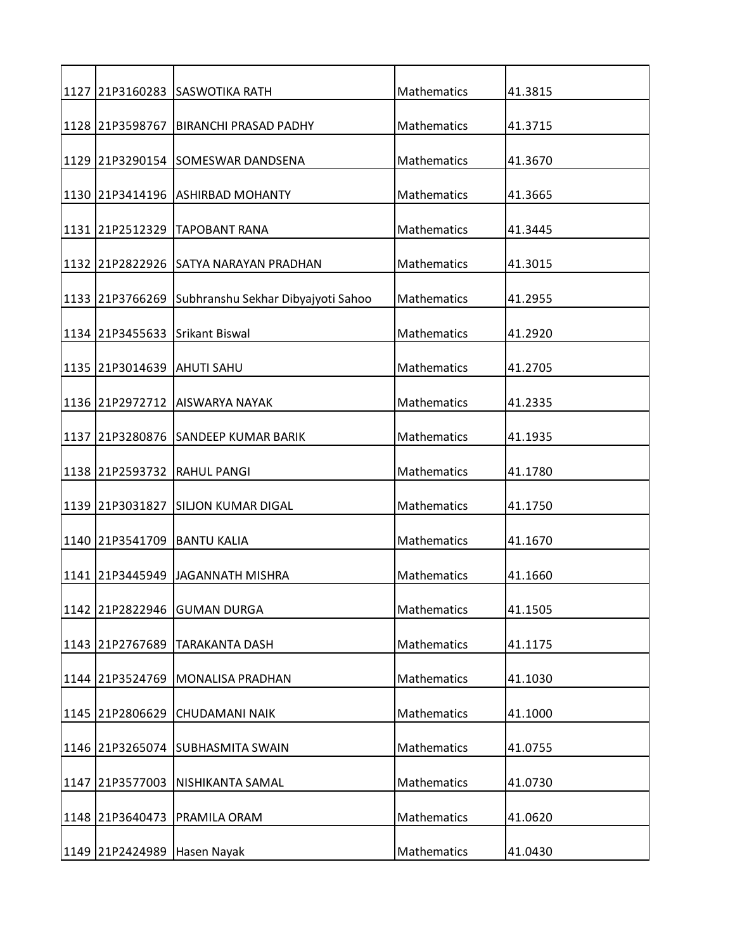|      |                            | 1127 21P3160283 SASWOTIKA RATH                     | Mathematics        | 41.3815 |
|------|----------------------------|----------------------------------------------------|--------------------|---------|
|      | 1128 21P3598767            | <b>BIRANCHI PRASAD PADHY</b>                       | Mathematics        | 41.3715 |
|      |                            | 1129 21P3290154 SOMESWAR DANDSENA                  | Mathematics        | 41.3670 |
|      |                            | 1130 21P3414196 ASHIRBAD MOHANTY                   | Mathematics        | 41.3665 |
|      |                            |                                                    |                    |         |
|      |                            | 1131 21P2512329 TAPOBANT RANA                      | Mathematics        | 41.3445 |
|      |                            | 1132 21P2822926 SATYA NARAYAN PRADHAN              | Mathematics        | 41.3015 |
|      |                            | 1133 21P3766269 Subhranshu Sekhar Dibyajyoti Sahoo | Mathematics        | 41.2955 |
|      |                            | 1134 21P3455633 Srikant Biswal                     | Mathematics        | 41.2920 |
|      | 1135 21P3014639 AHUTI SAHU |                                                    | <b>Mathematics</b> | 41.2705 |
|      |                            | 1136 21P2972712 AISWARYA NAYAK                     | Mathematics        | 41.2335 |
| 1137 |                            | 21P3280876 SANDEEP KUMAR BARIK                     | Mathematics        | 41.1935 |
|      |                            |                                                    |                    |         |
|      |                            | 1138 21P2593732 RAHUL PANGI                        | Mathematics        | 41.1780 |
|      |                            | 1139 21P3031827 SILJON KUMAR DIGAL                 | Mathematics        | 41.1750 |
|      |                            | 1140 21P3541709 BANTU KALIA                        | Mathematics        | 41.1670 |
|      |                            | 1141 21P3445949 JJAGANNATH MISHRA                  | <b>Mathematics</b> | 41.1660 |
|      | 1142 21P2822946            | <b>GUMAN DURGA</b>                                 | Mathematics        | 41.1505 |
|      | 1143 21P2767689            | <b>TARAKANTA DASH</b>                              | Mathematics        | 41.1175 |
|      | 1144 21P3524769            | <b>MONALISA PRADHAN</b>                            | Mathematics        | 41.1030 |
|      | 1145 21P2806629            | <b>CHUDAMANI NAIK</b>                              | Mathematics        | 41.1000 |
|      |                            |                                                    |                    |         |
|      |                            | 1146 21P3265074 SUBHASMITA SWAIN                   | Mathematics        | 41.0755 |
| 1147 | 21P3577003                 | NISHIKANTA SAMAL                                   | Mathematics        | 41.0730 |
|      | 1148 21P3640473            | PRAMILA ORAM                                       | Mathematics        | 41.0620 |
|      | 1149 21P2424989            | Hasen Nayak                                        | Mathematics        | 41.0430 |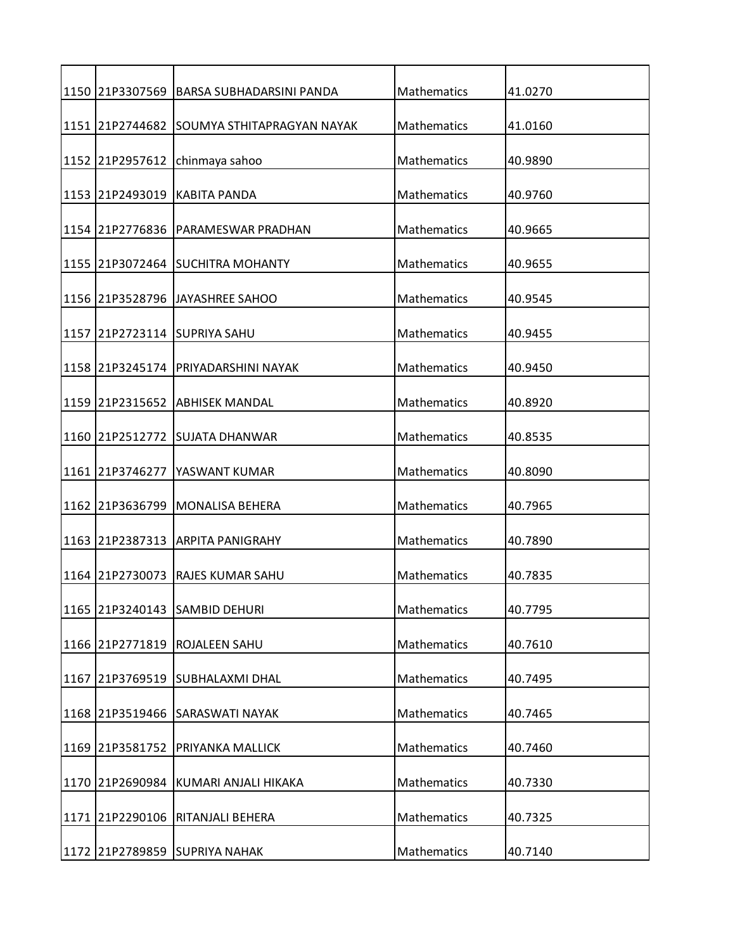|      |                 | 1150 21P3307569 BARSA SUBHADARSINI PANDA | Mathematics        | 41.0270 |
|------|-----------------|------------------------------------------|--------------------|---------|
|      | 1151 21P2744682 | SOUMYA STHITAPRAGYAN NAYAK               | Mathematics        | 41.0160 |
|      | 1152 21P2957612 | chinmaya sahoo                           | Mathematics        | 40.9890 |
|      | 1153 21P2493019 | <b>KABITA PANDA</b>                      | Mathematics        | 40.9760 |
|      | 1154 21P2776836 | PARAMESWAR PRADHAN                       | Mathematics        | 40.9665 |
|      |                 | 1155 21P3072464 SUCHITRA MOHANTY         | Mathematics        | 40.9655 |
|      |                 | 1156 21P3528796 JAYASHREE SAHOO          | Mathematics        | 40.9545 |
|      |                 |                                          |                    |         |
|      |                 | 1157 21P2723114 SUPRIYA SAHU             | Mathematics        | 40.9455 |
|      |                 | 1158 21P3245174 PRIYADARSHINI NAYAK      | <b>Mathematics</b> | 40.9450 |
|      |                 | 1159 21P2315652 ABHISEK MANDAL           | Mathematics        | 40.8920 |
|      |                 | 1160 21P2512772 SUJATA DHANWAR           | Mathematics        | 40.8535 |
|      | 1161 21P3746277 | YASWANT KUMAR                            | Mathematics        | 40.8090 |
|      |                 | 1162 21P3636799 MONALISA BEHERA          | Mathematics        | 40.7965 |
|      |                 |                                          |                    |         |
|      |                 | 1163 21P2387313 ARPITA PANIGRAHY         | Mathematics        | 40.7890 |
|      | 1164 21P2730073 | <b>RAJES KUMAR SAHU</b>                  | <b>Mathematics</b> | 40.7835 |
|      |                 | 1165 21P3240143 SAMBID DEHURI            | Mathematics        | 40.7795 |
|      | 1166 21P2771819 | <b>ROJALEEN SAHU</b>                     | Mathematics        | 40.7610 |
| 1167 |                 | 21P3769519 SUBHALAXMI DHAL               | Mathematics        | 40.7495 |
|      |                 | 1168 21P3519466 SARASWATI NAYAK          | Mathematics        | 40.7465 |
|      | 1169 21P3581752 | PRIYANKA MALLICK                         | Mathematics        | 40.7460 |
| 1170 | 21P2690984      | KUMARI ANJALI HIKAKA                     | Mathematics        | 40.7330 |
|      |                 |                                          |                    |         |
|      | 1171 21P2290106 | RITANJALI BEHERA                         | Mathematics        | 40.7325 |
|      |                 | 1172 21P2789859 SUPRIYA NAHAK            | Mathematics        | 40.7140 |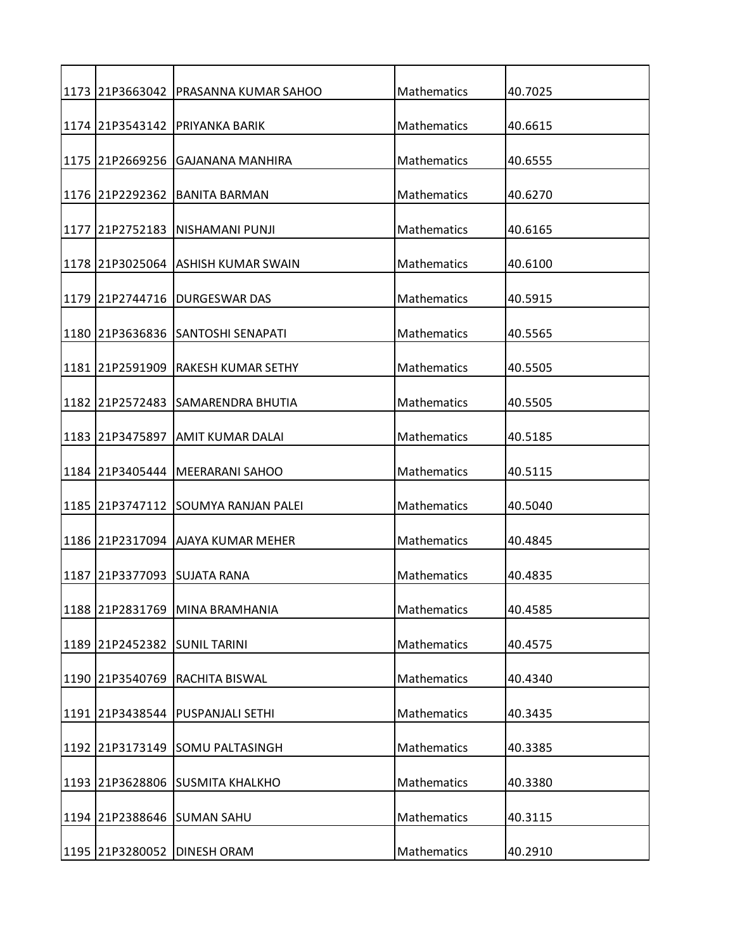|      |                 | 1173 21P3663042 PRASANNA KUMAR SAHOO | Mathematics        | 40.7025 |
|------|-----------------|--------------------------------------|--------------------|---------|
|      | 1174 21P3543142 | <b>PRIYANKA BARIK</b>                | Mathematics        | 40.6615 |
|      |                 | 1175 121P2669256  IGAJANANA MANHIRA  | Mathematics        | 40.6555 |
|      | 1176 21P2292362 | <b>BANITA BARMAN</b>                 | Mathematics        | 40.6270 |
|      |                 | INISHAMANI PUNJI                     | Mathematics        |         |
| 1177 | 21P2752183      |                                      |                    | 40.6165 |
|      |                 | 1178 21P3025064 ASHISH KUMAR SWAIN   | Mathematics        | 40.6100 |
|      | 1179 21P2744716 | <b>DURGESWAR DAS</b>                 | Mathematics        | 40.5915 |
|      |                 | 1180 21P3636836 SANTOSHI SENAPATI    | <b>Mathematics</b> | 40.5565 |
|      | 1181 21P2591909 | <b>RAKESH KUMAR SETHY</b>            | Mathematics        | 40.5505 |
|      |                 | 1182 21P2572483 SAMARENDRA BHUTIA    | Mathematics        | 40.5505 |
|      | 1183 21P3475897 | <b>JAMIT KUMAR DALAI</b>             | Mathematics        | 40.5185 |
|      |                 |                                      |                    |         |
|      |                 | 1184 21P3405444   MEERARANI SAHOO    | Mathematics        | 40.5115 |
|      |                 | 1185 21P3747112 SOUMYA RANJAN PALEI  | Mathematics        | 40.5040 |
|      |                 | 1186 21P2317094 AJAYA KUMAR MEHER    | Mathematics        | 40.4845 |
| 1187 |                 | 21P3377093 SUJATA RANA               | <b>Mathematics</b> | 40.4835 |
|      | 1188 21P2831769 | MINA BRAMHANIA                       | Mathematics        | 40.4585 |
|      | 1189 21P2452382 | <b>SUNIL TARINI</b>                  | Mathematics        | 40.4575 |
|      | 1190 21P3540769 | <b>RACHITA BISWAL</b>                | Mathematics        | 40.4340 |
|      |                 | 1191 21P3438544 PUSPANJALI SETHI     | <b>Mathematics</b> | 40.3435 |
|      |                 |                                      |                    |         |
|      |                 | 1192 21P3173149 SOMU PALTASINGH      | Mathematics        | 40.3385 |
|      |                 | 1193 21P3628806 SUSMITA KHALKHO      | Mathematics        | 40.3380 |
|      |                 | 1194 21P2388646 SUMAN SAHU           | Mathematics        | 40.3115 |
|      |                 |                                      |                    |         |
|      | 1195 21P3280052 | <b>DINESH ORAM</b>                   | Mathematics        | 40.2910 |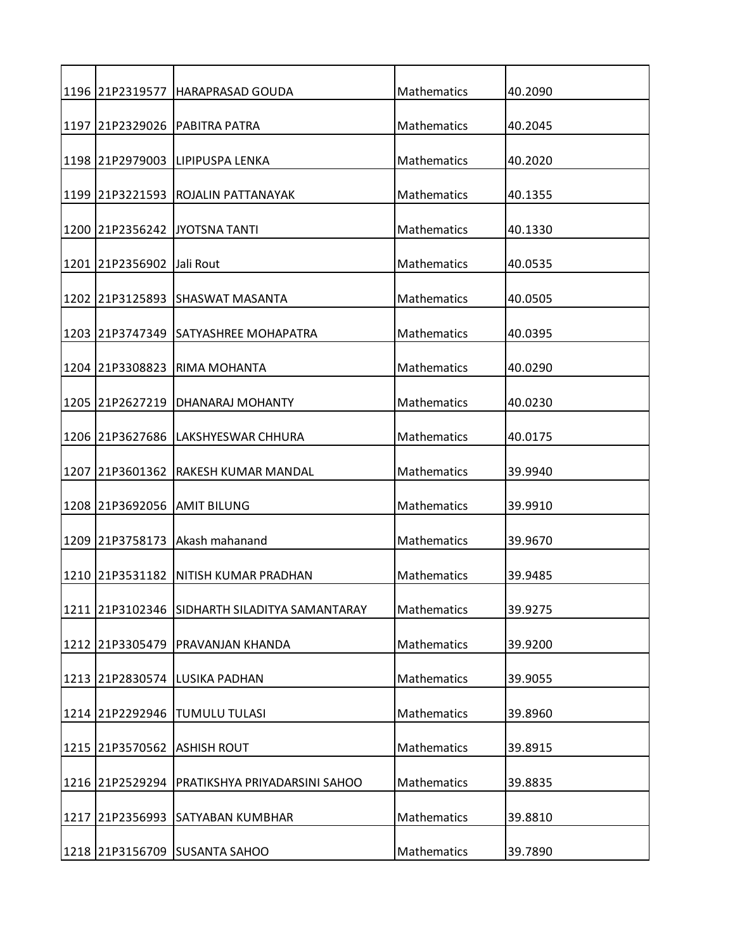|      | 1196 21P2319577           | HARAPRASAD GOUDA                              | Mathematics        | 40.2090 |
|------|---------------------------|-----------------------------------------------|--------------------|---------|
|      |                           | 1197 21P2329026 PABITRA PATRA                 | Mathematics        | 40.2045 |
|      |                           | 1198 21P2979003 LIPIPUSPA LENKA               | Mathematics        | 40.2020 |
|      | 1199 21P3221593           | <b>ROJALIN PATTANAYAK</b>                     | Mathematics        | 40.1355 |
|      |                           | 1200 21P2356242 JYOTSNA TANTI                 | Mathematics        | 40.1330 |
|      | 1201 21P2356902 Jali Rout |                                               | Mathematics        | 40.0535 |
|      |                           | 1202 21P3125893 SHASWAT MASANTA               | Mathematics        | 40.0505 |
|      |                           | 1203 21P3747349 SATYASHREE MOHAPATRA          | Mathematics        | 40.0395 |
| 1204 | 21P3308823                | RIMA MOHANTA                                  | Mathematics        | 40.0290 |
|      | 1205 21P2627219           | DHANARAJ MOHANTY                              | Mathematics        | 40.0230 |
|      | 1206 21P3627686           | LAKSHYESWAR CHHURA                            | Mathematics        | 40.0175 |
| 1207 | 21P3601362                | RAKESH KUMAR MANDAL                           | Mathematics        | 39.9940 |
|      |                           |                                               |                    |         |
|      |                           | 1208 21P3692056 AMIT BILUNG                   | Mathematics        | 39.9910 |
|      | 1209 21P3758173           | Akash mahanand                                | Mathematics        | 39.9670 |
| 1210 | 21P3531182                | NITISH KUMAR PRADHAN                          | Mathematics        | 39.9485 |
|      |                           | 1211 21P3102346 SIDHARTH SILADITYA SAMANTARAY | Mathematics        | 39.9275 |
|      | 1212 21P3305479           | PRAVANJAN KHANDA                              | Mathematics        | 39.9200 |
|      |                           | 1213 21P2830574 LUSIKA PADHAN                 | Mathematics        | 39.9055 |
|      |                           | 1214 21P2292946 TUMULU TULASI                 | <b>Mathematics</b> | 39.8960 |
|      | 1215 21P3570562           | <b>ASHISH ROUT</b>                            | Mathematics        | 39.8915 |
|      | 1216 21P2529294           | PRATIKSHYA PRIYADARSINI SAHOO                 | Mathematics        | 39.8835 |
| 1217 | 21P2356993                | <b>SATYABAN KUMBHAR</b>                       | Mathematics        | 39.8810 |
|      |                           | 1218 21P3156709 SUSANTA SAHOO                 | Mathematics        | 39.7890 |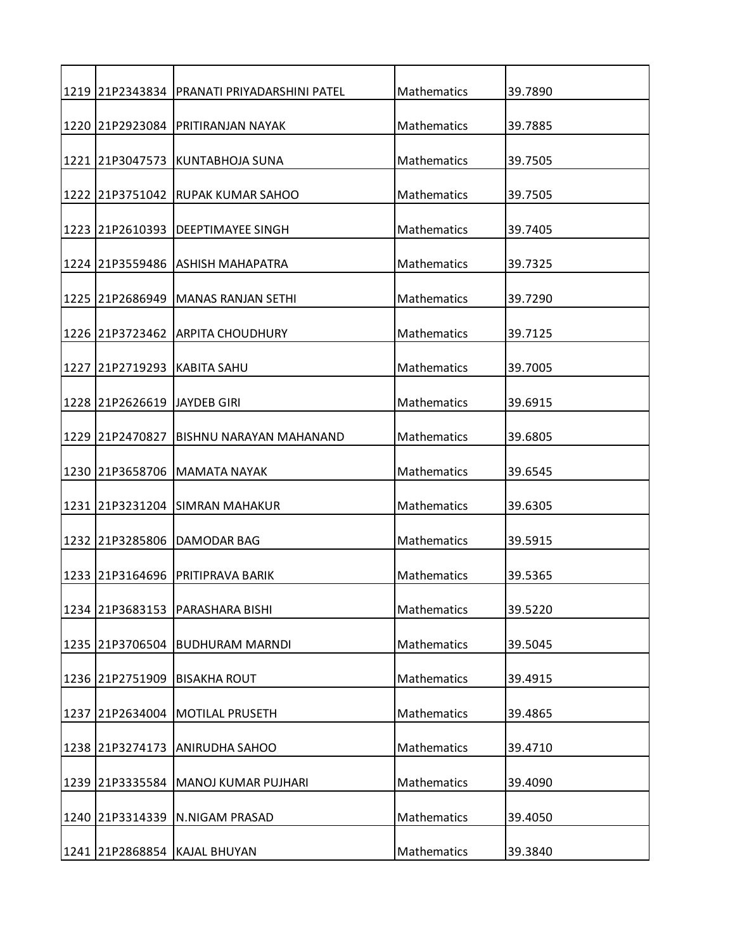|      |                              | 1219 21P2343834 PRANATI PRIYADARSHINI PATEL | Mathematics | 39.7890 |
|------|------------------------------|---------------------------------------------|-------------|---------|
|      | 1220 21P2923084              | PRITIRANJAN NAYAK                           | Mathematics | 39.7885 |
|      |                              | 1221 21P3047573 KUNTABHOJA SUNA             | Mathematics | 39.7505 |
|      | 1222 21P3751042              | RUPAK KUMAR SAHOO                           | Mathematics | 39.7505 |
|      |                              | 1223 21P2610393 DEEPTIMAYEE SINGH           | Mathematics | 39.7405 |
|      |                              | 1224 21P3559486 ASHISH MAHAPATRA            | Mathematics | 39.7325 |
|      |                              | 1225 21P2686949 MANAS RANJAN SETHI          | Mathematics | 39.7290 |
|      |                              |                                             |             |         |
|      |                              | 1226 21P3723462 ARPITA CHOUDHURY            | Mathematics | 39.7125 |
| 1227 | 21P2719293                   | <b>KABITA SAHU</b>                          | Mathematics | 39.7005 |
|      |                              |                                             |             |         |
|      | 1228 21P2626619 JJAYDEB GIRI |                                             | Mathematics | 39.6915 |
|      | 1229 21P2470827              | <b>BISHNU NARAYAN MAHANAND</b>              | Mathematics | 39.6805 |
|      |                              | 1230 21P3658706 MAMATA NAYAK                | Mathematics | 39.6545 |
|      |                              | 1231 21P3231204 SIMRAN MAHAKUR              | Mathematics | 39.6305 |
|      | 1232 21P3285806              | <b>DAMODAR BAG</b>                          | Mathematics | 39.5915 |
|      | 1233 21P3164696              | PRITIPRAVA BARIK                            | Mathematics | 39.5365 |
|      | 1234 21P3683153              | PARASHARA BISHI                             | Mathematics | 39.5220 |
|      | 1235 21P3706504              | <b>BUDHURAM MARNDI</b>                      | Mathematics | 39.5045 |
|      | 1236 21P2751909              | <b>BISAKHA ROUT</b>                         | Mathematics | 39.4915 |
|      | 1237 21P2634004              | <b>MOTILAL PRUSETH</b>                      | Mathematics | 39.4865 |
|      |                              |                                             |             |         |
|      | 1238 21P3274173              | <b>ANIRUDHA SAHOO</b>                       | Mathematics | 39.4710 |
|      | 1239 21P3335584              | MANOJ KUMAR PUJHARI                         | Mathematics | 39.4090 |
|      | 1240 21P3314339              | N.NIGAM PRASAD                              | Mathematics | 39.4050 |
|      |                              |                                             |             |         |
|      |                              | 1241 21P2868854 KAJAL BHUYAN                | Mathematics | 39.3840 |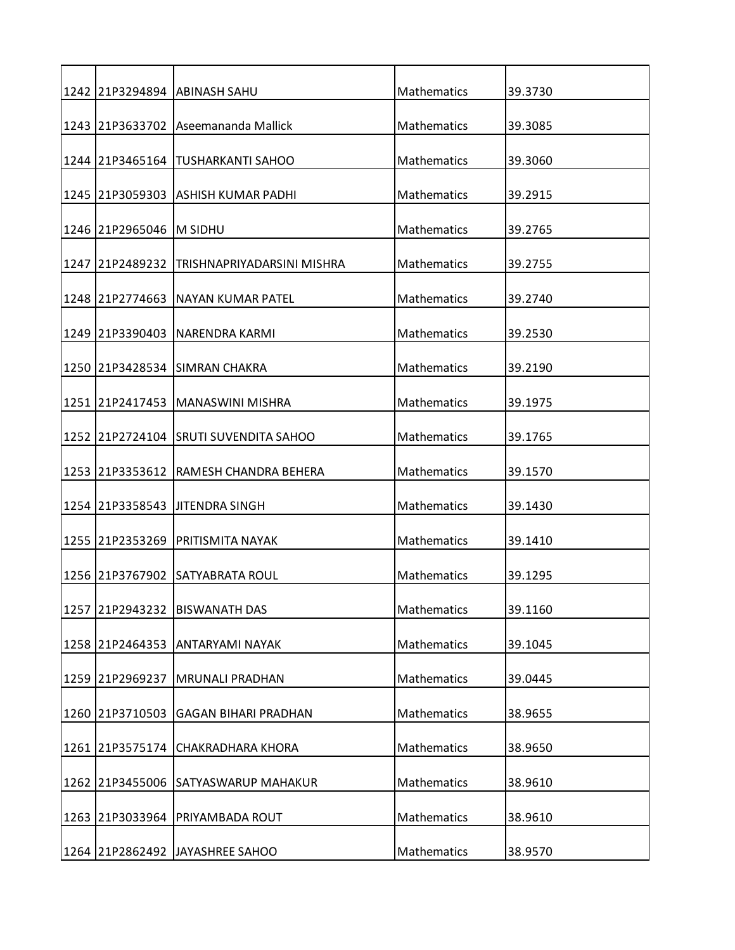|      |                      | 1242 21P3294894 ABINASH SAHU               | Mathematics        | 39.3730 |
|------|----------------------|--------------------------------------------|--------------------|---------|
|      |                      | 1243 21P3633702 Aseemananda Mallick        | Mathematics        | 39.3085 |
|      |                      | 1244   21 P3465164   TUSHARKANTI SAHOO     | Mathematics        | 39.3060 |
|      |                      | 1245 21P3059303 ASHISH KUMAR PADHI         | Mathematics        | 39.2915 |
|      | 1246 21P2965046      | IM SIDHU                                   | Mathematics        | 39.2765 |
|      |                      | 1247 21P2489232 TRISHNAPRIYADARSINI MISHRA | Mathematics        | 39.2755 |
|      |                      |                                            |                    |         |
|      | 1248 21P2774663      | NAYAN KUMAR PATEL                          | Mathematics        | 39.2740 |
|      |                      | 1249   21 P3390403   NARENDRA KARMI        | Mathematics        | 39.2530 |
|      |                      | 1250 21P3428534 SIMRAN CHAKRA              | Mathematics        | 39.2190 |
|      | l 1251 l 21P 2417453 | <b>IMANASWINI MISHRA</b>                   | Mathematics        | 39.1975 |
|      |                      | 1252 21P2724104 SRUTI SUVENDITA SAHOO      | Mathematics        | 39.1765 |
|      |                      |                                            |                    |         |
|      | 1253 21P3353612      | RAMESH CHANDRA BEHERA                      | Mathematics        | 39.1570 |
|      |                      | 1254 21P3358543 JJITENDRA SINGH            | Mathematics        | 39.1430 |
|      | 1255 21P2353269      | <b>PRITISMITA NAYAK</b>                    | Mathematics        | 39.1410 |
|      |                      | 1256 121P3767902 SATYABRATA ROUL           | <b>Mathematics</b> | 39.1295 |
| 1257 | 21P2943232           | <b>BISWANATH DAS</b>                       | Mathematics        | 39.1160 |
|      |                      | 1258 21P2464353 ANTARYAMI NAYAK            | Mathematics        | 39.1045 |
|      | 1259 21P2969237      | <b>MRUNALI PRADHAN</b>                     | Mathematics        | 39.0445 |
|      | 1260 21P3710503      | <b>GAGAN BIHARI PRADHAN</b>                | <b>Mathematics</b> | 38.9655 |
| 1261 | 21P3575174           | CHAKRADHARA KHORA                          | Mathematics        | 38.9650 |
|      | 1262 21P3455006      | <b>SATYASWARUP MAHAKUR</b>                 | Mathematics        | 38.9610 |
| 1263 | 21P3033964           | PRIYAMBADA ROUT                            | Mathematics        | 38.9610 |
|      |                      |                                            |                    |         |
|      |                      | 1264 21P2862492 JAYASHREE SAHOO            | Mathematics        | 38.9570 |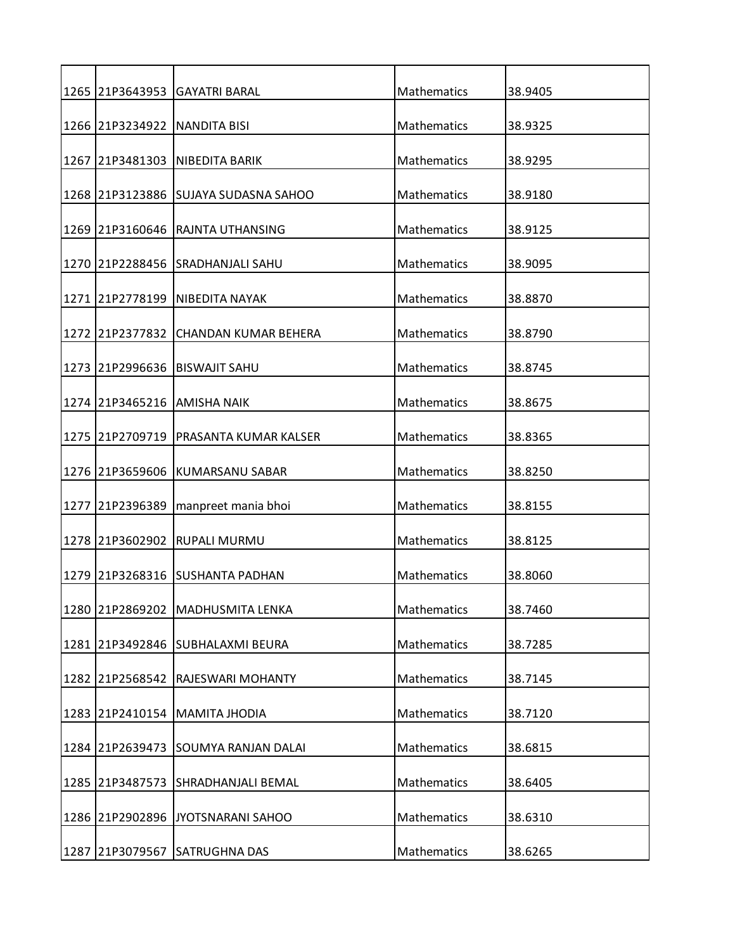|      |                 | 1265 21P3643953 GAYATRI BARAL         | Mathematics        | 38.9405 |
|------|-----------------|---------------------------------------|--------------------|---------|
|      | 1266 21P3234922 | <b>NANDITA BISI</b>                   | Mathematics        | 38.9325 |
|      |                 | 1267   21 P3481303   NIBEDITA BARIK   | Mathematics        | 38.9295 |
|      |                 | 1268 21P3123886 SUJAYA SUDASNA SAHOO  | Mathematics        | 38.9180 |
|      |                 |                                       | Mathematics        |         |
|      | 1269 21P3160646 | RAJNTA UTHANSING                      |                    | 38.9125 |
|      |                 | 1270 21P2288456 SRADHANJALI SAHU      | Mathematics        | 38.9095 |
|      |                 | 1271 21P2778199 NIBEDITA NAYAK        | Mathematics        | 38.8870 |
|      |                 | 1272 21P2377832 CHANDAN KUMAR BEHERA  | Mathematics        | 38.8790 |
|      | 1273 21P2996636 | <b>BISWAJIT SAHU</b>                  | Mathematics        | 38.8745 |
|      |                 | 1274 21P3465216 AMISHA NAIK           | Mathematics        | 38.8675 |
| 1275 | 21P2709719      | IPRASANTA KUMAR KALSER                | Mathematics        | 38.8365 |
|      |                 |                                       |                    |         |
|      | 1276 21P3659606 | KUMARSANU SABAR                       | Mathematics        | 38.8250 |
|      |                 | 1277 21P2396389   manpreet mania bhoi | Mathematics        | 38.8155 |
|      | 1278 21P3602902 | IRUPALI MURMU                         | Mathematics        | 38.8125 |
| 1279 |                 | 21P3268316 ISUSHANTA PADHAN           | <b>Mathematics</b> | 38.8060 |
|      | 1280 21P2869202 | MADHUSMITA LENKA                      | Mathematics        | 38.7460 |
| 1281 |                 | 21P3492846 SUBHALAXMI BEURA           | Mathematics        | 38.7285 |
|      |                 |                                       |                    |         |
|      | 1282 21P2568542 | RAJESWARI MOHANTY                     | Mathematics        | 38.7145 |
|      |                 | 1283 21P2410154 MAMITA JHODIA         | Mathematics        | 38.7120 |
| 1284 | 21P2639473      | <b>SOUMYA RANJAN DALAI</b>            | Mathematics        | 38.6815 |
| 1285 | 21P3487573      | <b>SHRADHANJALI BEMAL</b>             | Mathematics        | 38.6405 |
| 1286 | 21P2902896      | JYOTSNARANI SAHOO                     | Mathematics        | 38.6310 |
|      |                 |                                       |                    |         |
|      | 1287 21P3079567 | <b>SATRUGHNA DAS</b>                  | Mathematics        | 38.6265 |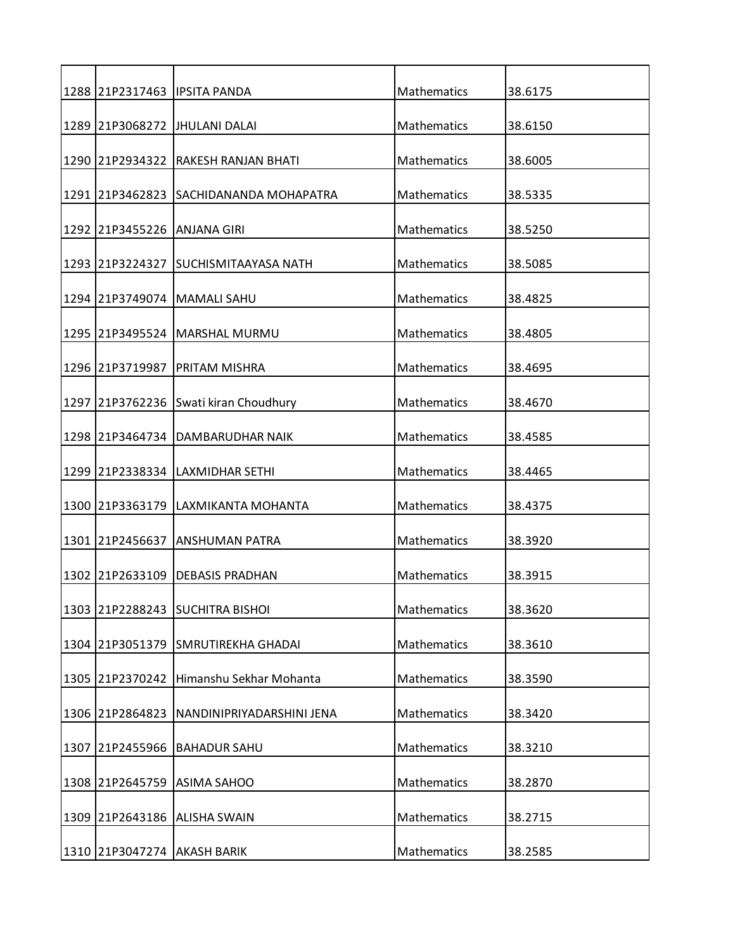|      |                             | 1288 21P2317463 IPSITA PANDA              | Mathematics        | 38.6175 |
|------|-----------------------------|-------------------------------------------|--------------------|---------|
|      |                             | 1289 21P3068272 JHULANI DALAI             | Mathematics        | 38.6150 |
|      |                             | 1290   21 P 2934322   RAKESH RANJAN BHATI | Mathematics        | 38.6005 |
|      |                             | 1291 21P3462823 SACHIDANANDA MOHAPATRA    | Mathematics        | 38.5335 |
|      |                             |                                           |                    |         |
|      | 1292 21P3455226 ANJANA GIRI |                                           | Mathematics        | 38.5250 |
|      |                             | 1293 21P3224327 SUCHISMITAAYASA NATH      | Mathematics        | 38.5085 |
|      |                             | 1294 21P3749074   MAMALI SAHU             | Mathematics        | 38.4825 |
|      |                             | 1295 21P3495524   MARSHAL MURMU           | Mathematics        | 38.4805 |
|      | 1296 21P3719987             | PRITAM MISHRA                             | Mathematics        | 38.4695 |
|      |                             | 1297 21P3762236 Swati kiran Choudhury     | Mathematics        | 38.4670 |
|      |                             |                                           |                    |         |
|      |                             | 1298 21P3464734 DAMBARUDHAR NAIK          | Mathematics        | 38.4585 |
|      |                             | 1299 21P2338334 LAXMIDHAR SETHI           | Mathematics        | 38.4465 |
|      |                             | 1300 21P3363179 LAXMIKANTA MOHANTA        | Mathematics        | 38.4375 |
|      | 1301 21P2456637             | <b>ANSHUMAN PATRA</b>                     | Mathematics        | 38.3920 |
|      |                             | 1302 21P2633109 DEBASIS PRADHAN           | <b>Mathematics</b> | 38.3915 |
|      |                             | 1303 21P2288243 SUCHITRA BISHOI           | Mathematics        | 38.3620 |
|      |                             | 1304 21P3051379 SMRUTIREKHA GHADAI        | Mathematics        | 38.3610 |
|      |                             |                                           |                    |         |
|      | 1305 21P2370242             | Himanshu Sekhar Mohanta                   | Mathematics        | 38.3590 |
|      | 1306 21P2864823             | NANDINIPRIYADARSHINI JENA                 | Mathematics        | 38.3420 |
| 1307 | 21P2455966                  | <b>BAHADUR SAHU</b>                       | Mathematics        | 38.3210 |
|      | 1308 21P2645759             | <b>ASIMA SAHOO</b>                        | Mathematics        | 38.2870 |
|      |                             | 1309 21P2643186 ALISHA SWAIN              | Mathematics        | 38.2715 |
|      |                             |                                           |                    |         |
|      | 1310 21P3047274 AKASH BARIK |                                           | Mathematics        | 38.2585 |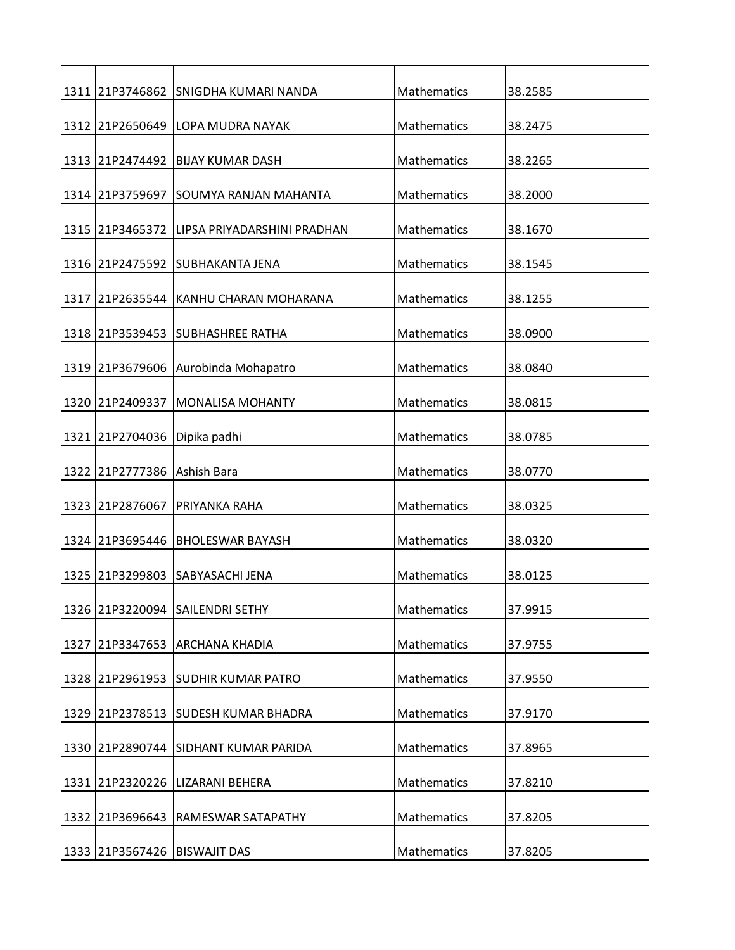|      |                             | 1311 21P3746862 SNIGDHA KUMARI NANDA        | Mathematics | 38.2585 |
|------|-----------------------------|---------------------------------------------|-------------|---------|
|      |                             | 1312 21P2650649 LOPA MUDRA NAYAK            | Mathematics | 38.2475 |
|      |                             | 1313 21P2474492 BIJAY KUMAR DASH            | Mathematics | 38.2265 |
|      | 1314 21P3759697             | ISOUMYA RANJAN MAHANTA                      | Mathematics | 38.2000 |
|      |                             | 1315 21P3465372 LIPSA PRIYADARSHINI PRADHAN | Mathematics | 38.1670 |
|      |                             | 1316 21P2475592 SUBHAKANTA JENA             | Mathematics | 38.1545 |
|      |                             | 1317 21P2635544 KANHU CHARAN MOHARANA       | Mathematics | 38.1255 |
|      |                             | 1318 21P3539453 SUBHASHREE RATHA            | Mathematics | 38.0900 |
|      |                             |                                             |             |         |
|      | 1319 21P3679606             | Aurobinda Mohapatro                         | Mathematics | 38.0840 |
|      | 1320 21P2409337             | <b>MONALISA MOHANTY</b>                     | Mathematics | 38.0815 |
|      | 1321 21P2704036             | Dipika padhi                                | Mathematics | 38.0785 |
|      | 1322 21P2777386 Ashish Bara |                                             | Mathematics | 38.0770 |
|      | 1323 21P2876067             | PRIYANKA RAHA                               | Mathematics | 38.0325 |
|      | 1324 21P3695446             | <b>BHOLESWAR BAYASH</b>                     | Mathematics | 38.0320 |
| 1325 | 21P3299803                  | <b>ISABYASACHI JENA</b>                     | Mathematics | 38.0125 |
|      |                             | 1326 21P3220094 SAILENDRI SETHY             | Mathematics | 37.9915 |
| 1327 |                             | 21P3347653 ARCHANA KHADIA                   | Mathematics | 37.9755 |
|      |                             | 1328 21P2961953 SUDHIR KUMAR PATRO          | Mathematics | 37.9550 |
|      |                             | 1329 21P2378513 SUDESH KUMAR BHADRA         | Mathematics | 37.9170 |
| 1330 |                             | 21P2890744 SIDHANT KUMAR PARIDA             | Mathematics | 37.8965 |
|      | 1331 21P2320226             | LIZARANI BEHERA                             | Mathematics | 37.8210 |
| 1332 | 21P3696643                  | RAMESWAR SATAPATHY                          | Mathematics | 37.8205 |
|      |                             | 1333 21P3567426 BISWAJIT DAS                | Mathematics | 37.8205 |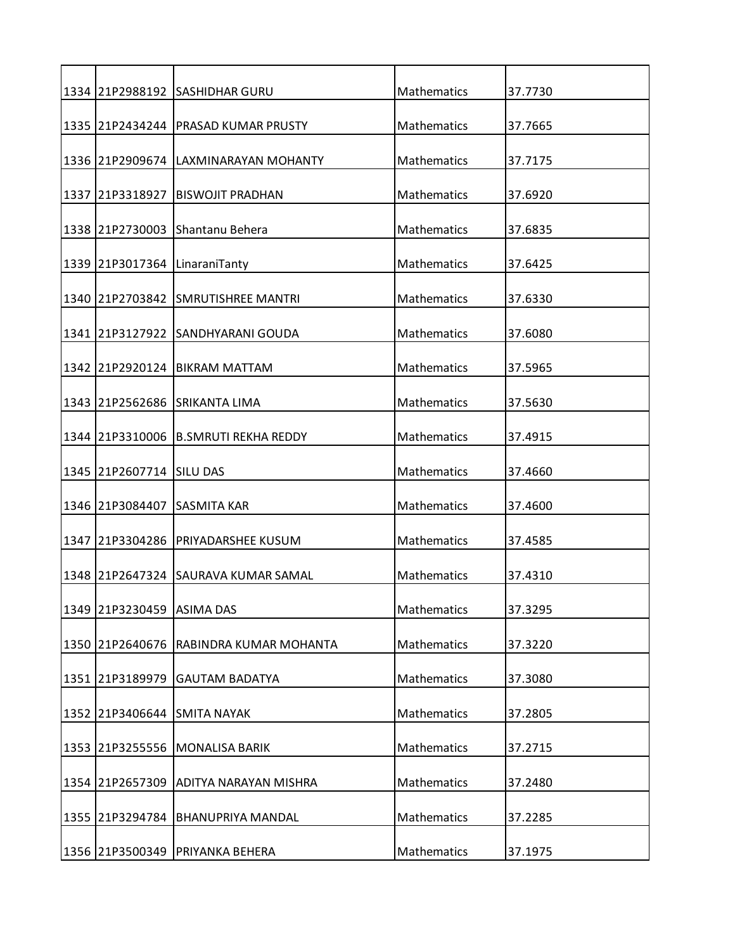|      |                           | 1334 21P2988192 SASHIDHAR GURU       | Mathematics | 37.7730 |
|------|---------------------------|--------------------------------------|-------------|---------|
|      |                           | 1335 21P2434244 PRASAD KUMAR PRUSTY  | Mathematics | 37.7665 |
|      |                           | 1336 21P2909674 LAXMINARAYAN MOHANTY | Mathematics | 37.7175 |
| 1337 | 21P3318927                | <b>BISWOJIT PRADHAN</b>              | Mathematics | 37.6920 |
|      |                           | 1338 21P2730003 Shantanu Behera      | Mathematics | 37.6835 |
|      |                           | 1339 21P3017364 LinaraniTanty        | Mathematics | 37.6425 |
|      |                           | 1340 21P2703842 SMRUTISHREE MANTRI   | Mathematics | 37.6330 |
|      |                           | 1341 21P3127922 SANDHYARANI GOUDA    | Mathematics | 37.6080 |
|      | 1342 21P2920124           | <b>BIKRAM MATTAM</b>                 | Mathematics | 37.5965 |
|      |                           | 1343 21P2562686 SRIKANTA LIMA        | Mathematics | 37.5630 |
|      |                           | 1344 21P3310006 B.SMRUTI REKHA REDDY | Mathematics | 37.4915 |
|      | 1345 21P2607714 SILU DAS  |                                      | Mathematics | 37.4660 |
|      |                           | 1346 21P3084407 SASMITA KAR          | Mathematics | 37.4600 |
|      | 1347 21P3304286           | PRIYADARSHEE KUSUM                   | Mathematics | 37.4585 |
|      |                           | 1348 21P2647324 SAURAVA KUMAR SAMAL  | Mathematics | 37.4310 |
|      | 1349 21P3230459 ASIMA DAS |                                      | Mathematics | 37.3295 |
|      | 1350 21P2640676           | RABINDRA KUMAR MOHANTA               | Mathematics | 37.3220 |
|      | 1351 21P3189979           | <b>GAUTAM BADATYA</b>                | Mathematics | 37.3080 |
|      |                           | 1352   21P3406644   SMITA NAYAK      | Mathematics | 37.2805 |
| 1353 | 21P3255556                | <b>MONALISA BARIK</b>                | Mathematics | 37.2715 |
|      | 1354 21P2657309           | <b>ADITYA NARAYAN MISHRA</b>         | Mathematics | 37.2480 |
|      | 1355 21P3294784           | <b>BHANUPRIYA MANDAL</b>             | Mathematics | 37.2285 |
|      |                           | 1356 21P3500349 PRIYANKA BEHERA      | Mathematics | 37.1975 |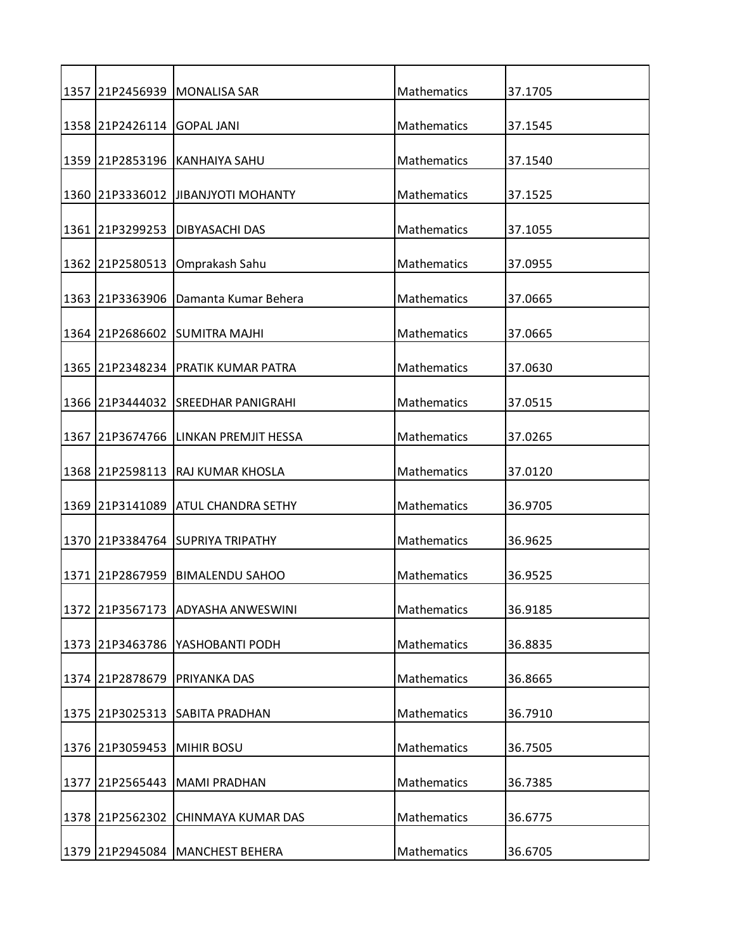| 1357 |                            | 21P2456939   MONALISA SAR           | Mathematics        | 37.1705 |
|------|----------------------------|-------------------------------------|--------------------|---------|
|      | 1358 21P2426114 GOPAL JANI |                                     | Mathematics        | 37.1545 |
|      |                            | 1359 21P2853196 KANHAIYA SAHU       | Mathematics        | 37.1540 |
|      |                            | 1360 21P3336012 JJIBANJYOTI MOHANTY | Mathematics        | 37.1525 |
|      |                            |                                     | Mathematics        |         |
|      | 1361 21P3299253            | DIBYASACHI DAS                      |                    | 37.1055 |
|      | 1362 21P2580513            | Omprakash Sahu                      | Mathematics        | 37.0955 |
|      | 1363 21P3363906            | Damanta Kumar Behera                | Mathematics        | 37.0665 |
|      |                            | 1364 21P2686602 SUMITRA MAJHI       | Mathematics        | 37.0665 |
|      | 1365 21P2348234            | PRATIK KUMAR PATRA                  | <b>Mathematics</b> | 37.0630 |
|      |                            | 1366 21P3444032 SREEDHAR PANIGRAHI  | Mathematics        | 37.0515 |
| 1367 |                            | 21P3674766 LINKAN PREMJIT HESSA     | Mathematics        | 37.0265 |
|      |                            |                                     |                    |         |
|      | 1368 21P2598113            | <b>RAJ KUMAR KHOSLA</b>             | Mathematics        | 37.0120 |
|      |                            | 1369 21P3141089 ATUL CHANDRA SETHY  | Mathematics        | 36.9705 |
|      |                            | 1370 21P3384764 SUPRIYA TRIPATHY    | Mathematics        | 36.9625 |
| 1371 | 21P2867959                 | BIMALENDU SAHOO                     | <b>Mathematics</b> | 36.9525 |
|      |                            | 1372 21P3567173 ADYASHA ANWESWINI   | Mathematics        | 36.9185 |
|      | 1373 21P3463786            | YASHOBANTI PODH                     | Mathematics        | 36.8835 |
|      | 1374 21P2878679            | <b>PRIYANKA DAS</b>                 | Mathematics        | 36.8665 |
|      |                            | 1375 21P3025313 SABITA PRADHAN      | <b>Mathematics</b> | 36.7910 |
|      |                            |                                     |                    |         |
| 1376 | 21P3059453                 | <b>MIHIR BOSU</b>                   | Mathematics        | 36.7505 |
| 1377 | 21P2565443                 | <b>MAMI PRADHAN</b>                 | Mathematics        | 36.7385 |
|      | 1378 21P2562302            | CHINMAYA KUMAR DAS                  | Mathematics        | 36.6775 |
|      |                            |                                     |                    |         |
|      |                            | 1379 21P2945084 MANCHEST BEHERA     | Mathematics        | 36.6705 |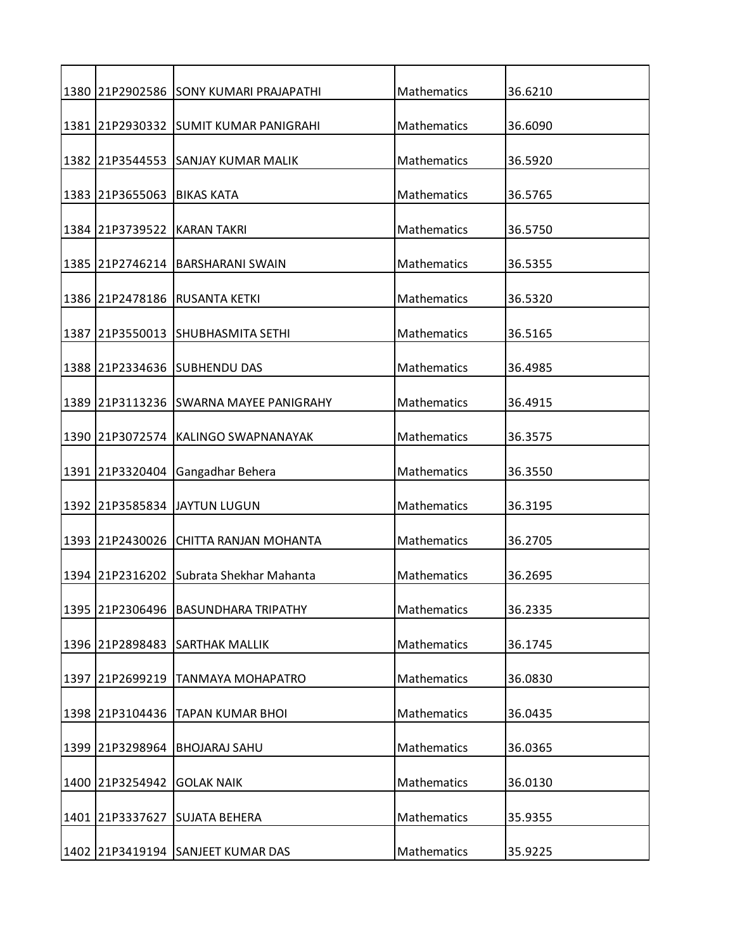|      |                 | 1380 21P2902586 SONY KUMARI PRAJAPATHI  | Mathematics | 36.6210 |
|------|-----------------|-----------------------------------------|-------------|---------|
|      |                 | 1381 21P2930332 SUMIT KUMAR PANIGRAHI   | Mathematics | 36.6090 |
|      |                 | 1382 21P3544553 SANJAY KUMAR MALIK      | Mathematics | 36.5920 |
|      | 1383 21P3655063 | <b>BIKAS KATA</b>                       | Mathematics | 36.5765 |
|      | 1384 21P3739522 | <b>KARAN TAKRI</b>                      | Mathematics | 36.5750 |
|      |                 | 1385 21P2746214 BARSHARANI SWAIN        | Mathematics | 36.5355 |
|      |                 | 1386 21P2478186 RUSANTA KETKI           | Mathematics | 36.5320 |
|      |                 | 1387 21P3550013 SHUBHASMITA SETHI       | Mathematics | 36.5165 |
|      |                 | 1388 21P2334636 SUBHENDU DAS            | Mathematics | 36.4985 |
| 1389 |                 | 21P3113236 SWARNA MAYEE PANIGRAHY       | Mathematics | 36.4915 |
|      |                 | 1390 21P3072574 KALINGO SWAPNANAYAK     | Mathematics | 36.3575 |
|      |                 |                                         |             |         |
|      | 1391 21P3320404 | Gangadhar Behera                        | Mathematics | 36.3550 |
|      |                 | 1392  21P3585834  JAYTUN LUGUN          | Mathematics | 36.3195 |
|      |                 | 1393 21P2430026 CHITTA RANJAN MOHANTA   | Mathematics | 36.2705 |
|      |                 | 1394 21P2316202 Subrata Shekhar Mahanta | Mathematics | 36.2695 |
|      | 1395 21P2306496 | <b>BASUNDHARA TRIPATHY</b>              | Mathematics | 36.2335 |
|      | 1396 21P2898483 | <b>SARTHAK MALLIK</b>                   | Mathematics | 36.1745 |
| 1397 | 21P2699219      | <b>TANMAYA MOHAPATRO</b>                | Mathematics | 36.0830 |
|      | 1398 21P3104436 | <b>TAPAN KUMAR BHOI</b>                 | Mathematics | 36.0435 |
| 1399 | 21P3298964      | <b>BHOJARAJ SAHU</b>                    | Mathematics | 36.0365 |
|      | 1400 21P3254942 | <b>GOLAK NAIK</b>                       | Mathematics | 36.0130 |
|      | 1401 21P3337627 | <b>SUJATA BEHERA</b>                    | Mathematics | 35.9355 |
|      |                 |                                         |             |         |
|      |                 | 1402 21P3419194 SANJEET KUMAR DAS       | Mathematics | 35.9225 |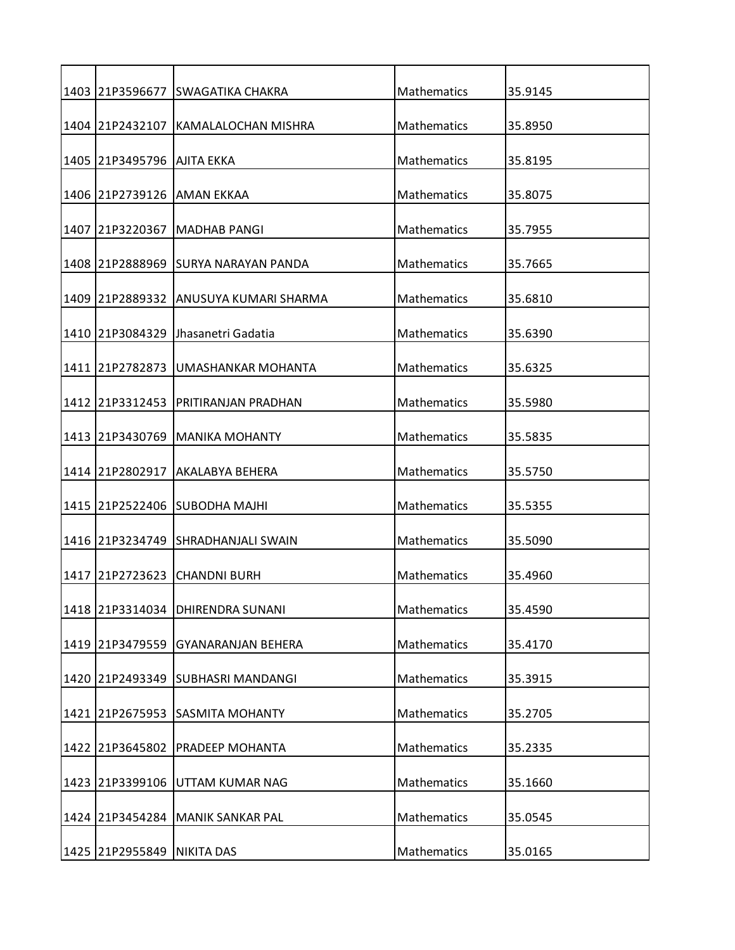|      | 1403 21P3596677              | <b>SWAGATIKA CHAKRA</b>               | Mathematics        | 35.9145 |
|------|------------------------------|---------------------------------------|--------------------|---------|
|      | 1404 21P2432107              | KAMALALOCHAN MISHRA                   | Mathematics        | 35.8950 |
|      | 1405  21P3495796  AJITA EKKA |                                       | Mathematics        | 35.8195 |
|      |                              | 1406 21P2739126 AMAN EKKAA            | Mathematics        | 35.8075 |
| 1407 | 21P3220367                   | <b>MADHAB PANGI</b>                   | Mathematics        | 35.7955 |
|      |                              | 1408 21P2888969 SURYA NARAYAN PANDA   | Mathematics        | 35.7665 |
|      |                              |                                       |                    |         |
|      |                              | 1409 21P2889332 ANUSUYA KUMARI SHARMA | Mathematics        | 35.6810 |
|      |                              | 1410 21P3084329 Jhasanetri Gadatia    | Mathematics        | 35.6390 |
|      | 1411 21P2782873              | UMASHANKAR MOHANTA                    | Mathematics        | 35.6325 |
|      | 1412 21P3312453              | PRITIRANJAN PRADHAN                   | Mathematics        | 35.5980 |
|      |                              | 1413 21P3430769 MANIKA MOHANTY        | Mathematics        | 35.5835 |
|      |                              |                                       |                    |         |
|      | 1414 21P2802917              | <b>AKALABYA BEHERA</b>                | Mathematics        | 35.5750 |
|      |                              | 1415 21P2522406 SUBODHA MAJHI         | Mathematics        | 35.5355 |
|      |                              | 1416 21P3234749 SHRADHANJALI SWAIN    | Mathematics        | 35.5090 |
| 1417 | 21P2723623                   | <b>I</b> CHANDNI BURH                 | Mathematics        | 35.4960 |
|      | 1418 21P3314034              | <b>DHIRENDRA SUNANI</b>               | Mathematics        | 35.4590 |
|      | 1419 21P3479559              | <b>GYANARANJAN BEHERA</b>             | Mathematics        | 35.4170 |
|      |                              | 1420 21P2493349 SUBHASRI MANDANGI     | Mathematics        | 35.3915 |
|      |                              | 1421 21P2675953 SASMITA MOHANTY       | <b>Mathematics</b> | 35.2705 |
| 1422 | 21P3645802                   | PRADEEP MOHANTA                       | Mathematics        | 35.2335 |
|      | 1423 21P3399106              | UTTAM KUMAR NAG                       | Mathematics        | 35.1660 |
|      |                              | 1424 21P3454284 MANIK SANKAR PAL      | Mathematics        | 35.0545 |
|      |                              |                                       |                    |         |
|      | 1425 21P2955849 NIKITA DAS   |                                       | Mathematics        | 35.0165 |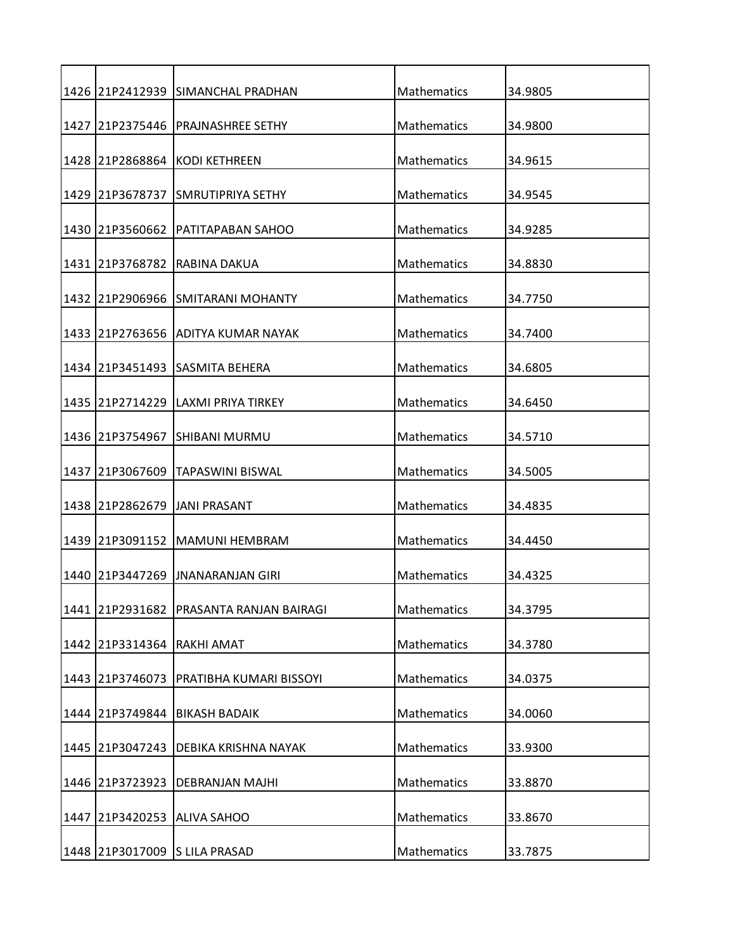|      |                 | 1426 21P2412939 SIMANCHAL PRADHAN  | Mathematics        | 34.9805 |
|------|-----------------|------------------------------------|--------------------|---------|
|      | 1427 21P2375446 | <b>PRAJNASHREE SETHY</b>           | Mathematics        | 34.9800 |
|      |                 | 1428 21P2868864 KODI KETHREEN      | Mathematics        | 34.9615 |
|      | 1429 21P3678737 | ISMRUTIPRIYA SETHY                 | Mathematics        | 34.9545 |
|      | 1430 21P3560662 | PATITAPABAN SAHOO                  | Mathematics        | 34.9285 |
|      | 1431 21P3768782 | IRABINA DAKUA                      | Mathematics        | 34.8830 |
|      |                 | 1432 21P2906966 SMITARANI MOHANTY  | Mathematics        | 34.7750 |
|      |                 | 1433 21P2763656 ADITYA KUMAR NAYAK | Mathematics        | 34.7400 |
|      |                 | 1434 21P3451493 SASMITA BEHERA     | Mathematics        | 34.6805 |
|      | 1435 21P2714229 | <b>LAXMI PRIYA TIRKEY</b>          | Mathematics        | 34.6450 |
|      | 1436 21P3754967 | <b>SHIBANI MURMU</b>               | Mathematics        | 34.5710 |
|      | 1437 21P3067609 | <b>TAPASWINI BISWAL</b>            | Mathematics        | 34.5005 |
|      |                 |                                    |                    |         |
|      |                 | 1438 21P2862679 JJANI PRASANT      | Mathematics        | 34.4835 |
|      |                 | 1439 21P3091152 MAMUNI HEMBRAM     | Mathematics        | 34.4450 |
| 1440 |                 | 21P3447269 UNANARANJAN GIRI        | <b>Mathematics</b> | 34.4325 |
|      | 1441 21P2931682 | PRASANTA RANJAN BAIRAGI            | Mathematics        | 34.3795 |
|      | 1442 21P3314364 | <b>RAKHI AMAT</b>                  | Mathematics        | 34.3780 |
|      | 1443 21P3746073 | PRATIBHA KUMARI BISSOYI            | Mathematics        | 34.0375 |
|      | 1444 21P3749844 | <b>BIKASH BADAIK</b>               | Mathematics        | 34.0060 |
| 1445 | 21P3047243      | DEBIKA KRISHNA NAYAK               | <b>Mathematics</b> | 33.9300 |
|      | 1446 21P3723923 | <b>DEBRANJAN MAJHI</b>             | Mathematics        | 33.8870 |
| 1447 | 21P3420253      | <b>ALIVA SAHOO</b>                 | Mathematics        | 33.8670 |
|      |                 |                                    |                    |         |
|      |                 | 1448 21P3017009 S LILA PRASAD      | Mathematics        | 33.7875 |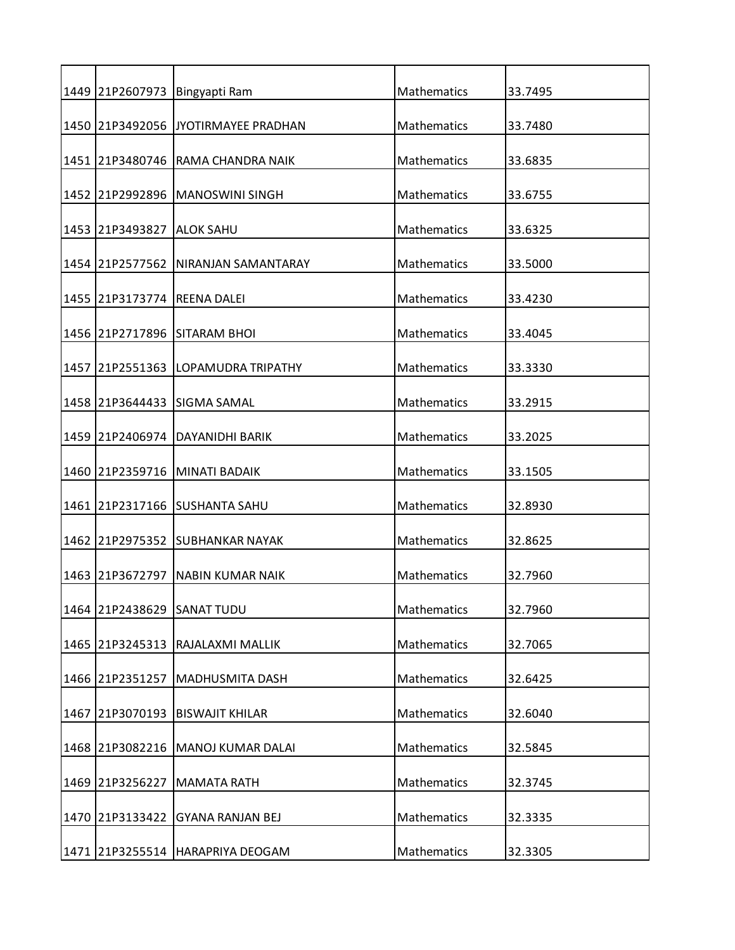|      | 1449 21P2607973             | Bingyapti Ram                        | Mathematics        | 33.7495 |
|------|-----------------------------|--------------------------------------|--------------------|---------|
|      |                             | 1450 21P3492056 JJYOTIRMAYEE PRADHAN | Mathematics        | 33.7480 |
|      |                             | 1451 21P3480746 RAMA CHANDRA NAIK    | Mathematics        | 33.6835 |
|      |                             | 1452 21P2992896 MANOSWINI SINGH      | Mathematics        | 33.6755 |
|      |                             |                                      |                    |         |
|      | 1453 21P3493827             | <b>ALOK SAHU</b>                     | Mathematics        | 33.6325 |
|      |                             | 1454 21P2577562 NIRANJAN SAMANTARAY  | Mathematics        | 33.5000 |
|      | 1455 21P3173774 REENA DALEI |                                      | Mathematics        | 33.4230 |
|      |                             | 1456 21P2717896 SITARAM BHOI         | Mathematics        | 33.4045 |
| 1457 | 21P2551363                  | LOPAMUDRA TRIPATHY                   | <b>Mathematics</b> | 33.3330 |
|      |                             | 1458 21P3644433 SIGMA SAMAL          | Mathematics        | 33.2915 |
|      |                             |                                      |                    |         |
|      |                             | 1459 21P2406974 DAYANIDHI BARIK      | Mathematics        | 33.2025 |
|      |                             | 1460 21P2359716 MINATI BADAIK        | Mathematics        | 33.1505 |
|      |                             | 1461 21P2317166 SUSHANTA SAHU        | Mathematics        | 32.8930 |
|      |                             | 1462 21P2975352 SUBHANKAR NAYAK      | Mathematics        | 32.8625 |
|      |                             | 1463 21P3672797 NABIN KUMAR NAIK     | Mathematics        | 32.7960 |
|      | 1464 21P2438629             | <b>SANAT TUDU</b>                    | Mathematics        | 32.7960 |
|      | 1465 21P3245313             | RAJALAXMI MALLIK                     | Mathematics        | 32.7065 |
|      |                             |                                      |                    |         |
|      | 1466 21P2351257             | <b>MADHUSMITA DASH</b>               | Mathematics        | 32.6425 |
|      | 1467 21P3070193             | <b>BISWAJIT KHILAR</b>               | <b>Mathematics</b> | 32.6040 |
| 1468 | 21P3082216                  | MANOJ KUMAR DALAI                    | Mathematics        | 32.5845 |
|      | 1469 21P3256227             | <b>MAMATA RATH</b>                   | Mathematics        | 32.3745 |
|      |                             |                                      |                    |         |
|      | 1470 21P3133422             | <b>GYANA RANJAN BEJ</b>              | Mathematics        | 32.3335 |
|      |                             | 1471 21P3255514 HARAPRIYA DEOGAM     | Mathematics        | 32.3305 |